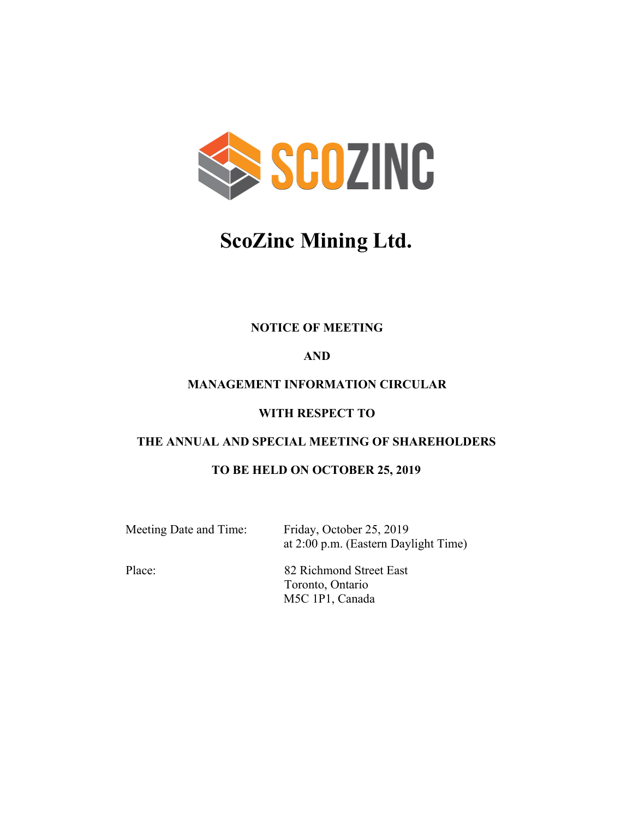

# **ScoZinc Mining Ltd.**

# **NOTICE OF MEETING**

# **AND**

# **MANAGEMENT INFORMATION CIRCULAR**

# **WITH RESPECT TO**

# **THE ANNUAL AND SPECIAL MEETING OF SHAREHOLDERS**

# **TO BE HELD ON OCTOBER 25, 2019**

Meeting Date and Time: Friday, October 25, 2019 at 2:00 p.m. (Eastern Daylight Time)

Place: 82 Richmond Street East Toronto, Ontario M5C 1P1, Canada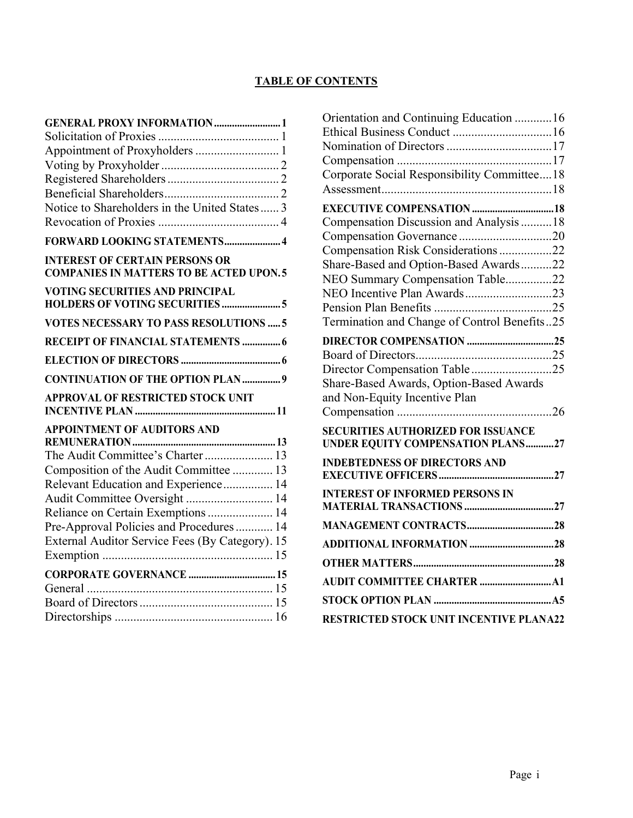# **TABLE OF CONTENTS**

|                                                                                         | <b>GENERAL PROXY INFORMATION 1</b> |
|-----------------------------------------------------------------------------------------|------------------------------------|
|                                                                                         |                                    |
| Appointment of Proxyholders  1                                                          |                                    |
|                                                                                         |                                    |
|                                                                                         |                                    |
|                                                                                         |                                    |
| Notice to Shareholders in the United States 3                                           |                                    |
|                                                                                         |                                    |
| FORWARD LOOKING STATEMENTS 4                                                            |                                    |
| <b>INTEREST OF CERTAIN PERSONS OR</b><br><b>COMPANIES IN MATTERS TO BE ACTED UPON.5</b> |                                    |
| <b>VOTING SECURITIES AND PRINCIPAL</b>                                                  |                                    |
|                                                                                         |                                    |
| <b>VOTES NECESSARY TO PASS RESOLUTIONS  5</b>                                           |                                    |
| <b>RECEIPT OF FINANCIAL STATEMENTS  6</b>                                               |                                    |
|                                                                                         |                                    |
| <b>CONTINUATION OF THE OPTION PLAN9</b>                                                 |                                    |
| APPROVAL OF RESTRICTED STOCK UNIT                                                       |                                    |
| <b>APPOINTMENT OF AUDITORS AND</b>                                                      |                                    |
|                                                                                         |                                    |
|                                                                                         |                                    |
| The Audit Committee's Charter  13                                                       |                                    |
| Composition of the Audit Committee  13                                                  |                                    |
| Relevant Education and Experience 14                                                    |                                    |
| Audit Committee Oversight  14                                                           |                                    |
| Reliance on Certain Exemptions  14                                                      |                                    |
| Pre-Approval Policies and Procedures 14                                                 |                                    |
| External Auditor Service Fees (By Category). 15                                         |                                    |
|                                                                                         |                                    |
|                                                                                         |                                    |
|                                                                                         |                                    |
|                                                                                         |                                    |
|                                                                                         |                                    |

| Orientation and Continuing Education 16                                                                                                                                                                                                                                          |
|----------------------------------------------------------------------------------------------------------------------------------------------------------------------------------------------------------------------------------------------------------------------------------|
| Corporate Social Responsibility Committee18                                                                                                                                                                                                                                      |
| <b>EXECUTIVE COMPENSATION  18</b><br>Compensation Discussion and Analysis  18<br>Compensation Risk Considerations 22<br>Share-Based and Option-Based Awards22<br>NEO Summary Compensation Table22<br>NEO Incentive Plan Awards23<br>Termination and Change of Control Benefits25 |
| Director Compensation Table25<br>Share-Based Awards, Option-Based Awards<br>and Non-Equity Incentive Plan                                                                                                                                                                        |
| <b>SECURITIES AUTHORIZED FOR ISSUANCE</b><br><b>UNDER EQUITY COMPENSATION PLANS27</b>                                                                                                                                                                                            |
| <b>INDEBTEDNESS OF DIRECTORS AND</b>                                                                                                                                                                                                                                             |
| <b>INTEREST OF INFORMED PERSONS IN</b>                                                                                                                                                                                                                                           |
| <b>MANAGEMENT CONTRACTS28</b>                                                                                                                                                                                                                                                    |
|                                                                                                                                                                                                                                                                                  |
|                                                                                                                                                                                                                                                                                  |
|                                                                                                                                                                                                                                                                                  |
|                                                                                                                                                                                                                                                                                  |
| <b>RESTRICTED STOCK UNIT INCENTIVE PLANA22</b>                                                                                                                                                                                                                                   |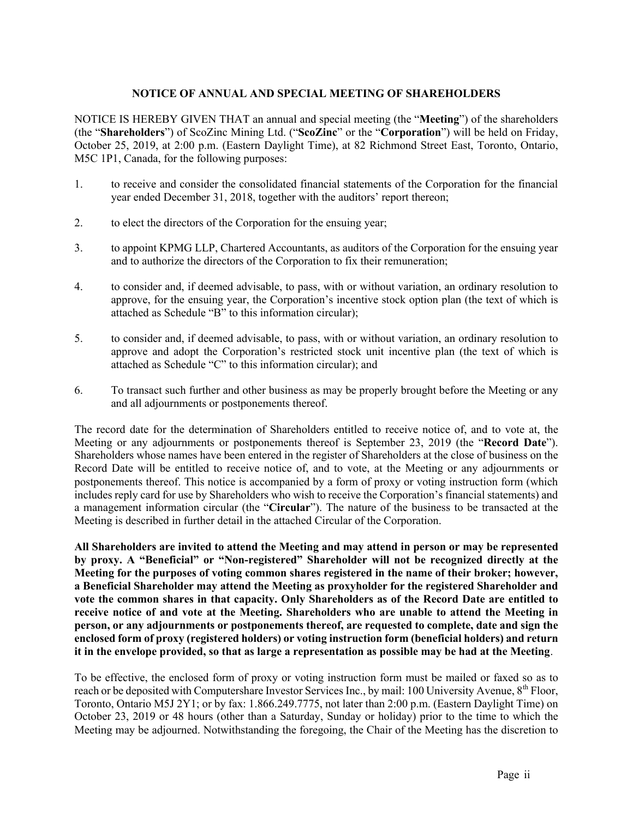### **NOTICE OF ANNUAL AND SPECIAL MEETING OF SHAREHOLDERS**

NOTICE IS HEREBY GIVEN THAT an annual and special meeting (the "**Meeting**") of the shareholders (the "**Shareholders**") of ScoZinc Mining Ltd. ("**ScoZinc**" or the "**Corporation**") will be held on Friday, October 25, 2019, at 2:00 p.m. (Eastern Daylight Time), at 82 Richmond Street East, Toronto, Ontario, M5C 1P1, Canada, for the following purposes:

- 1. to receive and consider the consolidated financial statements of the Corporation for the financial year ended December 31, 2018, together with the auditors' report thereon;
- 2. to elect the directors of the Corporation for the ensuing year;
- 3. to appoint KPMG LLP, Chartered Accountants, as auditors of the Corporation for the ensuing year and to authorize the directors of the Corporation to fix their remuneration;
- 4. to consider and, if deemed advisable, to pass, with or without variation, an ordinary resolution to approve, for the ensuing year, the Corporation's incentive stock option plan (the text of which is attached as Schedule "B" to this information circular);
- 5. to consider and, if deemed advisable, to pass, with or without variation, an ordinary resolution to approve and adopt the Corporation's restricted stock unit incentive plan (the text of which is attached as Schedule "C" to this information circular); and
- 6. To transact such further and other business as may be properly brought before the Meeting or any and all adjournments or postponements thereof.

The record date for the determination of Shareholders entitled to receive notice of, and to vote at, the Meeting or any adjournments or postponements thereof is September 23, 2019 (the "**Record Date**"). Shareholders whose names have been entered in the register of Shareholders at the close of business on the Record Date will be entitled to receive notice of, and to vote, at the Meeting or any adjournments or postponements thereof. This notice is accompanied by a form of proxy or voting instruction form (which includes reply card for use by Shareholders who wish to receive the Corporation's financial statements) and a management information circular (the "**Circular**"). The nature of the business to be transacted at the Meeting is described in further detail in the attached Circular of the Corporation.

**All Shareholders are invited to attend the Meeting and may attend in person or may be represented by proxy. A "Beneficial" or "Non-registered" Shareholder will not be recognized directly at the Meeting for the purposes of voting common shares registered in the name of their broker; however, a Beneficial Shareholder may attend the Meeting as proxyholder for the registered Shareholder and vote the common shares in that capacity. Only Shareholders as of the Record Date are entitled to receive notice of and vote at the Meeting. Shareholders who are unable to attend the Meeting in person, or any adjournments or postponements thereof, are requested to complete, date and sign the enclosed form of proxy (registered holders) or voting instruction form (beneficial holders) and return it in the envelope provided, so that as large a representation as possible may be had at the Meeting**.

To be effective, the enclosed form of proxy or voting instruction form must be mailed or faxed so as to reach or be deposited with Computershare Investor Services Inc., by mail: 100 University Avenue, 8<sup>th</sup> Floor, Toronto, Ontario M5J 2Y1; or by fax: 1.866.249.7775, not later than 2:00 p.m. (Eastern Daylight Time) on October 23, 2019 or 48 hours (other than a Saturday, Sunday or holiday) prior to the time to which the Meeting may be adjourned. Notwithstanding the foregoing, the Chair of the Meeting has the discretion to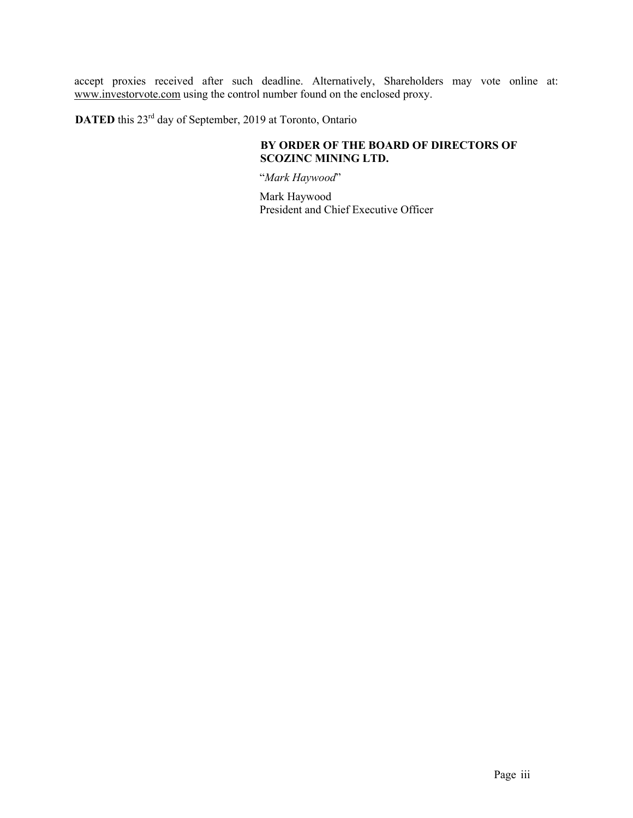accept proxies received after such deadline. Alternatively, Shareholders may vote online at: www.investorvote.com using the control number found on the enclosed proxy.

**DATED** this 23<sup>rd</sup> day of September, 2019 at Toronto, Ontario

### **BY ORDER OF THE BOARD OF DIRECTORS OF SCOZINC MINING LTD.**

"*Mark Haywood*"

Mark Haywood President and Chief Executive Officer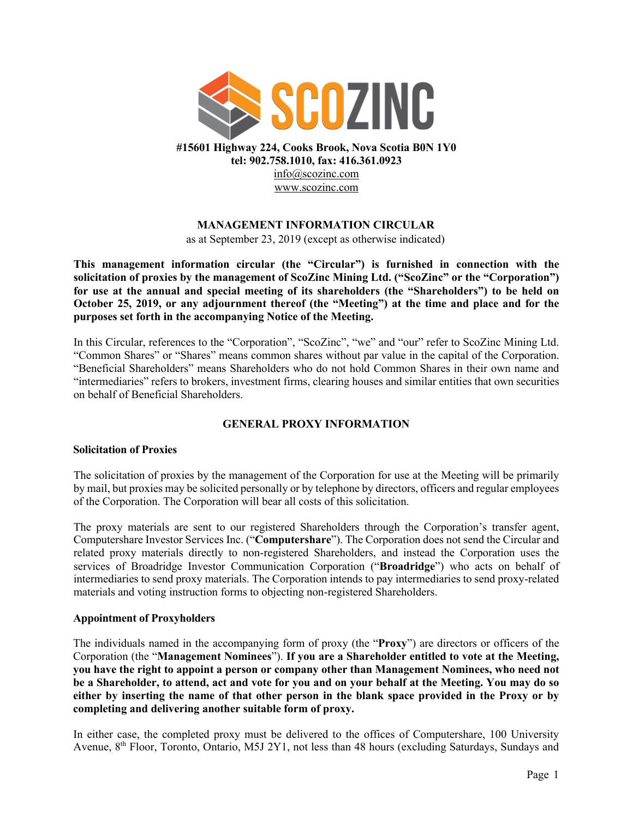

**tel: 902.758.1010, fax: 416.361.0923** info@scozinc.com www.scozinc.com

### **MANAGEMENT INFORMATION CIRCULAR**

as at September 23, 2019 (except as otherwise indicated)

**This management information circular (the "Circular") is furnished in connection with the solicitation of proxies by the management of ScoZinc Mining Ltd. ("ScoZinc" or the "Corporation") for use at the annual and special meeting of its shareholders (the "Shareholders") to be held on October 25, 2019, or any adjournment thereof (the "Meeting") at the time and place and for the purposes set forth in the accompanying Notice of the Meeting.**

In this Circular, references to the "Corporation", "ScoZinc", "we" and "our" refer to ScoZinc Mining Ltd. "Common Shares" or "Shares" means common shares without par value in the capital of the Corporation. "Beneficial Shareholders" means Shareholders who do not hold Common Shares in their own name and "intermediaries" refers to brokers, investment firms, clearing houses and similar entities that own securities on behalf of Beneficial Shareholders.

### **GENERAL PROXY INFORMATION**

### **Solicitation of Proxies**

The solicitation of proxies by the management of the Corporation for use at the Meeting will be primarily by mail, but proxies may be solicited personally or by telephone by directors, officers and regular employees of the Corporation. The Corporation will bear all costs of this solicitation.

The proxy materials are sent to our registered Shareholders through the Corporation's transfer agent, Computershare Investor Services Inc. ("**Computershare**"). The Corporation does not send the Circular and related proxy materials directly to non-registered Shareholders, and instead the Corporation uses the services of Broadridge Investor Communication Corporation ("**Broadridge**") who acts on behalf of intermediaries to send proxy materials. The Corporation intends to pay intermediaries to send proxy-related materials and voting instruction forms to objecting non-registered Shareholders.

### **Appointment of Proxyholders**

The individuals named in the accompanying form of proxy (the "**Proxy**") are directors or officers of the Corporation (the "**Management Nominees**"). **If you are a Shareholder entitled to vote at the Meeting, you have the right to appoint a person or company other than Management Nominees, who need not be a Shareholder, to attend, act and vote for you and on your behalf at the Meeting. You may do so either by inserting the name of that other person in the blank space provided in the Proxy or by completing and delivering another suitable form of proxy.**

In either case, the completed proxy must be delivered to the offices of Computershare, 100 University Avenue, 8<sup>th</sup> Floor, Toronto, Ontario, M5J 2Y1, not less than 48 hours (excluding Saturdays, Sundays and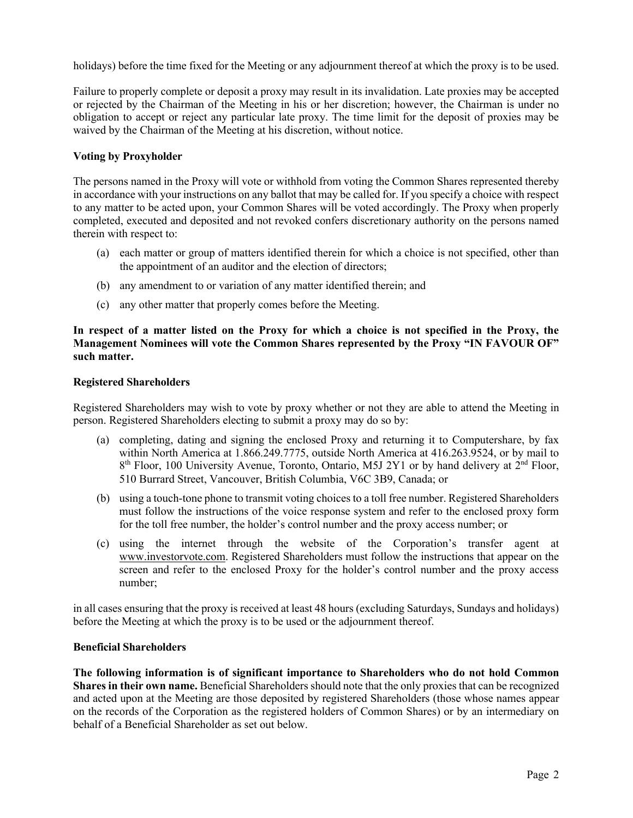holidays) before the time fixed for the Meeting or any adjournment thereof at which the proxy is to be used.

Failure to properly complete or deposit a proxy may result in its invalidation. Late proxies may be accepted or rejected by the Chairman of the Meeting in his or her discretion; however, the Chairman is under no obligation to accept or reject any particular late proxy. The time limit for the deposit of proxies may be waived by the Chairman of the Meeting at his discretion, without notice.

### **Voting by Proxyholder**

The persons named in the Proxy will vote or withhold from voting the Common Shares represented thereby in accordance with your instructions on any ballot that may be called for. If you specify a choice with respect to any matter to be acted upon, your Common Shares will be voted accordingly. The Proxy when properly completed, executed and deposited and not revoked confers discretionary authority on the persons named therein with respect to:

- (a) each matter or group of matters identified therein for which a choice is not specified, other than the appointment of an auditor and the election of directors;
- (b) any amendment to or variation of any matter identified therein; and
- (c) any other matter that properly comes before the Meeting.

### **In respect of a matter listed on the Proxy for which a choice is not specified in the Proxy, the Management Nominees will vote the Common Shares represented by the Proxy "IN FAVOUR OF" such matter.**

### **Registered Shareholders**

Registered Shareholders may wish to vote by proxy whether or not they are able to attend the Meeting in person. Registered Shareholders electing to submit a proxy may do so by:

- (a) completing, dating and signing the enclosed Proxy and returning it to Computershare, by fax within North America at 1.866.249.7775, outside North America at 416.263.9524, or by mail to  $8<sup>th</sup>$  Floor, 100 University Avenue, Toronto, Ontario, M5J 2Y1 or by hand delivery at  $2<sup>nd</sup>$  Floor, 510 Burrard Street, Vancouver, British Columbia, V6C 3B9, Canada; or
- (b) using a touch-tone phone to transmit voting choices to a toll free number. Registered Shareholders must follow the instructions of the voice response system and refer to the enclosed proxy form for the toll free number, the holder's control number and the proxy access number; or
- (c) using the internet through the website of the Corporation's transfer agent at www.investorvote.com. Registered Shareholders must follow the instructions that appear on the screen and refer to the enclosed Proxy for the holder's control number and the proxy access number;

in all cases ensuring that the proxy is received at least 48 hours (excluding Saturdays, Sundays and holidays) before the Meeting at which the proxy is to be used or the adjournment thereof.

### **Beneficial Shareholders**

**The following information is of significant importance to Shareholders who do not hold Common Shares in their own name.** Beneficial Shareholders should note that the only proxies that can be recognized and acted upon at the Meeting are those deposited by registered Shareholders (those whose names appear on the records of the Corporation as the registered holders of Common Shares) or by an intermediary on behalf of a Beneficial Shareholder as set out below.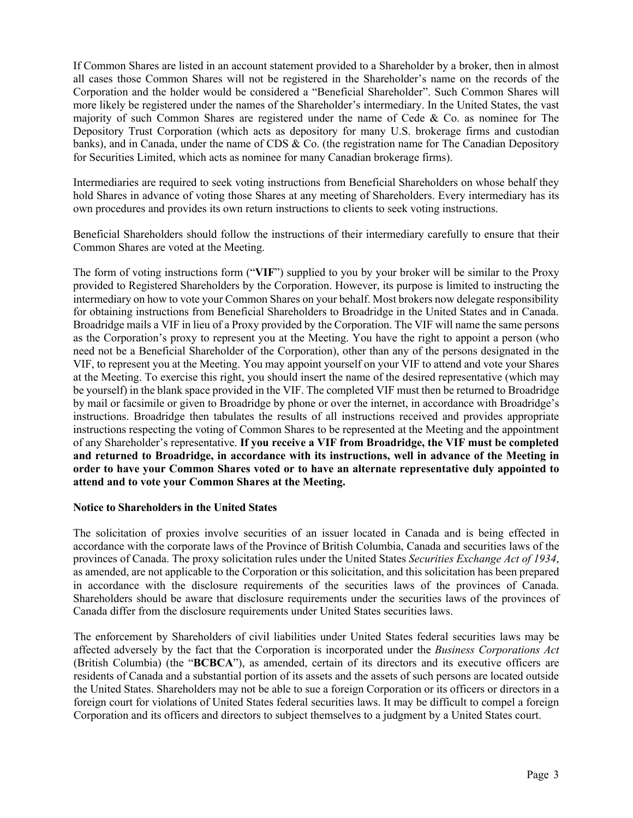If Common Shares are listed in an account statement provided to a Shareholder by a broker, then in almost all cases those Common Shares will not be registered in the Shareholder's name on the records of the Corporation and the holder would be considered a "Beneficial Shareholder". Such Common Shares will more likely be registered under the names of the Shareholder's intermediary. In the United States, the vast majority of such Common Shares are registered under the name of Cede & Co. as nominee for The Depository Trust Corporation (which acts as depository for many U.S. brokerage firms and custodian banks), and in Canada, under the name of CDS & Co. (the registration name for The Canadian Depository for Securities Limited, which acts as nominee for many Canadian brokerage firms).

Intermediaries are required to seek voting instructions from Beneficial Shareholders on whose behalf they hold Shares in advance of voting those Shares at any meeting of Shareholders. Every intermediary has its own procedures and provides its own return instructions to clients to seek voting instructions.

Beneficial Shareholders should follow the instructions of their intermediary carefully to ensure that their Common Shares are voted at the Meeting.

The form of voting instructions form ("**VIF**") supplied to you by your broker will be similar to the Proxy provided to Registered Shareholders by the Corporation. However, its purpose is limited to instructing the intermediary on how to vote your Common Shares on your behalf. Most brokers now delegate responsibility for obtaining instructions from Beneficial Shareholders to Broadridge in the United States and in Canada. Broadridge mails a VIF in lieu of a Proxy provided by the Corporation. The VIF will name the same persons as the Corporation's proxy to represent you at the Meeting. You have the right to appoint a person (who need not be a Beneficial Shareholder of the Corporation), other than any of the persons designated in the VIF, to represent you at the Meeting. You may appoint yourself on your VIF to attend and vote your Shares at the Meeting. To exercise this right, you should insert the name of the desired representative (which may be yourself) in the blank space provided in the VIF. The completed VIF must then be returned to Broadridge by mail or facsimile or given to Broadridge by phone or over the internet, in accordance with Broadridge's instructions. Broadridge then tabulates the results of all instructions received and provides appropriate instructions respecting the voting of Common Shares to be represented at the Meeting and the appointment of any Shareholder's representative. **If you receive a VIF from Broadridge, the VIF must be completed and returned to Broadridge, in accordance with its instructions, well in advance of the Meeting in order to have your Common Shares voted or to have an alternate representative duly appointed to attend and to vote your Common Shares at the Meeting.**

#### **Notice to Shareholders in the United States**

The solicitation of proxies involve securities of an issuer located in Canada and is being effected in accordance with the corporate laws of the Province of British Columbia, Canada and securities laws of the provinces of Canada. The proxy solicitation rules under the United States *Securities Exchange Act of 1934*, as amended, are not applicable to the Corporation or this solicitation, and this solicitation has been prepared in accordance with the disclosure requirements of the securities laws of the provinces of Canada. Shareholders should be aware that disclosure requirements under the securities laws of the provinces of Canada differ from the disclosure requirements under United States securities laws.

The enforcement by Shareholders of civil liabilities under United States federal securities laws may be affected adversely by the fact that the Corporation is incorporated under the *Business Corporations Act*  (British Columbia) (the "**BCBCA**"), as amended, certain of its directors and its executive officers are residents of Canada and a substantial portion of its assets and the assets of such persons are located outside the United States. Shareholders may not be able to sue a foreign Corporation or its officers or directors in a foreign court for violations of United States federal securities laws. It may be difficult to compel a foreign Corporation and its officers and directors to subject themselves to a judgment by a United States court.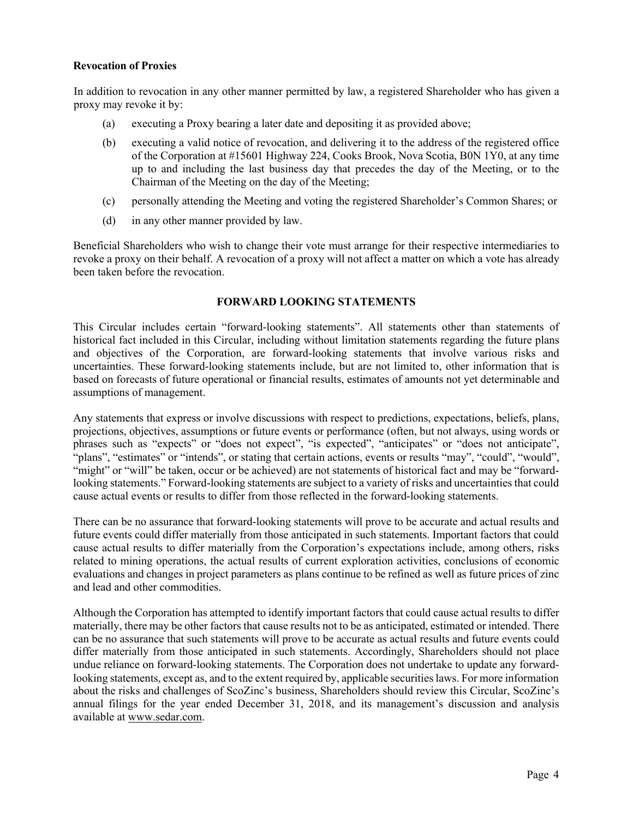### **Revocation of Proxies**

In addition to revocation in any other manner permitted by law, a registered Shareholder who has given a proxy may revoke it by:

- (a) executing a Proxy bearing a later date and depositing it as provided above;
- (b) executing a valid notice of revocation, and delivering it to the address of the registered office of the Corporation at #15601 Highway 224, Cooks Brook, Nova Scotia, B0N 1Y0, at any time up to and including the last business day that precedes the day of the Meeting, or to the Chairman of the Meeting on the day of the Meeting;
- (c) personally attending the Meeting and voting the registered Shareholder's Common Shares; or
- (d) in any other manner provided by law.

Beneficial Shareholders who wish to change their vote must arrange for their respective intermediaries to revoke a proxy on their behalf. A revocation of a proxy will not affect a matter on which a vote has already been taken before the revocation.

### **FORWARD LOOKING STATEMENTS**

This Circular includes certain "forward-looking statements". All statements other than statements of historical fact included in this Circular, including without limitation statements regarding the future plans and objectives of the Corporation, are forward-looking statements that involve various risks and uncertainties. These forward-looking statements include, but are not limited to, other information that is based on forecasts of future operational or financial results, estimates of amounts not yet determinable and assumptions of management.

Any statements that express or involve discussions with respect to predictions, expectations, beliefs, plans, projections, objectives, assumptions or future events or performance (often, but not always, using words or phrases such as "expects" or "does not expect", "is expected", "anticipates" or "does not anticipate", "plans", "estimates" or "intends", or stating that certain actions, events or results "may", "could", "would", "might" or "will" be taken, occur or be achieved) are not statements of historical fact and may be "forwardlooking statements." Forward-looking statements are subject to a variety of risks and uncertainties that could cause actual events or results to differ from those reflected in the forward-looking statements.

There can be no assurance that forward-looking statements will prove to be accurate and actual results and future events could differ materially from those anticipated in such statements. Important factors that could cause actual results to differ materially from the Corporation's expectations include, among others, risks related to mining operations, the actual results of current exploration activities, conclusions of economic evaluations and changes in project parameters as plans continue to be refined as well as future prices of zinc and lead and other commodities.

Although the Corporation has attempted to identify important factors that could cause actual results to differ materially, there may be other factors that cause results not to be as anticipated, estimated or intended. There can be no assurance that such statements will prove to be accurate as actual results and future events could differ materially from those anticipated in such statements. Accordingly, Shareholders should not place undue reliance on forward-looking statements. The Corporation does not undertake to update any forwardlooking statements, except as, and to the extent required by, applicable securities laws. For more information about the risks and challenges of ScoZinc's business, Shareholders should review this Circular, ScoZinc's annual filings for the year ended December 31, 2018, and its management's discussion and analysis available at www.sedar.com.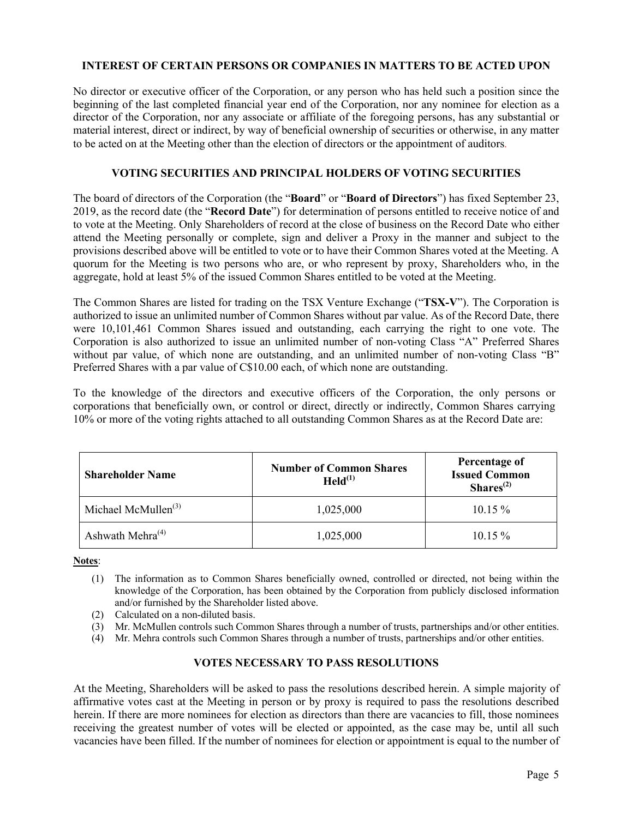### **INTEREST OF CERTAIN PERSONS OR COMPANIES IN MATTERS TO BE ACTED UPON**

No director or executive officer of the Corporation, or any person who has held such a position since the beginning of the last completed financial year end of the Corporation, nor any nominee for election as a director of the Corporation, nor any associate or affiliate of the foregoing persons, has any substantial or material interest, direct or indirect, by way of beneficial ownership of securities or otherwise, in any matter to be acted on at the Meeting other than the election of directors or the appointment of auditors*.*

### **VOTING SECURITIES AND PRINCIPAL HOLDERS OF VOTING SECURITIES**

The board of directors of the Corporation (the "**Board**" or "**Board of Directors**") has fixed September 23, 2019, as the record date (the "**Record Date**") for determination of persons entitled to receive notice of and to vote at the Meeting. Only Shareholders of record at the close of business on the Record Date who either attend the Meeting personally or complete, sign and deliver a Proxy in the manner and subject to the provisions described above will be entitled to vote or to have their Common Shares voted at the Meeting. A quorum for the Meeting is two persons who are, or who represent by proxy, Shareholders who, in the aggregate, hold at least 5% of the issued Common Shares entitled to be voted at the Meeting.

The Common Shares are listed for trading on the TSX Venture Exchange ("**TSX-V**"). The Corporation is authorized to issue an unlimited number of Common Shares without par value. As of the Record Date, there were 10,101,461 Common Shares issued and outstanding, each carrying the right to one vote. The Corporation is also authorized to issue an unlimited number of non-voting Class "A" Preferred Shares without par value, of which none are outstanding, and an unlimited number of non-voting Class "B" Preferred Shares with a par value of C\$10.00 each, of which none are outstanding.

To the knowledge of the directors and executive officers of the Corporation, the only persons or corporations that beneficially own, or control or direct, directly or indirectly, Common Shares carrying 10% or more of the voting rights attached to all outstanding Common Shares as at the Record Date are:

| <b>Shareholder Name</b>      | <b>Number of Common Shares</b><br>$\text{Held}^{(1)}$ | Percentage of<br><b>Issued Common</b><br>Shares <sup>(2)</sup> |  |
|------------------------------|-------------------------------------------------------|----------------------------------------------------------------|--|
| Michael McMullen $^{(3)}$    | 1,025,000                                             | $10.15\%$                                                      |  |
| Ashwath Mehra <sup>(4)</sup> | 1,025,000                                             | $10.15\%$                                                      |  |

**Notes**:

- (1) The information as to Common Shares beneficially owned, controlled or directed, not being within the knowledge of the Corporation, has been obtained by the Corporation from publicly disclosed information and/or furnished by the Shareholder listed above.
- (2) Calculated on a non-diluted basis.
- (3) Mr. McMullen controls such Common Shares through a number of trusts, partnerships and/or other entities.
- (4) Mr. Mehra controls such Common Shares through a number of trusts, partnerships and/or other entities.

### **VOTES NECESSARY TO PASS RESOLUTIONS**

At the Meeting, Shareholders will be asked to pass the resolutions described herein. A simple majority of affirmative votes cast at the Meeting in person or by proxy is required to pass the resolutions described herein. If there are more nominees for election as directors than there are vacancies to fill, those nominees receiving the greatest number of votes will be elected or appointed, as the case may be, until all such vacancies have been filled. If the number of nominees for election or appointment is equal to the number of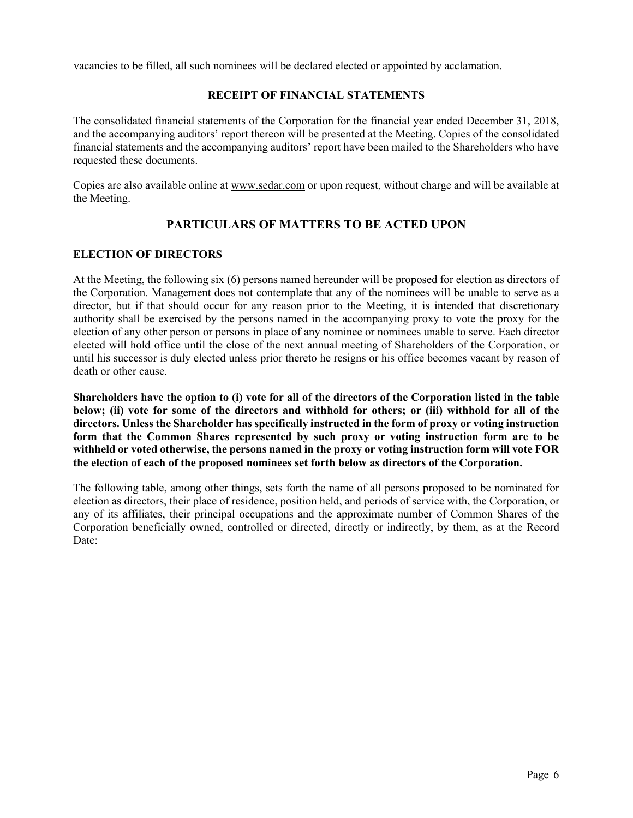vacancies to be filled, all such nominees will be declared elected or appointed by acclamation.

### **RECEIPT OF FINANCIAL STATEMENTS**

The consolidated financial statements of the Corporation for the financial year ended December 31, 2018, and the accompanying auditors' report thereon will be presented at the Meeting. Copies of the consolidated financial statements and the accompanying auditors' report have been mailed to the Shareholders who have requested these documents.

Copies are also available online at www.sedar.com or upon request, without charge and will be available at the Meeting.

# **PARTICULARS OF MATTERS TO BE ACTED UPON**

### **ELECTION OF DIRECTORS**

At the Meeting, the following six (6) persons named hereunder will be proposed for election as directors of the Corporation. Management does not contemplate that any of the nominees will be unable to serve as a director, but if that should occur for any reason prior to the Meeting, it is intended that discretionary authority shall be exercised by the persons named in the accompanying proxy to vote the proxy for the election of any other person or persons in place of any nominee or nominees unable to serve. Each director elected will hold office until the close of the next annual meeting of Shareholders of the Corporation, or until his successor is duly elected unless prior thereto he resigns or his office becomes vacant by reason of death or other cause.

**Shareholders have the option to (i) vote for all of the directors of the Corporation listed in the table below; (ii) vote for some of the directors and withhold for others; or (iii) withhold for all of the directors. Unless the Shareholder has specifically instructed in the form of proxy or voting instruction form that the Common Shares represented by such proxy or voting instruction form are to be withheld or voted otherwise, the persons named in the proxy or voting instruction form will vote FOR the election of each of the proposed nominees set forth below as directors of the Corporation.**

The following table, among other things, sets forth the name of all persons proposed to be nominated for election as directors, their place of residence, position held, and periods of service with, the Corporation, or any of its affiliates, their principal occupations and the approximate number of Common Shares of the Corporation beneficially owned, controlled or directed, directly or indirectly, by them, as at the Record Date: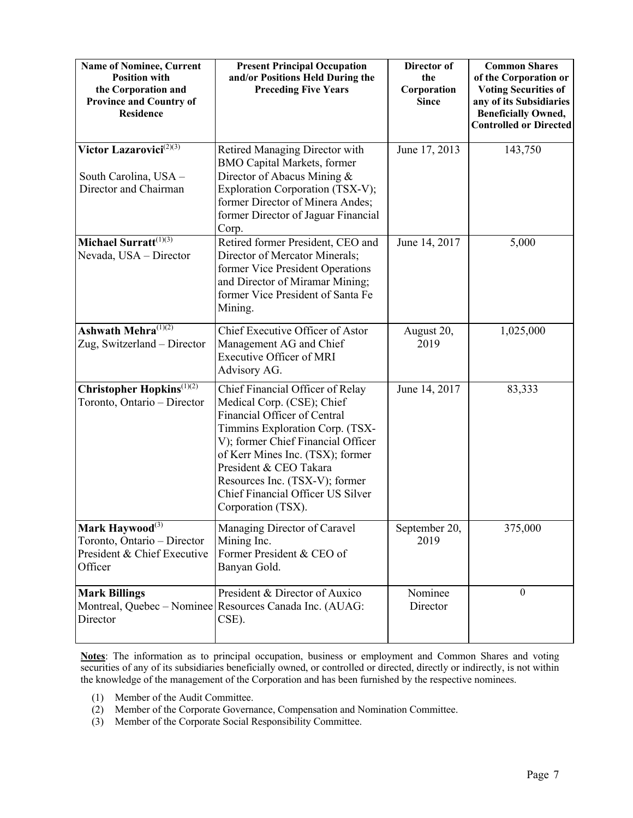| <b>Name of Nominee, Current</b><br><b>Position with</b><br>the Corporation and<br><b>Province and Country of</b><br><b>Residence</b> | <b>Present Principal Occupation</b><br>and/or Positions Held During the<br><b>Preceding Five Years</b>                                                                                                                                                                                                                             | Director of<br>the<br>Corporation<br><b>Since</b> | <b>Common Shares</b><br>of the Corporation or<br><b>Voting Securities of</b><br>any of its Subsidiaries<br><b>Beneficially Owned,</b><br><b>Controlled or Directed</b> |
|--------------------------------------------------------------------------------------------------------------------------------------|------------------------------------------------------------------------------------------------------------------------------------------------------------------------------------------------------------------------------------------------------------------------------------------------------------------------------------|---------------------------------------------------|------------------------------------------------------------------------------------------------------------------------------------------------------------------------|
| Victor Lazarovici <sup>(2)(3)</sup><br>South Carolina, USA -<br>Director and Chairman                                                | Retired Managing Director with<br><b>BMO Capital Markets, former</b><br>Director of Abacus Mining &<br>Exploration Corporation (TSX-V);<br>former Director of Minera Andes;<br>former Director of Jaguar Financial<br>Corp.                                                                                                        | June 17, 2013                                     | 143,750                                                                                                                                                                |
| Michael Surratt <sup>(1)(3)</sup><br>Nevada, USA - Director                                                                          | Retired former President, CEO and<br>Director of Mercator Minerals;<br>former Vice President Operations<br>and Director of Miramar Mining;<br>former Vice President of Santa Fe<br>Mining.                                                                                                                                         | June 14, 2017                                     | 5,000                                                                                                                                                                  |
| Ashwath Mehra $^{(1)(2)}$<br>Zug, Switzerland - Director                                                                             | Chief Executive Officer of Astor<br>Management AG and Chief<br>Executive Officer of MRI<br>Advisory AG.                                                                                                                                                                                                                            | August 20,<br>2019                                | 1,025,000                                                                                                                                                              |
| Christopher Hopkins <sup>(1)(2)</sup><br>Toronto, Ontario - Director                                                                 | Chief Financial Officer of Relay<br>Medical Corp. (CSE); Chief<br>Financial Officer of Central<br>Timmins Exploration Corp. (TSX-<br>V); former Chief Financial Officer<br>of Kerr Mines Inc. (TSX); former<br>President & CEO Takara<br>Resources Inc. (TSX-V); former<br>Chief Financial Officer US Silver<br>Corporation (TSX). | June 14, 2017                                     | 83,333                                                                                                                                                                 |
| Mark Haywood <sup>(3)</sup><br>Toronto, Ontario - Director<br>President & Chief Executive<br>Officer                                 | Managing Director of Caravel<br>Mining Inc.<br>Former President & CEO of<br>Banyan Gold.                                                                                                                                                                                                                                           | September 20,<br>2019                             | 375,000                                                                                                                                                                |
| <b>Mark Billings</b><br>Director                                                                                                     | President & Director of Auxico<br>Montreal, Quebec – Nominee Resources Canada Inc. (AUAG:<br>CSE).                                                                                                                                                                                                                                 | Nominee<br>Director                               | $\Omega$                                                                                                                                                               |

**Notes**: The information as to principal occupation, business or employment and Common Shares and voting securities of any of its subsidiaries beneficially owned, or controlled or directed, directly or indirectly, is not within the knowledge of the management of the Corporation and has been furnished by the respective nominees.

- (1) Member of the Audit Committee.
- (2) Member of the Corporate Governance, Compensation and Nomination Committee.
- (3) Member of the Corporate Social Responsibility Committee.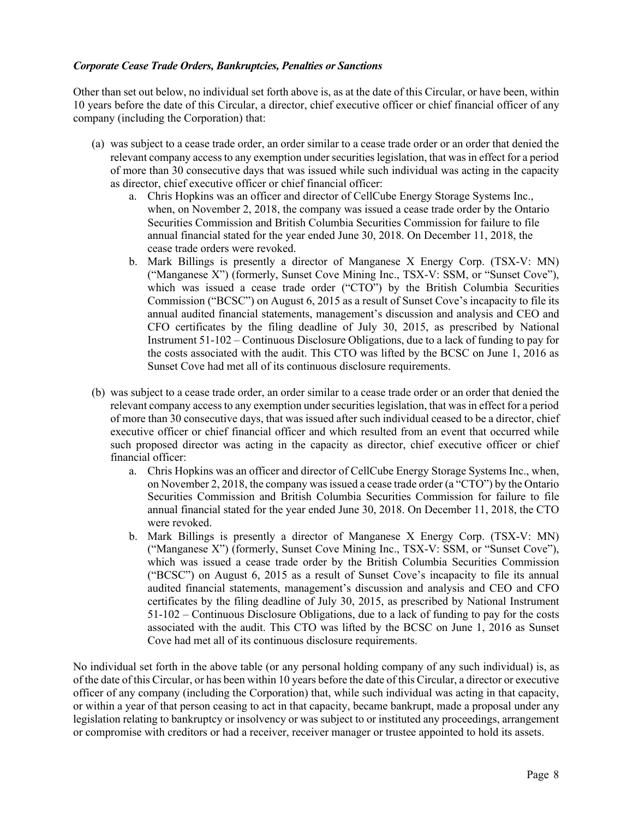### *Corporate Cease Trade Orders, Bankruptcies, Penalties or Sanctions*

Other than set out below, no individual set forth above is, as at the date of this Circular, or have been, within 10 years before the date of this Circular, a director, chief executive officer or chief financial officer of any company (including the Corporation) that:

- (a) was subject to a cease trade order, an order similar to a cease trade order or an order that denied the relevant company access to any exemption under securities legislation, that was in effect for a period of more than 30 consecutive days that was issued while such individual was acting in the capacity as director, chief executive officer or chief financial officer:
	- a. Chris Hopkins was an officer and director of CellCube Energy Storage Systems Inc., when, on November 2, 2018, the company was issued a cease trade order by the Ontario Securities Commission and British Columbia Securities Commission for failure to file annual financial stated for the year ended June 30, 2018. On December 11, 2018, the cease trade orders were revoked.
	- b. Mark Billings is presently a director of Manganese X Energy Corp. (TSX-V: MN) ("Manganese X") (formerly, Sunset Cove Mining Inc., TSX-V: SSM, or "Sunset Cove"), which was issued a cease trade order ("CTO") by the British Columbia Securities Commission ("BCSC") on August 6, 2015 as a result of Sunset Cove's incapacity to file its annual audited financial statements, management's discussion and analysis and CEO and CFO certificates by the filing deadline of July 30, 2015, as prescribed by National Instrument 51-102 – Continuous Disclosure Obligations, due to a lack of funding to pay for the costs associated with the audit. This CTO was lifted by the BCSC on June 1, 2016 as Sunset Cove had met all of its continuous disclosure requirements.
- (b) was subject to a cease trade order, an order similar to a cease trade order or an order that denied the relevant company access to any exemption under securities legislation, that was in effect for a period of more than 30 consecutive days, that was issued after such individual ceased to be a director, chief executive officer or chief financial officer and which resulted from an event that occurred while such proposed director was acting in the capacity as director, chief executive officer or chief financial officer:
	- a. Chris Hopkins was an officer and director of CellCube Energy Storage Systems Inc., when, on November 2, 2018, the company was issued a cease trade order (a "CTO") by the Ontario Securities Commission and British Columbia Securities Commission for failure to file annual financial stated for the year ended June 30, 2018. On December 11, 2018, the CTO were revoked.
	- b. Mark Billings is presently a director of Manganese X Energy Corp. (TSX-V: MN) ("Manganese X") (formerly, Sunset Cove Mining Inc., TSX-V: SSM, or "Sunset Cove"), which was issued a cease trade order by the British Columbia Securities Commission ("BCSC") on August 6, 2015 as a result of Sunset Cove's incapacity to file its annual audited financial statements, management's discussion and analysis and CEO and CFO certificates by the filing deadline of July 30, 2015, as prescribed by National Instrument 51-102 – Continuous Disclosure Obligations, due to a lack of funding to pay for the costs associated with the audit. This CTO was lifted by the BCSC on June 1, 2016 as Sunset Cove had met all of its continuous disclosure requirements.

No individual set forth in the above table (or any personal holding company of any such individual) is, as of the date of this Circular, or has been within 10 years before the date of this Circular, a director or executive officer of any company (including the Corporation) that, while such individual was acting in that capacity, or within a year of that person ceasing to act in that capacity, became bankrupt, made a proposal under any legislation relating to bankruptcy or insolvency or was subject to or instituted any proceedings, arrangement or compromise with creditors or had a receiver, receiver manager or trustee appointed to hold its assets.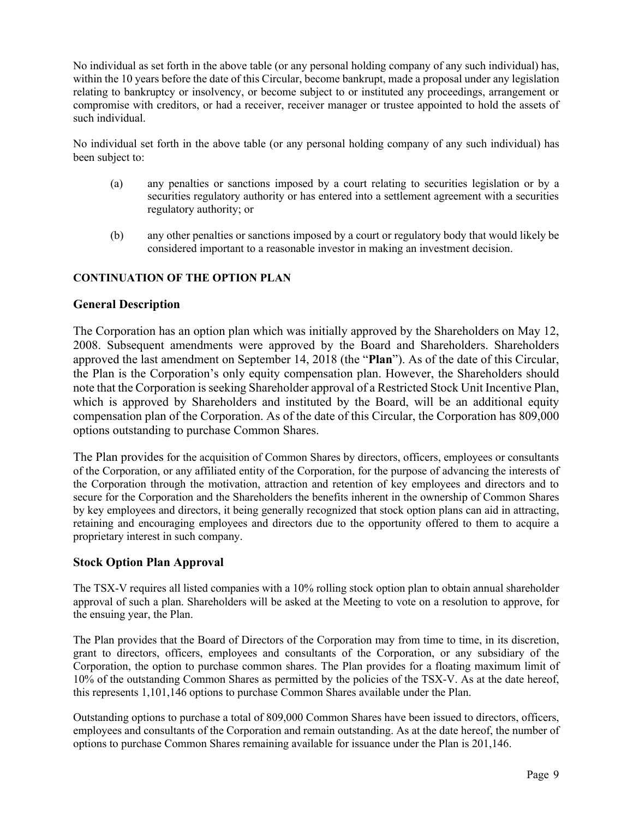No individual as set forth in the above table (or any personal holding company of any such individual) has, within the 10 years before the date of this Circular, become bankrupt, made a proposal under any legislation relating to bankruptcy or insolvency, or become subject to or instituted any proceedings, arrangement or compromise with creditors, or had a receiver, receiver manager or trustee appointed to hold the assets of such individual.

No individual set forth in the above table (or any personal holding company of any such individual) has been subject to:

- (a) any penalties or sanctions imposed by a court relating to securities legislation or by a securities regulatory authority or has entered into a settlement agreement with a securities regulatory authority; or
- (b) any other penalties or sanctions imposed by a court or regulatory body that would likely be considered important to a reasonable investor in making an investment decision.

### **CONTINUATION OF THE OPTION PLAN**

### **General Description**

The Corporation has an option plan which was initially approved by the Shareholders on May 12, 2008. Subsequent amendments were approved by the Board and Shareholders. Shareholders approved the last amendment on September 14, 2018 (the "**Plan**"). As of the date of this Circular, the Plan is the Corporation's only equity compensation plan. However, the Shareholders should note that the Corporation is seeking Shareholder approval of a Restricted Stock Unit Incentive Plan, which is approved by Shareholders and instituted by the Board, will be an additional equity compensation plan of the Corporation. As of the date of this Circular, the Corporation has 809,000 options outstanding to purchase Common Shares.

The Plan provides for the acquisition of Common Shares by directors, officers, employees or consultants of the Corporation, or any affiliated entity of the Corporation, for the purpose of advancing the interests of the Corporation through the motivation, attraction and retention of key employees and directors and to secure for the Corporation and the Shareholders the benefits inherent in the ownership of Common Shares by key employees and directors, it being generally recognized that stock option plans can aid in attracting, retaining and encouraging employees and directors due to the opportunity offered to them to acquire a proprietary interest in such company.

### **Stock Option Plan Approval**

The TSX-V requires all listed companies with a 10% rolling stock option plan to obtain annual shareholder approval of such a plan. Shareholders will be asked at the Meeting to vote on a resolution to approve, for the ensuing year, the Plan.

The Plan provides that the Board of Directors of the Corporation may from time to time, in its discretion, grant to directors, officers, employees and consultants of the Corporation, or any subsidiary of the Corporation, the option to purchase common shares. The Plan provides for a floating maximum limit of 10% of the outstanding Common Shares as permitted by the policies of the TSX-V. As at the date hereof, this represents 1,101,146 options to purchase Common Shares available under the Plan.

Outstanding options to purchase a total of 809,000 Common Shares have been issued to directors, officers, employees and consultants of the Corporation and remain outstanding. As at the date hereof, the number of options to purchase Common Shares remaining available for issuance under the Plan is 201,146.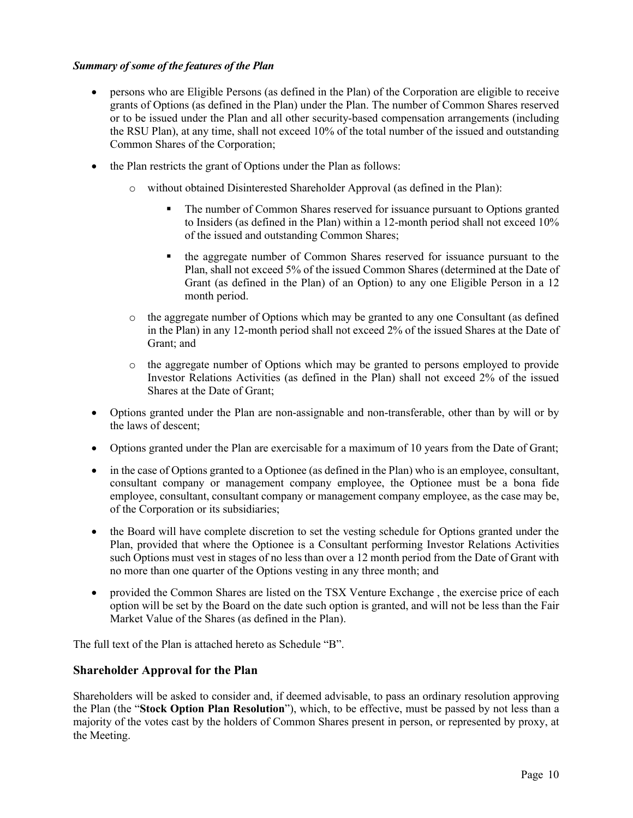### *Summary of some of the features of the Plan*

- persons who are Eligible Persons (as defined in the Plan) of the Corporation are eligible to receive grants of Options (as defined in the Plan) under the Plan. The number of Common Shares reserved or to be issued under the Plan and all other security-based compensation arrangements (including the RSU Plan), at any time, shall not exceed 10% of the total number of the issued and outstanding Common Shares of the Corporation;
- the Plan restricts the grant of Options under the Plan as follows:
	- o without obtained Disinterested Shareholder Approval (as defined in the Plan):
		- The number of Common Shares reserved for issuance pursuant to Options granted to Insiders (as defined in the Plan) within a 12-month period shall not exceed 10% of the issued and outstanding Common Shares;
		- the aggregate number of Common Shares reserved for issuance pursuant to the Plan, shall not exceed 5% of the issued Common Shares (determined at the Date of Grant (as defined in the Plan) of an Option) to any one Eligible Person in a 12 month period.
	- o the aggregate number of Options which may be granted to any one Consultant (as defined in the Plan) in any 12-month period shall not exceed 2% of the issued Shares at the Date of Grant; and
	- o the aggregate number of Options which may be granted to persons employed to provide Investor Relations Activities (as defined in the Plan) shall not exceed 2% of the issued Shares at the Date of Grant;
- Options granted under the Plan are non-assignable and non-transferable, other than by will or by the laws of descent;
- Options granted under the Plan are exercisable for a maximum of 10 years from the Date of Grant;
- in the case of Options granted to a Optionee (as defined in the Plan) who is an employee, consultant, consultant company or management company employee, the Optionee must be a bona fide employee, consultant, consultant company or management company employee, as the case may be, of the Corporation or its subsidiaries;
- the Board will have complete discretion to set the vesting schedule for Options granted under the Plan, provided that where the Optionee is a Consultant performing Investor Relations Activities such Options must vest in stages of no less than over a 12 month period from the Date of Grant with no more than one quarter of the Options vesting in any three month; and
- provided the Common Shares are listed on the TSX Venture Exchange , the exercise price of each option will be set by the Board on the date such option is granted, and will not be less than the Fair Market Value of the Shares (as defined in the Plan).

The full text of the Plan is attached hereto as Schedule "B".

### **Shareholder Approval for the Plan**

Shareholders will be asked to consider and, if deemed advisable, to pass an ordinary resolution approving the Plan (the "**Stock Option Plan Resolution**"), which, to be effective, must be passed by not less than a majority of the votes cast by the holders of Common Shares present in person, or represented by proxy, at the Meeting.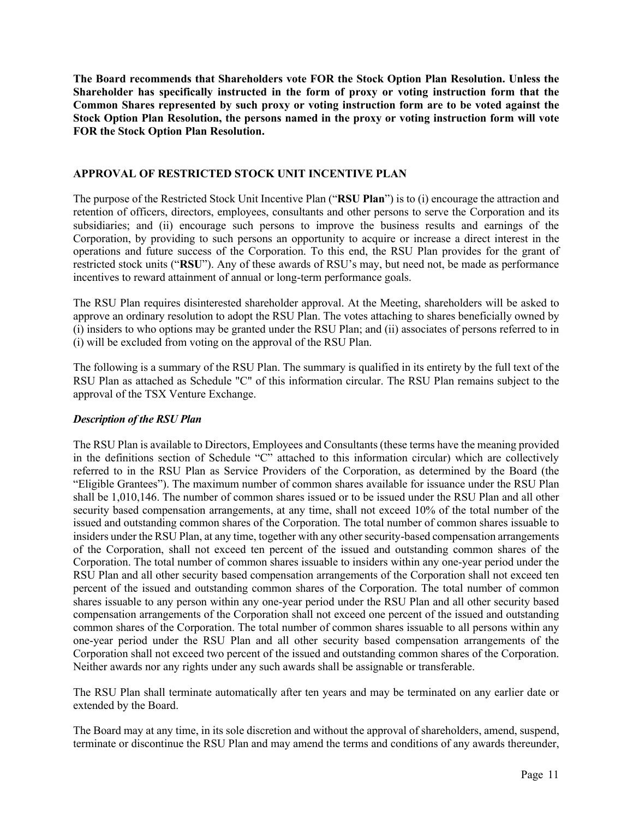**The Board recommends that Shareholders vote FOR the Stock Option Plan Resolution. Unless the Shareholder has specifically instructed in the form of proxy or voting instruction form that the Common Shares represented by such proxy or voting instruction form are to be voted against the Stock Option Plan Resolution, the persons named in the proxy or voting instruction form will vote FOR the Stock Option Plan Resolution.**

### **APPROVAL OF RESTRICTED STOCK UNIT INCENTIVE PLAN**

The purpose of the Restricted Stock Unit Incentive Plan ("**RSU Plan**") is to (i) encourage the attraction and retention of officers, directors, employees, consultants and other persons to serve the Corporation and its subsidiaries; and (ii) encourage such persons to improve the business results and earnings of the Corporation, by providing to such persons an opportunity to acquire or increase a direct interest in the operations and future success of the Corporation. To this end, the RSU Plan provides for the grant of restricted stock units ("**RSU**"). Any of these awards of RSU's may, but need not, be made as performance incentives to reward attainment of annual or long-term performance goals.

The RSU Plan requires disinterested shareholder approval. At the Meeting, shareholders will be asked to approve an ordinary resolution to adopt the RSU Plan. The votes attaching to shares beneficially owned by (i) insiders to who options may be granted under the RSU Plan; and (ii) associates of persons referred to in (i) will be excluded from voting on the approval of the RSU Plan.

The following is a summary of the RSU Plan. The summary is qualified in its entirety by the full text of the RSU Plan as attached as Schedule "C" of this information circular. The RSU Plan remains subject to the approval of the TSX Venture Exchange.

### *Description of the RSU Plan*

The RSU Plan is available to Directors, Employees and Consultants (these terms have the meaning provided in the definitions section of Schedule "C" attached to this information circular) which are collectively referred to in the RSU Plan as Service Providers of the Corporation, as determined by the Board (the "Eligible Grantees"). The maximum number of common shares available for issuance under the RSU Plan shall be 1,010,146. The number of common shares issued or to be issued under the RSU Plan and all other security based compensation arrangements, at any time, shall not exceed 10% of the total number of the issued and outstanding common shares of the Corporation. The total number of common shares issuable to insiders under the RSU Plan, at any time, together with any other security-based compensation arrangements of the Corporation, shall not exceed ten percent of the issued and outstanding common shares of the Corporation. The total number of common shares issuable to insiders within any one-year period under the RSU Plan and all other security based compensation arrangements of the Corporation shall not exceed ten percent of the issued and outstanding common shares of the Corporation. The total number of common shares issuable to any person within any one-year period under the RSU Plan and all other security based compensation arrangements of the Corporation shall not exceed one percent of the issued and outstanding common shares of the Corporation. The total number of common shares issuable to all persons within any one-year period under the RSU Plan and all other security based compensation arrangements of the Corporation shall not exceed two percent of the issued and outstanding common shares of the Corporation. Neither awards nor any rights under any such awards shall be assignable or transferable.

The RSU Plan shall terminate automatically after ten years and may be terminated on any earlier date or extended by the Board.

The Board may at any time, in its sole discretion and without the approval of shareholders, amend, suspend, terminate or discontinue the RSU Plan and may amend the terms and conditions of any awards thereunder,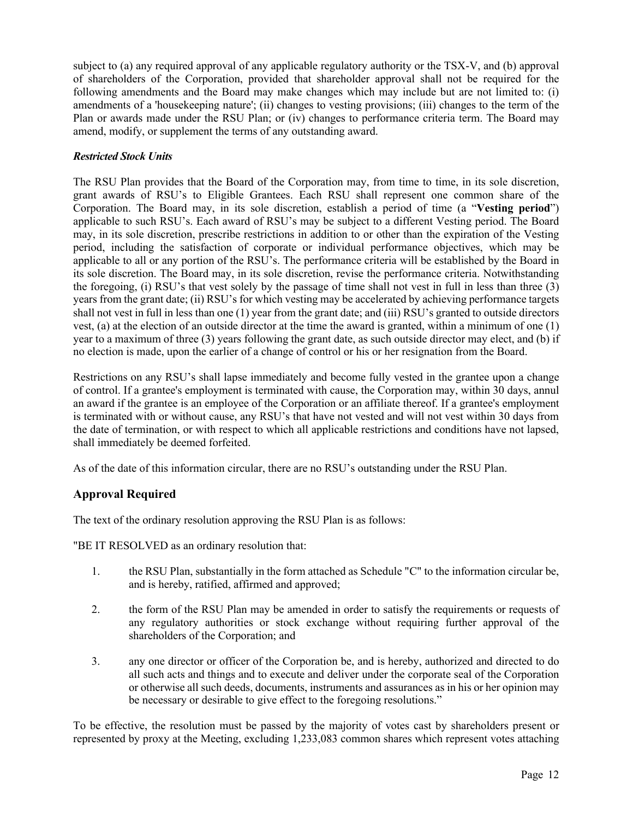subject to (a) any required approval of any applicable regulatory authority or the TSX-V, and (b) approval of shareholders of the Corporation, provided that shareholder approval shall not be required for the following amendments and the Board may make changes which may include but are not limited to: (i) amendments of a 'housekeeping nature'; (ii) changes to vesting provisions; (iii) changes to the term of the Plan or awards made under the RSU Plan; or (iv) changes to performance criteria term. The Board may amend, modify, or supplement the terms of any outstanding award.

# *Restricted Stock Units*

The RSU Plan provides that the Board of the Corporation may, from time to time, in its sole discretion, grant awards of RSU's to Eligible Grantees. Each RSU shall represent one common share of the Corporation. The Board may, in its sole discretion, establish a period of time (a "**Vesting period**") applicable to such RSU's. Each award of RSU's may be subject to a different Vesting period. The Board may, in its sole discretion, prescribe restrictions in addition to or other than the expiration of the Vesting period, including the satisfaction of corporate or individual performance objectives, which may be applicable to all or any portion of the RSU's. The performance criteria will be established by the Board in its sole discretion. The Board may, in its sole discretion, revise the performance criteria. Notwithstanding the foregoing, (i) RSU's that vest solely by the passage of time shall not vest in full in less than three (3) years from the grant date; (ii) RSU's for which vesting may be accelerated by achieving performance targets shall not vest in full in less than one (1) year from the grant date; and (iii) RSU's granted to outside directors vest, (a) at the election of an outside director at the time the award is granted, within a minimum of one (1) year to a maximum of three (3) years following the grant date, as such outside director may elect, and (b) if no election is made, upon the earlier of a change of control or his or her resignation from the Board.

Restrictions on any RSU's shall lapse immediately and become fully vested in the grantee upon a change of control. If a grantee's employment is terminated with cause, the Corporation may, within 30 days, annul an award if the grantee is an employee of the Corporation or an affiliate thereof. If a grantee's employment is terminated with or without cause, any RSU's that have not vested and will not vest within 30 days from the date of termination, or with respect to which all applicable restrictions and conditions have not lapsed, shall immediately be deemed forfeited.

As of the date of this information circular, there are no RSU's outstanding under the RSU Plan.

# **Approval Required**

The text of the ordinary resolution approving the RSU Plan is as follows:

"BE IT RESOLVED as an ordinary resolution that:

- 1. the RSU Plan, substantially in the form attached as Schedule "C" to the information circular be, and is hereby, ratified, affirmed and approved;
- 2. the form of the RSU Plan may be amended in order to satisfy the requirements or requests of any regulatory authorities or stock exchange without requiring further approval of the shareholders of the Corporation; and
- 3. any one director or officer of the Corporation be, and is hereby, authorized and directed to do all such acts and things and to execute and deliver under the corporate seal of the Corporation or otherwise all such deeds, documents, instruments and assurances as in his or her opinion may be necessary or desirable to give effect to the foregoing resolutions."

To be effective, the resolution must be passed by the majority of votes cast by shareholders present or represented by proxy at the Meeting, excluding 1,233,083 common shares which represent votes attaching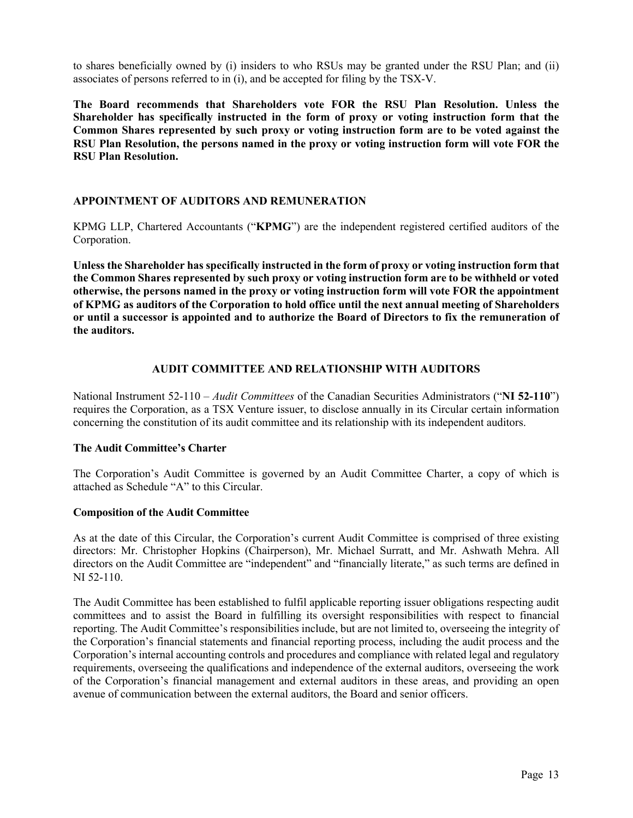to shares beneficially owned by (i) insiders to who RSUs may be granted under the RSU Plan; and (ii) associates of persons referred to in (i), and be accepted for filing by the TSX-V.

**The Board recommends that Shareholders vote FOR the RSU Plan Resolution. Unless the Shareholder has specifically instructed in the form of proxy or voting instruction form that the Common Shares represented by such proxy or voting instruction form are to be voted against the RSU Plan Resolution, the persons named in the proxy or voting instruction form will vote FOR the RSU Plan Resolution.** 

### **APPOINTMENT OF AUDITORS AND REMUNERATION**

KPMG LLP, Chartered Accountants ("**KPMG**") are the independent registered certified auditors of the Corporation.

**Unless the Shareholder has specifically instructed in the form of proxy or voting instruction form that the Common Shares represented by such proxy or voting instruction form are to be withheld or voted otherwise, the persons named in the proxy or voting instruction form will vote FOR the appointment of KPMG as auditors of the Corporation to hold office until the next annual meeting of Shareholders or until a successor is appointed and to authorize the Board of Directors to fix the remuneration of the auditors.**

### **AUDIT COMMITTEE AND RELATIONSHIP WITH AUDITORS**

National Instrument 52-110 – *Audit Committees* of the Canadian Securities Administrators ("**NI 52-110**") requires the Corporation, as a TSX Venture issuer, to disclose annually in its Circular certain information concerning the constitution of its audit committee and its relationship with its independent auditors.

### **The Audit Committee's Charter**

The Corporation's Audit Committee is governed by an Audit Committee Charter, a copy of which is attached as Schedule "A" to this Circular.

### **Composition of the Audit Committee**

As at the date of this Circular, the Corporation's current Audit Committee is comprised of three existing directors: Mr. Christopher Hopkins (Chairperson), Mr. Michael Surratt, and Mr. Ashwath Mehra. All directors on the Audit Committee are "independent" and "financially literate," as such terms are defined in NI 52-110.

The Audit Committee has been established to fulfil applicable reporting issuer obligations respecting audit committees and to assist the Board in fulfilling its oversight responsibilities with respect to financial reporting. The Audit Committee's responsibilities include, but are not limited to, overseeing the integrity of the Corporation's financial statements and financial reporting process, including the audit process and the Corporation's internal accounting controls and procedures and compliance with related legal and regulatory requirements, overseeing the qualifications and independence of the external auditors, overseeing the work of the Corporation's financial management and external auditors in these areas, and providing an open avenue of communication between the external auditors, the Board and senior officers.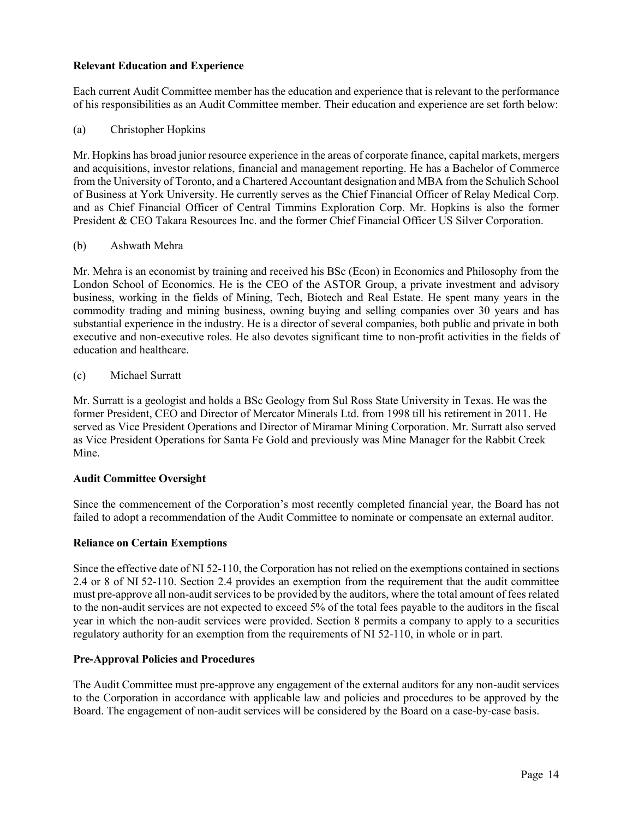### **Relevant Education and Experience**

Each current Audit Committee member has the education and experience that is relevant to the performance of his responsibilities as an Audit Committee member. Their education and experience are set forth below:

(a) Christopher Hopkins

Mr. Hopkins has broad junior resource experience in the areas of corporate finance, capital markets, mergers and acquisitions, investor relations, financial and management reporting. He has a Bachelor of Commerce from the University of Toronto, and a Chartered Accountant designation and MBA from the Schulich School of Business at York University. He currently serves as the Chief Financial Officer of Relay Medical Corp. and as Chief Financial Officer of Central Timmins Exploration Corp. Mr. Hopkins is also the former President & CEO Takara Resources Inc. and the former Chief Financial Officer US Silver Corporation.

### (b) Ashwath Mehra

Mr. Mehra is an economist by training and received his BSc (Econ) in Economics and Philosophy from the London School of Economics. He is the CEO of the ASTOR Group, a private investment and advisory business, working in the fields of Mining, Tech, Biotech and Real Estate. He spent many years in the commodity trading and mining business, owning buying and selling companies over 30 years and has substantial experience in the industry. He is a director of several companies, both public and private in both executive and non-executive roles. He also devotes significant time to non-profit activities in the fields of education and healthcare.

### (c) Michael Surratt

Mr. Surratt is a geologist and holds a BSc Geology from Sul Ross State University in Texas. He was the former President, CEO and Director of Mercator Minerals Ltd. from 1998 till his retirement in 2011. He served as Vice President Operations and Director of Miramar Mining Corporation. Mr. Surratt also served as Vice President Operations for Santa Fe Gold and previously was Mine Manager for the Rabbit Creek Mine.

### **Audit Committee Oversight**

Since the commencement of the Corporation's most recently completed financial year, the Board has not failed to adopt a recommendation of the Audit Committee to nominate or compensate an external auditor.

### **Reliance on Certain Exemptions**

Since the effective date of NI 52-110, the Corporation has not relied on the exemptions contained in sections 2.4 or 8 of NI 52-110. Section 2.4 provides an exemption from the requirement that the audit committee must pre-approve all non-audit services to be provided by the auditors, where the total amount of fees related to the non-audit services are not expected to exceed 5% of the total fees payable to the auditors in the fiscal year in which the non-audit services were provided. Section 8 permits a company to apply to a securities regulatory authority for an exemption from the requirements of NI 52-110, in whole or in part.

### **Pre-Approval Policies and Procedures**

The Audit Committee must pre-approve any engagement of the external auditors for any non-audit services to the Corporation in accordance with applicable law and policies and procedures to be approved by the Board. The engagement of non-audit services will be considered by the Board on a case-by-case basis.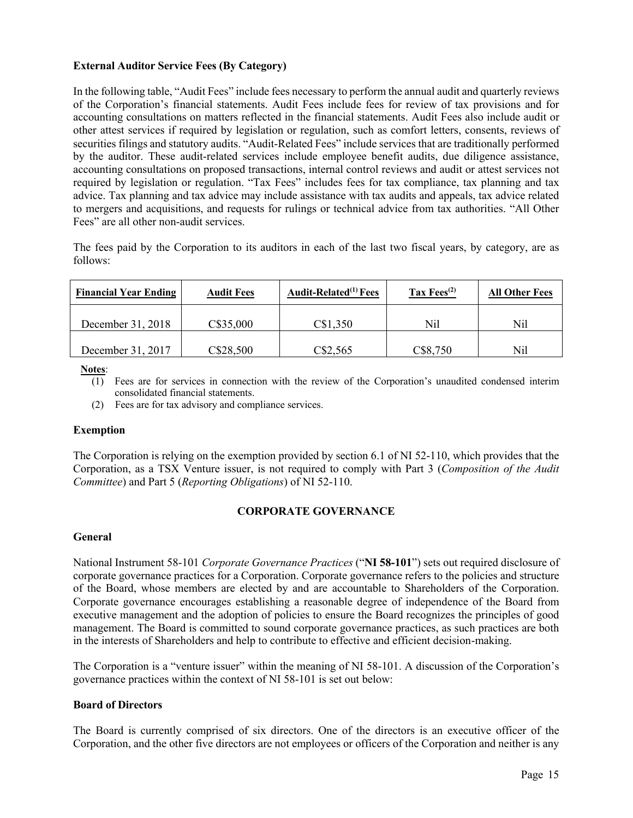### **External Auditor Service Fees (By Category)**

In the following table, "Audit Fees" include fees necessary to perform the annual audit and quarterly reviews of the Corporation's financial statements. Audit Fees include fees for review of tax provisions and for accounting consultations on matters reflected in the financial statements. Audit Fees also include audit or other attest services if required by legislation or regulation, such as comfort letters, consents, reviews of securities filings and statutory audits. "Audit-Related Fees" include services that are traditionally performed by the auditor. These audit-related services include employee benefit audits, due diligence assistance, accounting consultations on proposed transactions, internal control reviews and audit or attest services not required by legislation or regulation. "Tax Fees" includes fees for tax compliance, tax planning and tax advice. Tax planning and tax advice may include assistance with tax audits and appeals, tax advice related to mergers and acquisitions, and requests for rulings or technical advice from tax authorities. "All Other Fees" are all other non-audit services.

The fees paid by the Corporation to its auditors in each of the last two fiscal years, by category, are as follows:

| <b>Financial Year Ending</b> | <b>Audit Fees</b> | <b>Audit-Related</b> <sup>(1)</sup> Fees | Tax $Fees^{(2)}$ | <b>All Other Fees</b> |
|------------------------------|-------------------|------------------------------------------|------------------|-----------------------|
| December 31, 2018            | C\$35,000         | C\$1,350                                 | Nil              | Nil                   |
| December 31, 2017            | C\$28,500         | CS2,565                                  | C\$8,750         | Nil                   |

**Notes**:

- (1) Fees are for services in connection with the review of the Corporation's unaudited condensed interim consolidated financial statements.
- (2) Fees are for tax advisory and compliance services.

#### **Exemption**

The Corporation is relying on the exemption provided by section 6.1 of NI 52-110, which provides that the Corporation, as a TSX Venture issuer, is not required to comply with Part 3 (*Composition of the Audit Committee*) and Part 5 (*Reporting Obligations*) of NI 52-110.

### **CORPORATE GOVERNANCE**

### **General**

National Instrument 58-101 *Corporate Governance Practices* ("**NI 58-101**") sets out required disclosure of corporate governance practices for a Corporation. Corporate governance refers to the policies and structure of the Board, whose members are elected by and are accountable to Shareholders of the Corporation. Corporate governance encourages establishing a reasonable degree of independence of the Board from executive management and the adoption of policies to ensure the Board recognizes the principles of good management. The Board is committed to sound corporate governance practices, as such practices are both in the interests of Shareholders and help to contribute to effective and efficient decision-making.

The Corporation is a "venture issuer" within the meaning of NI 58-101. A discussion of the Corporation's governance practices within the context of NI 58-101 is set out below:

#### **Board of Directors**

The Board is currently comprised of six directors. One of the directors is an executive officer of the Corporation, and the other five directors are not employees or officers of the Corporation and neither is any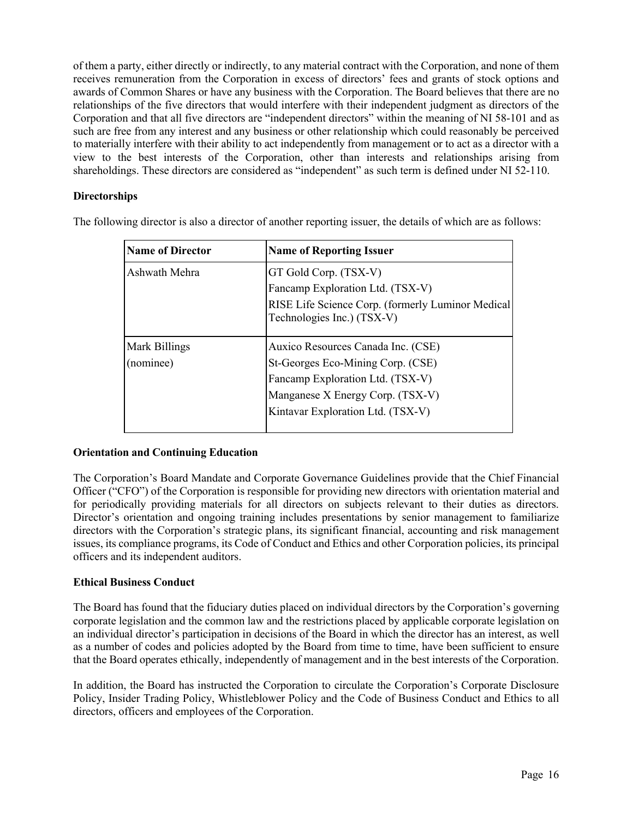of them a party, either directly or indirectly, to any material contract with the Corporation, and none of them receives remuneration from the Corporation in excess of directors' fees and grants of stock options and awards of Common Shares or have any business with the Corporation. The Board believes that there are no relationships of the five directors that would interfere with their independent judgment as directors of the Corporation and that all five directors are "independent directors" within the meaning of NI 58-101 and as such are free from any interest and any business or other relationship which could reasonably be perceived to materially interfere with their ability to act independently from management or to act as a director with a view to the best interests of the Corporation, other than interests and relationships arising from shareholdings. These directors are considered as "independent" as such term is defined under NI 52-110.

### **Directorships**

The following director is also a director of another reporting issuer, the details of which are as follows:

| <b>Name of Director</b> | <b>Name of Reporting Issuer</b>                                                  |
|-------------------------|----------------------------------------------------------------------------------|
| Ashwath Mehra           | GT Gold Corp. (TSX-V)                                                            |
|                         | Fancamp Exploration Ltd. (TSX-V)                                                 |
|                         | RISE Life Science Corp. (formerly Luminor Medical)<br>Technologies Inc.) (TSX-V) |
| Mark Billings           | Auxico Resources Canada Inc. (CSE)                                               |
| (nominee)               | St-Georges Eco-Mining Corp. (CSE)                                                |
|                         | Fancamp Exploration Ltd. (TSX-V)                                                 |
|                         | Manganese X Energy Corp. (TSX-V)                                                 |
|                         | Kintavar Exploration Ltd. (TSX-V)                                                |
|                         |                                                                                  |

### **Orientation and Continuing Education**

The Corporation's Board Mandate and Corporate Governance Guidelines provide that the Chief Financial Officer ("CFO") of the Corporation is responsible for providing new directors with orientation material and for periodically providing materials for all directors on subjects relevant to their duties as directors. Director's orientation and ongoing training includes presentations by senior management to familiarize directors with the Corporation's strategic plans, its significant financial, accounting and risk management issues, its compliance programs, its Code of Conduct and Ethics and other Corporation policies, its principal officers and its independent auditors.

### **Ethical Business Conduct**

The Board has found that the fiduciary duties placed on individual directors by the Corporation's governing corporate legislation and the common law and the restrictions placed by applicable corporate legislation on an individual director's participation in decisions of the Board in which the director has an interest, as well as a number of codes and policies adopted by the Board from time to time, have been sufficient to ensure that the Board operates ethically, independently of management and in the best interests of the Corporation.

In addition, the Board has instructed the Corporation to circulate the Corporation's Corporate Disclosure Policy, Insider Trading Policy, Whistleblower Policy and the Code of Business Conduct and Ethics to all directors, officers and employees of the Corporation.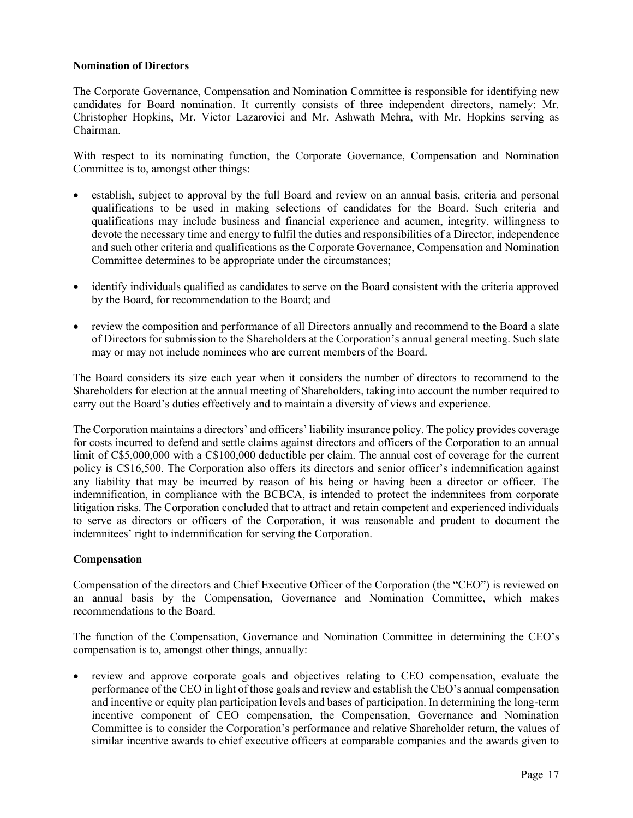### **Nomination of Directors**

The Corporate Governance, Compensation and Nomination Committee is responsible for identifying new candidates for Board nomination. It currently consists of three independent directors, namely: Mr. Christopher Hopkins, Mr. Victor Lazarovici and Mr. Ashwath Mehra, with Mr. Hopkins serving as Chairman.

With respect to its nominating function, the Corporate Governance, Compensation and Nomination Committee is to, amongst other things:

- establish, subject to approval by the full Board and review on an annual basis, criteria and personal qualifications to be used in making selections of candidates for the Board. Such criteria and qualifications may include business and financial experience and acumen, integrity, willingness to devote the necessary time and energy to fulfil the duties and responsibilities of a Director, independence and such other criteria and qualifications as the Corporate Governance, Compensation and Nomination Committee determines to be appropriate under the circumstances;
- identify individuals qualified as candidates to serve on the Board consistent with the criteria approved by the Board, for recommendation to the Board; and
- review the composition and performance of all Directors annually and recommend to the Board a slate of Directors for submission to the Shareholders at the Corporation's annual general meeting. Such slate may or may not include nominees who are current members of the Board.

The Board considers its size each year when it considers the number of directors to recommend to the Shareholders for election at the annual meeting of Shareholders, taking into account the number required to carry out the Board's duties effectively and to maintain a diversity of views and experience.

The Corporation maintains a directors' and officers' liability insurance policy. The policy provides coverage for costs incurred to defend and settle claims against directors and officers of the Corporation to an annual limit of C\$5,000,000 with a C\$100,000 deductible per claim. The annual cost of coverage for the current policy is C\$16,500. The Corporation also offers its directors and senior officer's indemnification against any liability that may be incurred by reason of his being or having been a director or officer. The indemnification, in compliance with the BCBCA, is intended to protect the indemnitees from corporate litigation risks. The Corporation concluded that to attract and retain competent and experienced individuals to serve as directors or officers of the Corporation, it was reasonable and prudent to document the indemnitees' right to indemnification for serving the Corporation.

### **Compensation**

Compensation of the directors and Chief Executive Officer of the Corporation (the "CEO") is reviewed on an annual basis by the Compensation, Governance and Nomination Committee, which makes recommendations to the Board.

The function of the Compensation, Governance and Nomination Committee in determining the CEO's compensation is to, amongst other things, annually:

• review and approve corporate goals and objectives relating to CEO compensation, evaluate the performance of the CEO in light of those goals and review and establish the CEO's annual compensation and incentive or equity plan participation levels and bases of participation. In determining the long-term incentive component of CEO compensation, the Compensation, Governance and Nomination Committee is to consider the Corporation's performance and relative Shareholder return, the values of similar incentive awards to chief executive officers at comparable companies and the awards given to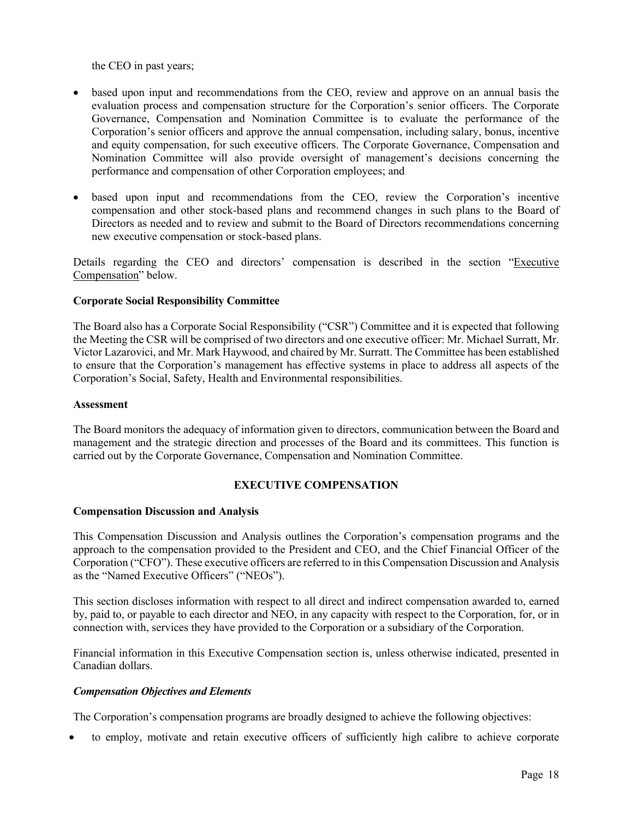the CEO in past years;

- based upon input and recommendations from the CEO, review and approve on an annual basis the evaluation process and compensation structure for the Corporation's senior officers. The Corporate Governance, Compensation and Nomination Committee is to evaluate the performance of the Corporation's senior officers and approve the annual compensation, including salary, bonus, incentive and equity compensation, for such executive officers. The Corporate Governance, Compensation and Nomination Committee will also provide oversight of management's decisions concerning the performance and compensation of other Corporation employees; and
- based upon input and recommendations from the CEO, review the Corporation's incentive compensation and other stock-based plans and recommend changes in such plans to the Board of Directors as needed and to review and submit to the Board of Directors recommendations concerning new executive compensation or stock-based plans.

Details regarding the CEO and directors' compensation is described in the section "Executive Compensation" below.

### **Corporate Social Responsibility Committee**

The Board also has a Corporate Social Responsibility ("CSR") Committee and it is expected that following the Meeting the CSR will be comprised of two directors and one executive officer: Mr. Michael Surratt, Mr. Victor Lazarovici, and Mr. Mark Haywood, and chaired by Mr. Surratt. The Committee has been established to ensure that the Corporation's management has effective systems in place to address all aspects of the Corporation's Social, Safety, Health and Environmental responsibilities.

#### **Assessment**

The Board monitors the adequacy of information given to directors, communication between the Board and management and the strategic direction and processes of the Board and its committees. This function is carried out by the Corporate Governance, Compensation and Nomination Committee.

### **EXECUTIVE COMPENSATION**

#### **Compensation Discussion and Analysis**

This Compensation Discussion and Analysis outlines the Corporation's compensation programs and the approach to the compensation provided to the President and CEO, and the Chief Financial Officer of the Corporation ("CFO"). These executive officers are referred to in this Compensation Discussion and Analysis as the "Named Executive Officers" ("NEOs").

This section discloses information with respect to all direct and indirect compensation awarded to, earned by, paid to, or payable to each director and NEO, in any capacity with respect to the Corporation, for, or in connection with, services they have provided to the Corporation or a subsidiary of the Corporation.

Financial information in this Executive Compensation section is, unless otherwise indicated, presented in Canadian dollars.

#### *Compensation Objectives and Elements*

The Corporation's compensation programs are broadly designed to achieve the following objectives:

• to employ, motivate and retain executive officers of sufficiently high calibre to achieve corporate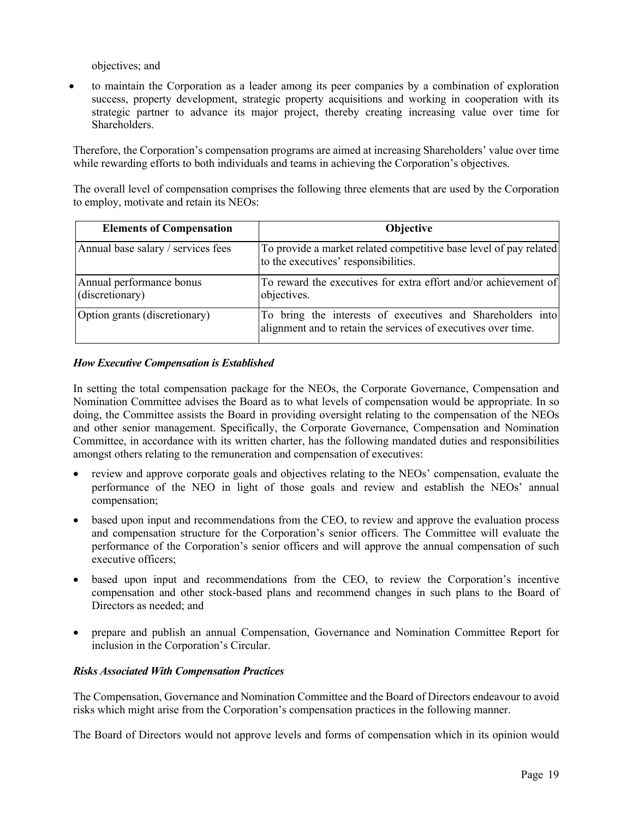objectives; and

• to maintain the Corporation as a leader among its peer companies by a combination of exploration success, property development, strategic property acquisitions and working in cooperation with its strategic partner to advance its major project, thereby creating increasing value over time for Shareholders.

Therefore, the Corporation's compensation programs are aimed at increasing Shareholders' value over time while rewarding efforts to both individuals and teams in achieving the Corporation's objectives.

The overall level of compensation comprises the following three elements that are used by the Corporation to employ, motivate and retain its NEOs:

| <b>Elements of Compensation</b>             | <b>Objective</b>                                                                                                            |
|---------------------------------------------|-----------------------------------------------------------------------------------------------------------------------------|
| Annual base salary / services fees          | To provide a market related competitive base level of pay related<br>to the executives' responsibilities.                   |
| Annual performance bonus<br>(discretionary) | To reward the executives for extra effort and/or achievement of<br>objectives.                                              |
| Option grants (discretionary)               | To bring the interests of executives and Shareholders into<br>alignment and to retain the services of executives over time. |

#### *How Executive Compensation is Established*

In setting the total compensation package for the NEOs, the Corporate Governance, Compensation and Nomination Committee advises the Board as to what levels of compensation would be appropriate. In so doing, the Committee assists the Board in providing oversight relating to the compensation of the NEOs and other senior management. Specifically, the Corporate Governance, Compensation and Nomination Committee, in accordance with its written charter, has the following mandated duties and responsibilities amongst others relating to the remuneration and compensation of executives:

- review and approve corporate goals and objectives relating to the NEOs' compensation, evaluate the performance of the NEO in light of those goals and review and establish the NEOs' annual compensation;
- based upon input and recommendations from the CEO, to review and approve the evaluation process and compensation structure for the Corporation's senior officers. The Committee will evaluate the performance of the Corporation's senior officers and will approve the annual compensation of such executive officers;
- based upon input and recommendations from the CEO, to review the Corporation's incentive compensation and other stock-based plans and recommend changes in such plans to the Board of Directors as needed; and
- prepare and publish an annual Compensation, Governance and Nomination Committee Report for inclusion in the Corporation's Circular.

### *Risks Associated With Compensation Practices*

The Compensation, Governance and Nomination Committee and the Board of Directors endeavour to avoid risks which might arise from the Corporation's compensation practices in the following manner.

The Board of Directors would not approve levels and forms of compensation which in its opinion would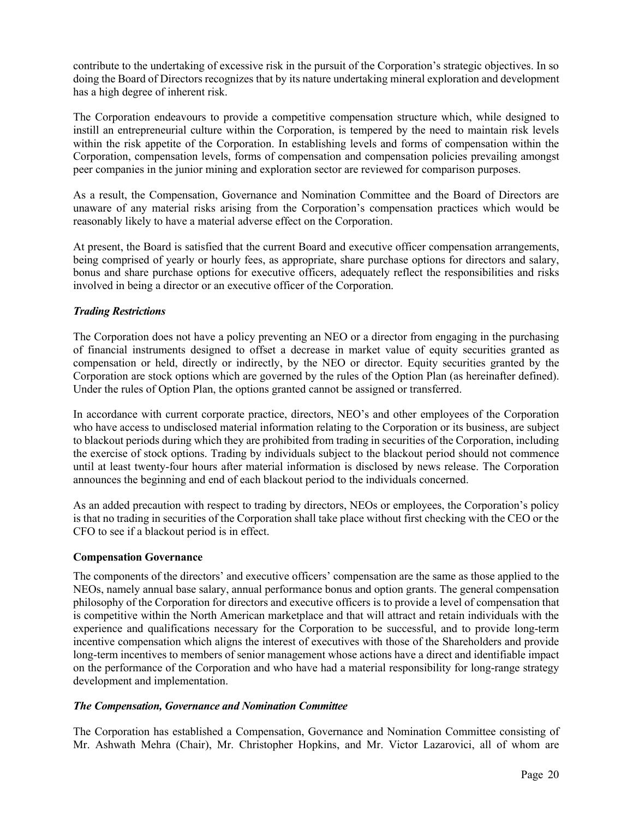contribute to the undertaking of excessive risk in the pursuit of the Corporation's strategic objectives. In so doing the Board of Directors recognizes that by its nature undertaking mineral exploration and development has a high degree of inherent risk.

The Corporation endeavours to provide a competitive compensation structure which, while designed to instill an entrepreneurial culture within the Corporation, is tempered by the need to maintain risk levels within the risk appetite of the Corporation. In establishing levels and forms of compensation within the Corporation, compensation levels, forms of compensation and compensation policies prevailing amongst peer companies in the junior mining and exploration sector are reviewed for comparison purposes.

As a result, the Compensation, Governance and Nomination Committee and the Board of Directors are unaware of any material risks arising from the Corporation's compensation practices which would be reasonably likely to have a material adverse effect on the Corporation.

At present, the Board is satisfied that the current Board and executive officer compensation arrangements, being comprised of yearly or hourly fees, as appropriate, share purchase options for directors and salary, bonus and share purchase options for executive officers, adequately reflect the responsibilities and risks involved in being a director or an executive officer of the Corporation.

### *Trading Restrictions*

The Corporation does not have a policy preventing an NEO or a director from engaging in the purchasing of financial instruments designed to offset a decrease in market value of equity securities granted as compensation or held, directly or indirectly, by the NEO or director. Equity securities granted by the Corporation are stock options which are governed by the rules of the Option Plan (as hereinafter defined). Under the rules of Option Plan, the options granted cannot be assigned or transferred.

In accordance with current corporate practice, directors, NEO's and other employees of the Corporation who have access to undisclosed material information relating to the Corporation or its business, are subject to blackout periods during which they are prohibited from trading in securities of the Corporation, including the exercise of stock options. Trading by individuals subject to the blackout period should not commence until at least twenty-four hours after material information is disclosed by news release. The Corporation announces the beginning and end of each blackout period to the individuals concerned.

As an added precaution with respect to trading by directors, NEOs or employees, the Corporation's policy is that no trading in securities of the Corporation shall take place without first checking with the CEO or the CFO to see if a blackout period is in effect.

### **Compensation Governance**

The components of the directors' and executive officers' compensation are the same as those applied to the NEOs, namely annual base salary, annual performance bonus and option grants. The general compensation philosophy of the Corporation for directors and executive officers is to provide a level of compensation that is competitive within the North American marketplace and that will attract and retain individuals with the experience and qualifications necessary for the Corporation to be successful, and to provide long-term incentive compensation which aligns the interest of executives with those of the Shareholders and provide long-term incentives to members of senior management whose actions have a direct and identifiable impact on the performance of the Corporation and who have had a material responsibility for long-range strategy development and implementation.

### *The Compensation, Governance and Nomination Committee*

The Corporation has established a Compensation, Governance and Nomination Committee consisting of Mr. Ashwath Mehra (Chair), Mr. Christopher Hopkins, and Mr. Victor Lazarovici, all of whom are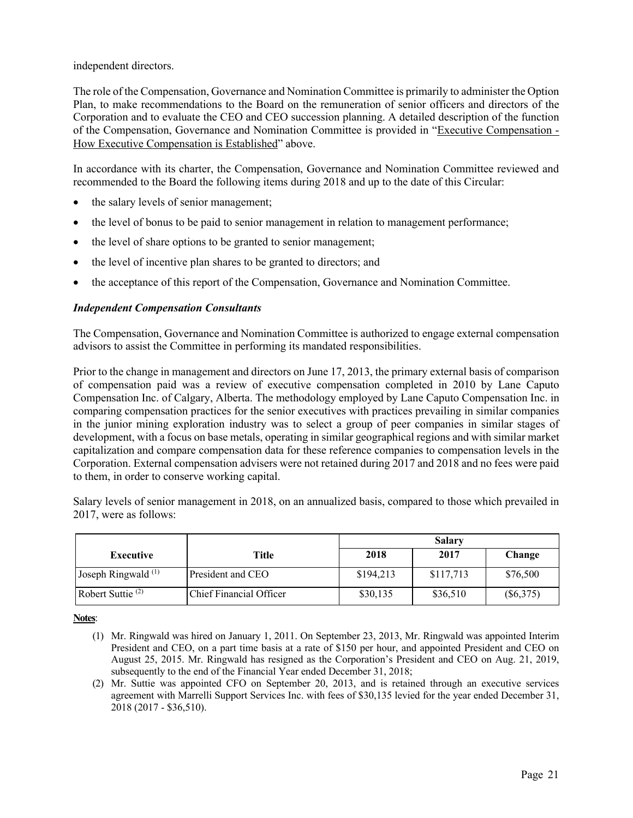independent directors.

The role of the Compensation, Governance and Nomination Committee is primarily to administer the Option Plan, to make recommendations to the Board on the remuneration of senior officers and directors of the Corporation and to evaluate the CEO and CEO succession planning. A detailed description of the function of the Compensation, Governance and Nomination Committee is provided in "Executive Compensation - How Executive Compensation is Established" above.

In accordance with its charter, the Compensation, Governance and Nomination Committee reviewed and recommended to the Board the following items during 2018 and up to the date of this Circular:

- the salary levels of senior management;
- the level of bonus to be paid to senior management in relation to management performance;
- the level of share options to be granted to senior management;
- the level of incentive plan shares to be granted to directors; and
- the acceptance of this report of the Compensation, Governance and Nomination Committee.

### *Independent Compensation Consultants*

The Compensation, Governance and Nomination Committee is authorized to engage external compensation advisors to assist the Committee in performing its mandated responsibilities.

Prior to the change in management and directors on June 17, 2013, the primary external basis of comparison of compensation paid was a review of executive compensation completed in 2010 by Lane Caputo Compensation Inc. of Calgary, Alberta. The methodology employed by Lane Caputo Compensation Inc. in comparing compensation practices for the senior executives with practices prevailing in similar companies in the junior mining exploration industry was to select a group of peer companies in similar stages of development, with a focus on base metals, operating in similar geographical regions and with similar market capitalization and compare compensation data for these reference companies to compensation levels in the Corporation. External compensation advisers were not retained during 2017 and 2018 and no fees were paid to them, in order to conserve working capital.

Salary levels of senior management in 2018, on an annualized basis, compared to those which prevailed in 2017, were as follows:

|                                |                         | <b>Salary</b> |           |             |
|--------------------------------|-------------------------|---------------|-----------|-------------|
| <b>Executive</b>               | Title                   | 2018          | 2017      | Change      |
| Joseph Ringwald <sup>(1)</sup> | President and CEO       | \$194,213     | \$117,713 | \$76,500    |
| Robert Suttie $(2)$            | Chief Financial Officer | \$30,135      | \$36,510  | $(\$6,375)$ |

**Notes**:

- (1) Mr. Ringwald was hired on January 1, 2011. On September 23, 2013, Mr. Ringwald was appointed Interim President and CEO, on a part time basis at a rate of \$150 per hour, and appointed President and CEO on August 25, 2015. Mr. Ringwald has resigned as the Corporation's President and CEO on Aug. 21, 2019, subsequently to the end of the Financial Year ended December 31, 2018;
- (2) Mr. Suttie was appointed CFO on September 20, 2013, and is retained through an executive services agreement with Marrelli Support Services Inc. with fees of \$30,135 levied for the year ended December 31, 2018 (2017 - \$36,510).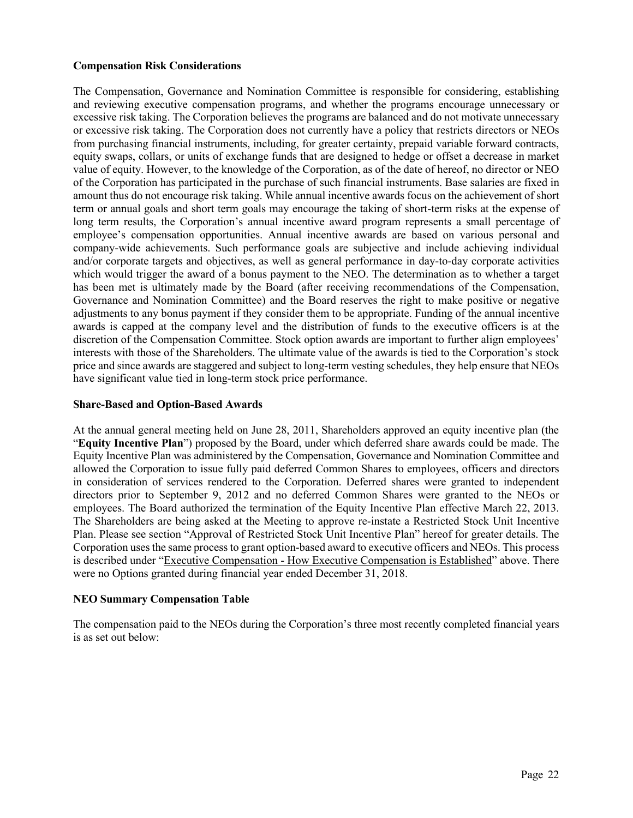### **Compensation Risk Considerations**

The Compensation, Governance and Nomination Committee is responsible for considering, establishing and reviewing executive compensation programs, and whether the programs encourage unnecessary or excessive risk taking. The Corporation believes the programs are balanced and do not motivate unnecessary or excessive risk taking. The Corporation does not currently have a policy that restricts directors or NEOs from purchasing financial instruments, including, for greater certainty, prepaid variable forward contracts, equity swaps, collars, or units of exchange funds that are designed to hedge or offset a decrease in market value of equity. However, to the knowledge of the Corporation, as of the date of hereof, no director or NEO of the Corporation has participated in the purchase of such financial instruments. Base salaries are fixed in amount thus do not encourage risk taking. While annual incentive awards focus on the achievement of short term or annual goals and short term goals may encourage the taking of short-term risks at the expense of long term results, the Corporation's annual incentive award program represents a small percentage of employee's compensation opportunities. Annual incentive awards are based on various personal and company-wide achievements. Such performance goals are subjective and include achieving individual and/or corporate targets and objectives, as well as general performance in day-to-day corporate activities which would trigger the award of a bonus payment to the NEO. The determination as to whether a target has been met is ultimately made by the Board (after receiving recommendations of the Compensation, Governance and Nomination Committee) and the Board reserves the right to make positive or negative adjustments to any bonus payment if they consider them to be appropriate. Funding of the annual incentive awards is capped at the company level and the distribution of funds to the executive officers is at the discretion of the Compensation Committee. Stock option awards are important to further align employees' interests with those of the Shareholders. The ultimate value of the awards is tied to the Corporation's stock price and since awards are staggered and subject to long-term vesting schedules, they help ensure that NEOs have significant value tied in long-term stock price performance.

#### **Share-Based and Option-Based Awards**

At the annual general meeting held on June 28, 2011, Shareholders approved an equity incentive plan (the "**Equity Incentive Plan**") proposed by the Board, under which deferred share awards could be made. The Equity Incentive Plan was administered by the Compensation, Governance and Nomination Committee and allowed the Corporation to issue fully paid deferred Common Shares to employees, officers and directors in consideration of services rendered to the Corporation. Deferred shares were granted to independent directors prior to September 9, 2012 and no deferred Common Shares were granted to the NEOs or employees. The Board authorized the termination of the Equity Incentive Plan effective March 22, 2013. The Shareholders are being asked at the Meeting to approve re-instate a Restricted Stock Unit Incentive Plan. Please see section "Approval of Restricted Stock Unit Incentive Plan" hereof for greater details. The Corporation uses the same process to grant option-based award to executive officers and NEOs. This process is described under "Executive Compensation - How Executive Compensation is Established" above. There were no Options granted during financial year ended December 31, 2018.

### **NEO Summary Compensation Table**

The compensation paid to the NEOs during the Corporation's three most recently completed financial years is as set out below: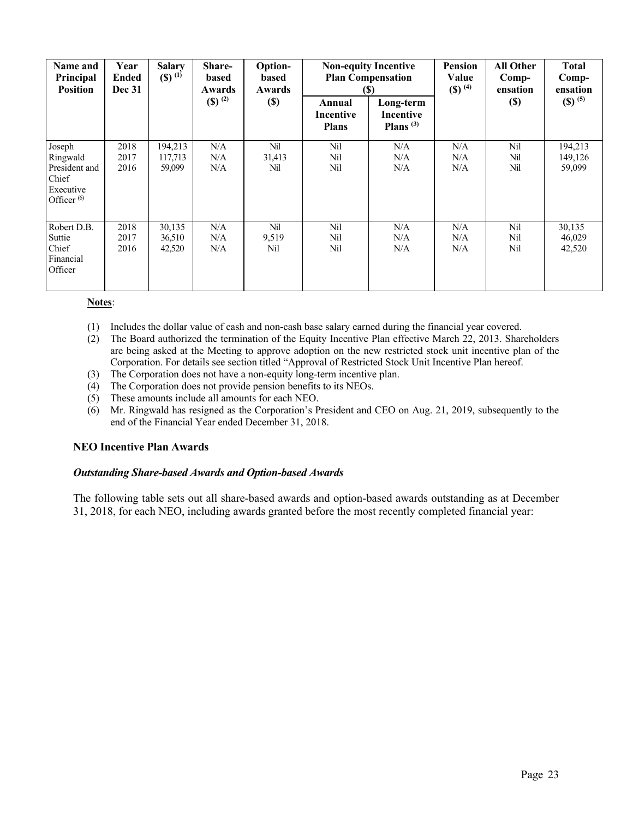| Name and<br>Principal<br><b>Position</b>                                      | Year<br><b>Ended</b><br><b>Dec 31</b> | <b>Salary</b><br>$($ \$) $^{(1)}$ | <b>Share-</b><br>based<br>Awards | Option-<br>based<br><b>Awards</b> | <b>Non-equity Incentive</b><br><b>Plan Compensation</b><br>(\$) |                                              | <b>Pension</b><br>Value<br>$($ ) $($ <sup>4</sup> $)$ | <b>All Other</b><br>Comp-<br>ensation | <b>Total</b><br>Comp-<br>ensation |
|-------------------------------------------------------------------------------|---------------------------------------|-----------------------------------|----------------------------------|-----------------------------------|-----------------------------------------------------------------|----------------------------------------------|-------------------------------------------------------|---------------------------------------|-----------------------------------|
|                                                                               |                                       |                                   | $(S)$ <sup>(2)</sup>             | $(\$)$                            | Annual<br>Incentive<br><b>Plans</b>                             | Long-term<br><b>Incentive</b><br>Plans $(3)$ |                                                       | <b>(\$)</b>                           | $(S)$ <sup>(5)</sup>              |
| Joseph<br>Ringwald<br>President and<br>Chief<br>Executive<br>Officer $^{(6)}$ | 2018<br>2017<br>2016                  | 194,213<br>117,713<br>59,099      | N/A<br>N/A<br>N/A                | Nil<br>31,413<br>Nil              | Nil<br>Nil<br>Nil                                               | N/A<br>N/A<br>N/A                            | N/A<br>N/A<br>N/A                                     | Nil<br>Nil<br>Nil                     | 194,213<br>149,126<br>59,099      |
| Robert D.B.<br>Suttie<br>Chief<br>Financial<br>Officer                        | 2018<br>2017<br>2016                  | 30,135<br>36,510<br>42,520        | N/A<br>N/A<br>N/A                | Nil<br>9,519<br>Nil               | Nil<br>Nil<br>Nil                                               | N/A<br>N/A<br>N/A                            | N/A<br>N/A<br>N/A                                     | Nil<br>Nil<br>Nil                     | 30,135<br>46,029<br>42,520        |

#### **Notes**:

- (1) Includes the dollar value of cash and non-cash base salary earned during the financial year covered.
- (2) The Board authorized the termination of the Equity Incentive Plan effective March 22, 2013. Shareholders are being asked at the Meeting to approve adoption on the new restricted stock unit incentive plan of the Corporation. For details see section titled "Approval of Restricted Stock Unit Incentive Plan hereof.
- (3) The Corporation does not have a non-equity long-term incentive plan.
- (4) The Corporation does not provide pension benefits to its NEOs.
- (5) These amounts include all amounts for each NEO.
- (6) Mr. Ringwald has resigned as the Corporation's President and CEO on Aug. 21, 2019, subsequently to the end of the Financial Year ended December 31, 2018.

#### **NEO Incentive Plan Awards**

#### *Outstanding Share-based Awards and Option-based Awards*

The following table sets out all share-based awards and option-based awards outstanding as at December 31, 2018, for each NEO, including awards granted before the most recently completed financial year: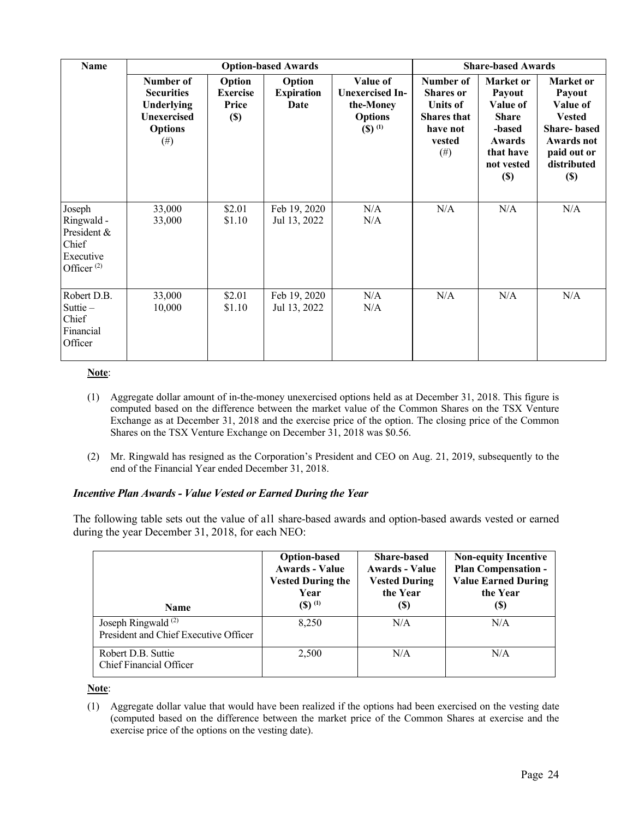| <b>Name</b>                                                                |                                                                                                  |                                                                  | <b>Option-based Awards</b>          |                                                                                                 |                                                                                                        | <b>Share-based Awards</b>                                                                                       |                                                                                                                                         |
|----------------------------------------------------------------------------|--------------------------------------------------------------------------------------------------|------------------------------------------------------------------|-------------------------------------|-------------------------------------------------------------------------------------------------|--------------------------------------------------------------------------------------------------------|-----------------------------------------------------------------------------------------------------------------|-----------------------------------------------------------------------------------------------------------------------------------------|
|                                                                            | Number of<br><b>Securities</b><br>Underlying<br><b>Unexercised</b><br><b>Options</b><br>$^{(#)}$ | Option<br><b>Exercise</b><br>Price<br>$\left( \mathbb{S}\right)$ | Option<br><b>Expiration</b><br>Date | Value of<br><b>Unexercised In-</b><br>the-Money<br><b>Options</b><br>$($ ) $($ <sup>1</sup> $)$ | Number of<br><b>Shares</b> or<br><b>Units of</b><br><b>Shares that</b><br>have not<br>vested<br>$(\#)$ | Market or<br>Payout<br>Value of<br><b>Share</b><br>-based<br><b>Awards</b><br>that have<br>not vested<br>$(\$)$ | Market or<br><b>Payout</b><br>Value of<br><b>Vested</b><br><b>Share-based</b><br><b>Awards not</b><br>paid out or<br>distributed<br>(S) |
| Joseph<br>Ringwald -<br>President &<br>Chief<br>Executive<br>Officer $(2)$ | 33,000<br>33,000                                                                                 | \$2.01<br>\$1.10                                                 | Feb 19, 2020<br>Jul 13, 2022        | N/A<br>N/A                                                                                      | N/A                                                                                                    | N/A                                                                                                             | N/A                                                                                                                                     |
| Robert D.B.<br>Suttie-<br>Chief<br>Financial<br>Officer                    | 33,000<br>10,000                                                                                 | \$2.01<br>\$1.10                                                 | Feb 19, 2020<br>Jul 13, 2022        | N/A<br>N/A                                                                                      | N/A                                                                                                    | N/A                                                                                                             | N/A                                                                                                                                     |

### **Note**:

- (1) Aggregate dollar amount of in-the-money unexercised options held as at December 31, 2018. This figure is computed based on the difference between the market value of the Common Shares on the TSX Venture Exchange as at December 31, 2018 and the exercise price of the option. The closing price of the Common Shares on the TSX Venture Exchange on December 31, 2018 was \$0.56.
- (2) Mr. Ringwald has resigned as the Corporation's President and CEO on Aug. 21, 2019, subsequently to the end of the Financial Year ended December 31, 2018.

### *Incentive Plan Awards - Value Vested or Earned During the Year*

The following table sets out the value of all share-based awards and option-based awards vested or earned during the year December 31, 2018, for each NEO:

| <b>Name</b>                                                             | <b>Option-based</b><br><b>Awards - Value</b><br><b>Vested During the</b><br>Year<br>$($ \$) $^{(1)}$ | <b>Share-based</b><br><b>Awards - Value</b><br><b>Vested During</b><br>the Year<br>(S) | <b>Non-equity Incentive</b><br><b>Plan Compensation -</b><br><b>Value Earned During</b><br>the Year<br>(\$) |
|-------------------------------------------------------------------------|------------------------------------------------------------------------------------------------------|----------------------------------------------------------------------------------------|-------------------------------------------------------------------------------------------------------------|
| Joseph Ringwald <sup>(2)</sup><br>President and Chief Executive Officer | 8.250                                                                                                | N/A                                                                                    | N/A                                                                                                         |
| Robert D.B. Suttie<br>Chief Financial Officer                           | 2.500                                                                                                | N/A                                                                                    | N/A                                                                                                         |

#### **Note**:

(1) Aggregate dollar value that would have been realized if the options had been exercised on the vesting date (computed based on the difference between the market price of the Common Shares at exercise and the exercise price of the options on the vesting date).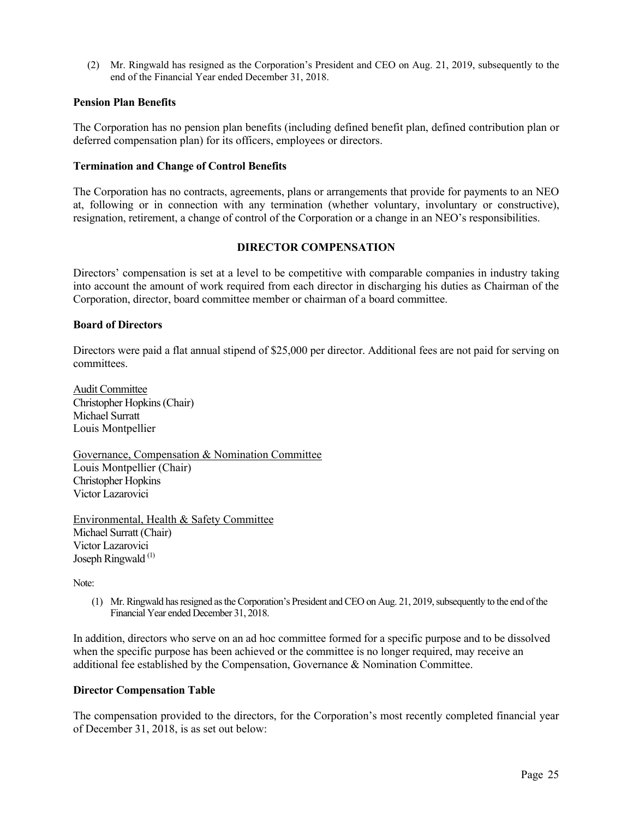(2) Mr. Ringwald has resigned as the Corporation's President and CEO on Aug. 21, 2019, subsequently to the end of the Financial Year ended December 31, 2018.

#### **Pension Plan Benefits**

The Corporation has no pension plan benefits (including defined benefit plan, defined contribution plan or deferred compensation plan) for its officers, employees or directors.

#### **Termination and Change of Control Benefits**

The Corporation has no contracts, agreements, plans or arrangements that provide for payments to an NEO at, following or in connection with any termination (whether voluntary, involuntary or constructive), resignation, retirement, a change of control of the Corporation or a change in an NEO's responsibilities.

### **DIRECTOR COMPENSATION**

Directors' compensation is set at a level to be competitive with comparable companies in industry taking into account the amount of work required from each director in discharging his duties as Chairman of the Corporation, director, board committee member or chairman of a board committee.

#### **Board of Directors**

Directors were paid a flat annual stipend of \$25,000 per director. Additional fees are not paid for serving on committees.

Audit Committee Christopher Hopkins(Chair) Michael Surratt Louis Montpellier

Governance, Compensation & Nomination Committee Louis Montpellier (Chair) Christopher Hopkins Victor Lazarovici

Environmental, Health & Safety Committee Michael Surratt (Chair) Victor Lazarovici Joseph Ringwald (1)

Note:

(1) Mr. Ringwald has resigned as the Corporation's President and CEO on Aug. 21, 2019, subsequently to the end of the Financial Year ended December 31, 2018.

In addition, directors who serve on an ad hoc committee formed for a specific purpose and to be dissolved when the specific purpose has been achieved or the committee is no longer required, may receive an additional fee established by the Compensation, Governance & Nomination Committee.

### **Director Compensation Table**

The compensation provided to the directors, for the Corporation's most recently completed financial year of December 31, 2018, is as set out below: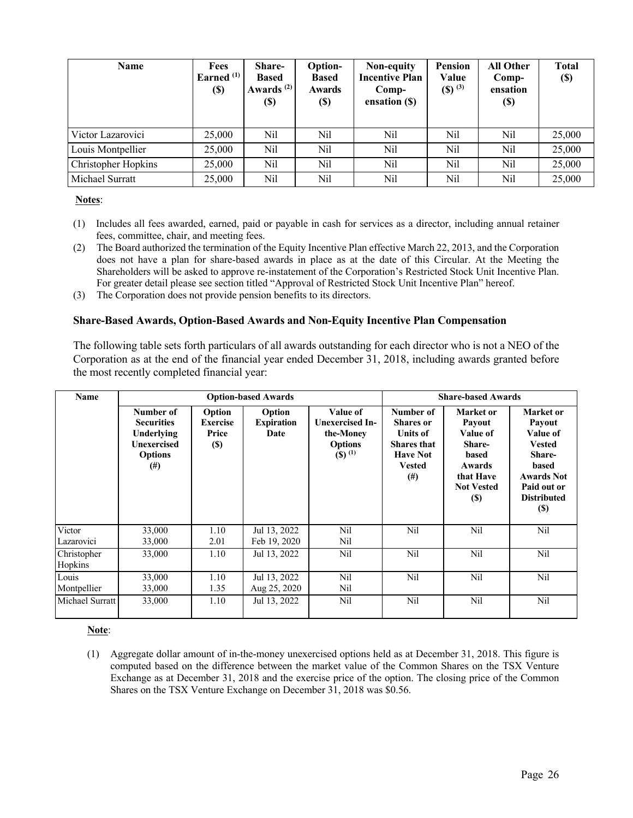| <b>Name</b>         | <b>Fees</b><br>Earned $(1)$<br>$\left( \mathbb{S}\right)$ | Share-<br><b>Based</b><br>Awards $(2)$<br><b>(\$)</b> | Option-<br><b>Based</b><br>Awards<br>$\left( \mathbb{S}\right)$ | Non-equity<br><b>Incentive Plan</b><br>Comp-<br>ensation (\$) | <b>Pension</b><br>Value<br>$(S)$ <sup>(3)</sup> | <b>All Other</b><br>Comp-<br>ensation<br>$\left( \mathbb{S}\right)$ | <b>Total</b><br>$\left( \mathbb{S}\right)$ |
|---------------------|-----------------------------------------------------------|-------------------------------------------------------|-----------------------------------------------------------------|---------------------------------------------------------------|-------------------------------------------------|---------------------------------------------------------------------|--------------------------------------------|
| Victor Lazarovici   | 25,000                                                    | Nil                                                   | Nil                                                             | Nil                                                           | Nil                                             | Nil                                                                 | 25,000                                     |
| Louis Montpellier   | 25,000                                                    | Nil                                                   | Nil                                                             | Nil                                                           | Nil                                             | Nil                                                                 | 25,000                                     |
| Christopher Hopkins | 25,000                                                    | Nil                                                   | Nil                                                             | Nil                                                           | Nil                                             | Nil                                                                 | 25,000                                     |
| Michael Surratt     | 25,000                                                    | Nil                                                   | Nil                                                             | Nil                                                           | Nil                                             | Nil                                                                 | 25,000                                     |

#### **Notes**:

- (1) Includes all fees awarded, earned, paid or payable in cash for services as a director, including annual retainer fees, committee, chair, and meeting fees.
- (2) The Board authorized the termination of the Equity Incentive Plan effective March 22, 2013, and the Corporation does not have a plan for share-based awards in place as at the date of this Circular. At the Meeting the Shareholders will be asked to approve re-instatement of the Corporation's Restricted Stock Unit Incentive Plan. For greater detail please see section titled "Approval of Restricted Stock Unit Incentive Plan" hereof.
- (3) The Corporation does not provide pension benefits to its directors.

#### **Share-Based Awards, Option-Based Awards and Non-Equity Incentive Plan Compensation**

The following table sets forth particulars of all awards outstanding for each director who is not a NEO of the Corporation as at the end of the financial year ended December 31, 2018, including awards granted before the most recently completed financial year:

| Name                   | <b>Option-based Awards</b>                                                                       |                                                   |                                     |                                                                                                 | <b>Share-based Awards</b>                                                                                              |                                                                                                              |                                                                                                                                              |
|------------------------|--------------------------------------------------------------------------------------------------|---------------------------------------------------|-------------------------------------|-------------------------------------------------------------------------------------------------|------------------------------------------------------------------------------------------------------------------------|--------------------------------------------------------------------------------------------------------------|----------------------------------------------------------------------------------------------------------------------------------------------|
|                        | Number of<br><b>Securities</b><br>Underlying<br><b>Unexercised</b><br><b>Options</b><br>$^{(#)}$ | Option<br><b>Exercise</b><br>Price<br><b>(\$)</b> | Option<br><b>Expiration</b><br>Date | Value of<br><b>Unexercised In-</b><br>the-Money<br><b>Options</b><br>$($ ) $($ <sup>1</sup> $)$ | Number of<br><b>Shares or</b><br><b>Units of</b><br><b>Shares that</b><br><b>Have Not</b><br><b>Vested</b><br>$^{(#)}$ | Market or<br>Payout<br>Value of<br>Share-<br>based<br>Awards<br>that Have<br><b>Not Vested</b><br><b>(S)</b> | Market or<br>Payout<br>Value of<br><b>Vested</b><br>Share-<br>based<br><b>Awards Not</b><br>Paid out or<br><b>Distributed</b><br><b>(\$)</b> |
| Victor<br>Lazarovici   | 33,000<br>33,000                                                                                 | 1.10<br>2.01                                      | Jul 13, 2022<br>Feb 19, 2020        | Nil<br>Nil                                                                                      | Nil                                                                                                                    | Nil                                                                                                          | Nil                                                                                                                                          |
| Christopher<br>Hopkins | 33,000                                                                                           | 1.10                                              | Jul 13, 2022                        | N <sub>il</sub>                                                                                 | Nil                                                                                                                    | Nil                                                                                                          | Nil                                                                                                                                          |
| Louis<br>Montpellier   | 33,000<br>33,000                                                                                 | 1.10<br>1.35                                      | Jul 13, 2022<br>Aug 25, 2020        | Nil<br>Nil                                                                                      | Nil                                                                                                                    | Nil                                                                                                          | Nil                                                                                                                                          |
| Michael Surratt        | 33,000                                                                                           | 1.10                                              | Jul 13, 2022                        | Nil                                                                                             | Nil                                                                                                                    | N <sub>il</sub>                                                                                              | Nil                                                                                                                                          |

**Note**:

(1) Aggregate dollar amount of in-the-money unexercised options held as at December 31, 2018. This figure is computed based on the difference between the market value of the Common Shares on the TSX Venture Exchange as at December 31, 2018 and the exercise price of the option. The closing price of the Common Shares on the TSX Venture Exchange on December 31, 2018 was \$0.56.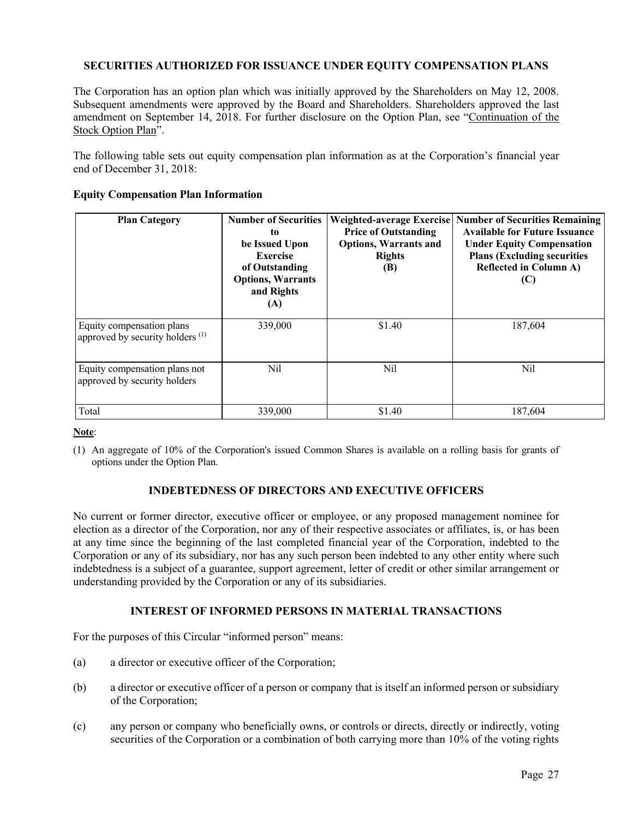### **SECURITIES AUTHORIZED FOR ISSUANCE UNDER EQUITY COMPENSATION PLANS**

The Corporation has an option plan which was initially approved by the Shareholders on May 12, 2008. Subsequent amendments were approved by the Board and Shareholders. Shareholders approved the last amendment on September 14, 2018. For further disclosure on the Option Plan, see "Continuation of the Stock Option Plan".

The following table sets out equity compensation plan information as at the Corporation's financial year end of December 31, 2018:

| <b>Plan Category</b>                                                     | <b>Number of Securities</b><br>to.<br>be Issued Upon<br><b>Exercise</b><br>of Outstanding<br><b>Options, Warrants</b><br>and Rights<br>(A) | Weighted-average Exercise<br><b>Price of Outstanding</b><br><b>Options, Warrants and</b><br><b>Rights</b><br>(B) | <b>Number of Securities Remaining</b><br><b>Available for Future Issuance</b><br><b>Under Equity Compensation</b><br><b>Plans (Excluding securities)</b><br><b>Reflected in Column A)</b><br>(C) |
|--------------------------------------------------------------------------|--------------------------------------------------------------------------------------------------------------------------------------------|------------------------------------------------------------------------------------------------------------------|--------------------------------------------------------------------------------------------------------------------------------------------------------------------------------------------------|
| Equity compensation plans<br>approved by security holders <sup>(1)</sup> | 339,000                                                                                                                                    | \$1.40                                                                                                           | 187,604                                                                                                                                                                                          |
| Equity compensation plans not<br>approved by security holders            | Nil                                                                                                                                        | Nil                                                                                                              | Nil                                                                                                                                                                                              |
| Total                                                                    | 339,000                                                                                                                                    | \$1.40                                                                                                           | 187,604                                                                                                                                                                                          |

#### **Equity Compensation Plan Information**

### **Note**:

(1) An aggregate of 10% of the Corporation's issued Common Shares is available on a rolling basis for grants of options under the Option Plan.

### **INDEBTEDNESS OF DIRECTORS AND EXECUTIVE OFFICERS**

No current or former director, executive officer or employee, or any proposed management nominee for election as a director of the Corporation, nor any of their respective associates or affiliates, is, or has been at any time since the beginning of the last completed financial year of the Corporation, indebted to the Corporation or any of its subsidiary, nor has any such person been indebted to any other entity where such indebtedness is a subject of a guarantee, support agreement, letter of credit or other similar arrangement or understanding provided by the Corporation or any of its subsidiaries.

### **INTEREST OF INFORMED PERSONS IN MATERIAL TRANSACTIONS**

For the purposes of this Circular "informed person" means:

- (a) a director or executive officer of the Corporation;
- (b) a director or executive officer of a person or company that is itself an informed person or subsidiary of the Corporation;
- (c) any person or company who beneficially owns, or controls or directs, directly or indirectly, voting securities of the Corporation or a combination of both carrying more than 10% of the voting rights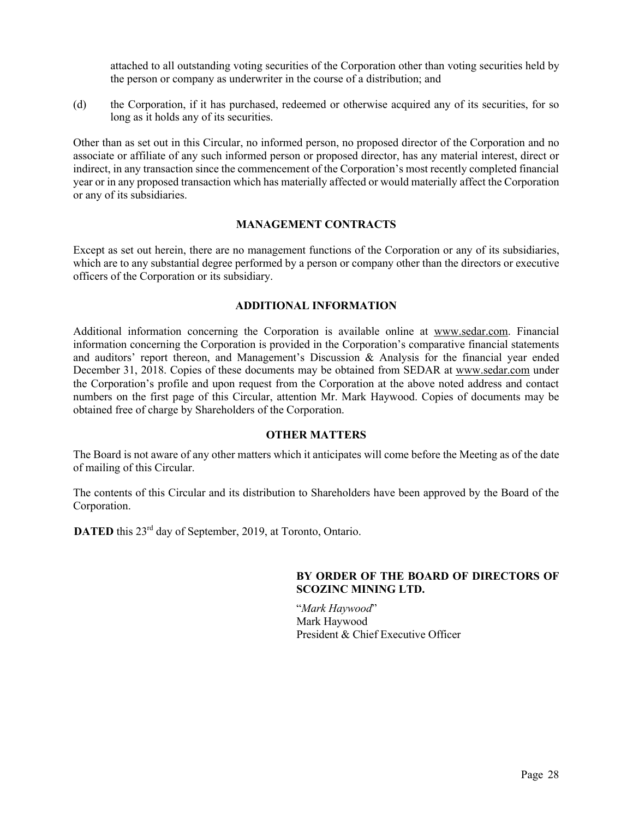attached to all outstanding voting securities of the Corporation other than voting securities held by the person or company as underwriter in the course of a distribution; and

(d) the Corporation, if it has purchased, redeemed or otherwise acquired any of its securities, for so long as it holds any of its securities.

Other than as set out in this Circular, no informed person, no proposed director of the Corporation and no associate or affiliate of any such informed person or proposed director, has any material interest, direct or indirect, in any transaction since the commencement of the Corporation's most recently completed financial year or in any proposed transaction which has materially affected or would materially affect the Corporation or any of its subsidiaries.

### **MANAGEMENT CONTRACTS**

Except as set out herein, there are no management functions of the Corporation or any of its subsidiaries, which are to any substantial degree performed by a person or company other than the directors or executive officers of the Corporation or its subsidiary.

### **ADDITIONAL INFORMATION**

Additional information concerning the Corporation is available online at www.sedar.com. Financial information concerning the Corporation is provided in the Corporation's comparative financial statements and auditors' report thereon, and Management's Discussion & Analysis for the financial year ended December 31, 2018. Copies of these documents may be obtained from SEDAR at www.sedar.com under the Corporation's profile and upon request from the Corporation at the above noted address and contact numbers on the first page of this Circular, attention Mr. Mark Haywood. Copies of documents may be obtained free of charge by Shareholders of the Corporation.

### **OTHER MATTERS**

The Board is not aware of any other matters which it anticipates will come before the Meeting as of the date of mailing of this Circular.

The contents of this Circular and its distribution to Shareholders have been approved by the Board of the Corporation.

**DATED** this 23<sup>rd</sup> day of September, 2019, at Toronto, Ontario.

### **BY ORDER OF THE BOARD OF DIRECTORS OF SCOZINC MINING LTD.**

"*Mark Haywood*" Mark Haywood President & Chief Executive Officer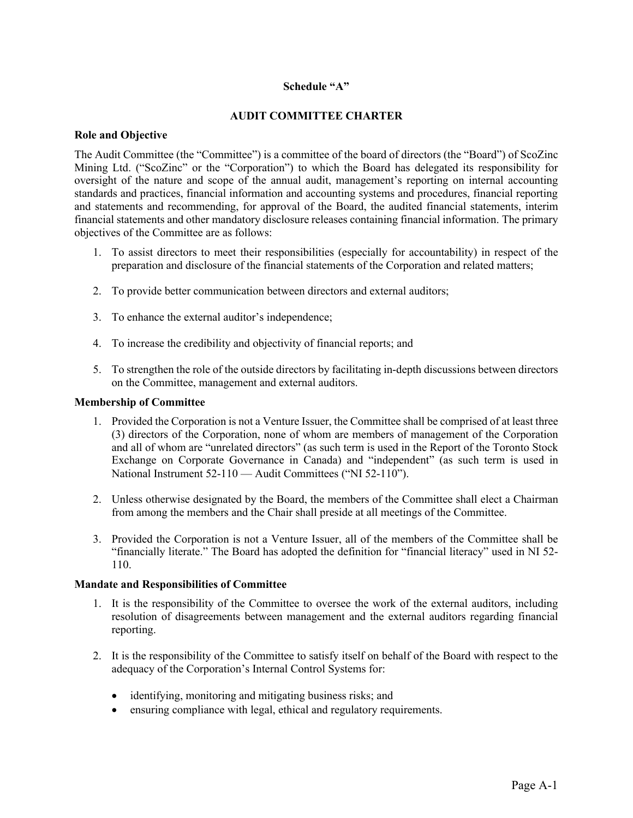#### **Schedule "A"**

#### **AUDIT COMMITTEE CHARTER**

#### **Role and Objective**

The Audit Committee (the "Committee") is a committee of the board of directors (the "Board") of ScoZinc Mining Ltd. ("ScoZinc" or the "Corporation") to which the Board has delegated its responsibility for oversight of the nature and scope of the annual audit, management's reporting on internal accounting standards and practices, financial information and accounting systems and procedures, financial reporting and statements and recommending, for approval of the Board, the audited financial statements, interim financial statements and other mandatory disclosure releases containing financial information. The primary objectives of the Committee are as follows:

- 1. To assist directors to meet their responsibilities (especially for accountability) in respect of the preparation and disclosure of the financial statements of the Corporation and related matters;
- 2. To provide better communication between directors and external auditors;
- 3. To enhance the external auditor's independence;
- 4. To increase the credibility and objectivity of financial reports; and
- 5. To strengthen the role of the outside directors by facilitating in-depth discussions between directors on the Committee, management and external auditors.

#### **Membership of Committee**

- 1. Provided the Corporation is not a Venture Issuer, the Committee shall be comprised of at least three (3) directors of the Corporation, none of whom are members of management of the Corporation and all of whom are "unrelated directors" (as such term is used in the Report of the Toronto Stock Exchange on Corporate Governance in Canada) and "independent" (as such term is used in National Instrument 52-110 — Audit Committees ("NI 52-110").
- 2. Unless otherwise designated by the Board, the members of the Committee shall elect a Chairman from among the members and the Chair shall preside at all meetings of the Committee.
- 3. Provided the Corporation is not a Venture Issuer, all of the members of the Committee shall be "financially literate." The Board has adopted the definition for "financial literacy" used in NI 52- 110.

#### **Mandate and Responsibilities of Committee**

- 1. It is the responsibility of the Committee to oversee the work of the external auditors, including resolution of disagreements between management and the external auditors regarding financial reporting.
- 2. It is the responsibility of the Committee to satisfy itself on behalf of the Board with respect to the adequacy of the Corporation's Internal Control Systems for:
	- identifying, monitoring and mitigating business risks; and
	- ensuring compliance with legal, ethical and regulatory requirements.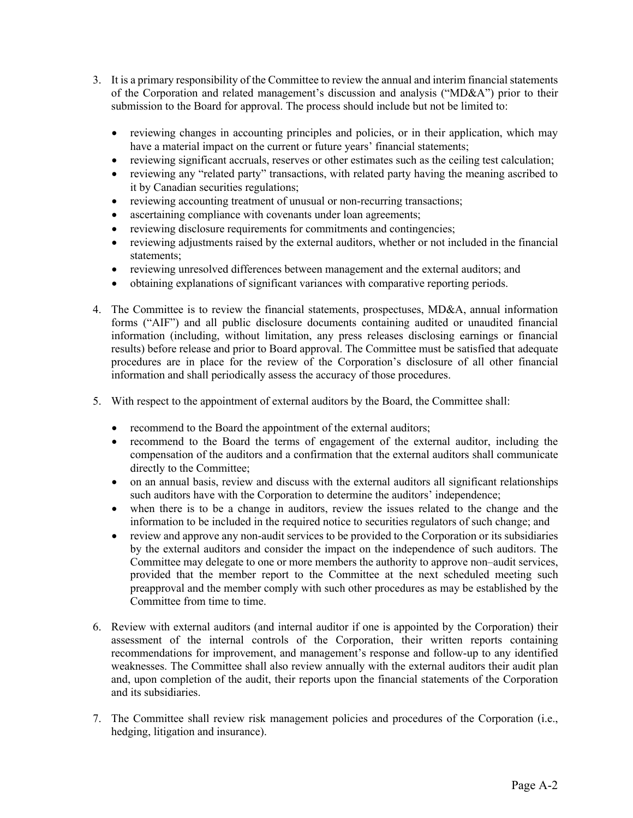- 3. It is a primary responsibility of the Committee to review the annual and interim financial statements of the Corporation and related management's discussion and analysis ("MD&A") prior to their submission to the Board for approval. The process should include but not be limited to:
	- reviewing changes in accounting principles and policies, or in their application, which may have a material impact on the current or future years' financial statements;
	- reviewing significant accruals, reserves or other estimates such as the ceiling test calculation;
	- reviewing any "related party" transactions, with related party having the meaning ascribed to it by Canadian securities regulations;
	- reviewing accounting treatment of unusual or non-recurring transactions;
	- ascertaining compliance with covenants under loan agreements;
	- reviewing disclosure requirements for commitments and contingencies;
	- reviewing adjustments raised by the external auditors, whether or not included in the financial statements;
	- reviewing unresolved differences between management and the external auditors; and
	- obtaining explanations of significant variances with comparative reporting periods.
- 4. The Committee is to review the financial statements, prospectuses, MD&A, annual information forms ("AIF") and all public disclosure documents containing audited or unaudited financial information (including, without limitation, any press releases disclosing earnings or financial results) before release and prior to Board approval. The Committee must be satisfied that adequate procedures are in place for the review of the Corporation's disclosure of all other financial information and shall periodically assess the accuracy of those procedures.
- 5. With respect to the appointment of external auditors by the Board, the Committee shall:
	- recommend to the Board the appointment of the external auditors;
	- recommend to the Board the terms of engagement of the external auditor, including the compensation of the auditors and a confirmation that the external auditors shall communicate directly to the Committee;
	- on an annual basis, review and discuss with the external auditors all significant relationships such auditors have with the Corporation to determine the auditors' independence;
	- when there is to be a change in auditors, review the issues related to the change and the information to be included in the required notice to securities regulators of such change; and
	- review and approve any non-audit services to be provided to the Corporation or its subsidiaries by the external auditors and consider the impact on the independence of such auditors. The Committee may delegate to one or more members the authority to approve non–audit services, provided that the member report to the Committee at the next scheduled meeting such preapproval and the member comply with such other procedures as may be established by the Committee from time to time.
- 6. Review with external auditors (and internal auditor if one is appointed by the Corporation) their assessment of the internal controls of the Corporation, their written reports containing recommendations for improvement, and management's response and follow-up to any identified weaknesses. The Committee shall also review annually with the external auditors their audit plan and, upon completion of the audit, their reports upon the financial statements of the Corporation and its subsidiaries.
- 7. The Committee shall review risk management policies and procedures of the Corporation (i.e., hedging, litigation and insurance).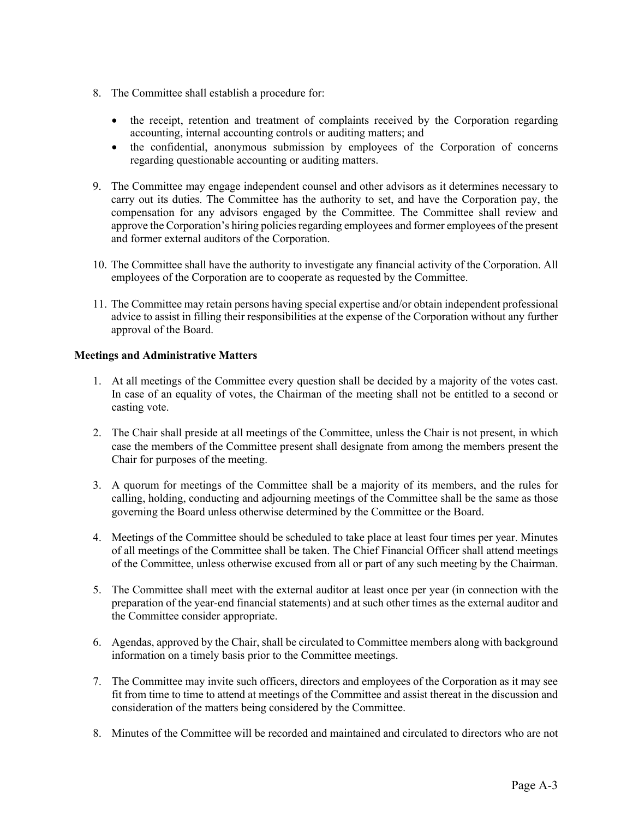- 8. The Committee shall establish a procedure for:
	- the receipt, retention and treatment of complaints received by the Corporation regarding accounting, internal accounting controls or auditing matters; and
	- the confidential, anonymous submission by employees of the Corporation of concerns regarding questionable accounting or auditing matters.
- 9. The Committee may engage independent counsel and other advisors as it determines necessary to carry out its duties. The Committee has the authority to set, and have the Corporation pay, the compensation for any advisors engaged by the Committee. The Committee shall review and approve the Corporation's hiring policies regarding employees and former employees of the present and former external auditors of the Corporation.
- 10. The Committee shall have the authority to investigate any financial activity of the Corporation. All employees of the Corporation are to cooperate as requested by the Committee.
- 11. The Committee may retain persons having special expertise and/or obtain independent professional advice to assist in filling their responsibilities at the expense of the Corporation without any further approval of the Board.

### **Meetings and Administrative Matters**

- 1. At all meetings of the Committee every question shall be decided by a majority of the votes cast. In case of an equality of votes, the Chairman of the meeting shall not be entitled to a second or casting vote.
- 2. The Chair shall preside at all meetings of the Committee, unless the Chair is not present, in which case the members of the Committee present shall designate from among the members present the Chair for purposes of the meeting.
- 3. A quorum for meetings of the Committee shall be a majority of its members, and the rules for calling, holding, conducting and adjourning meetings of the Committee shall be the same as those governing the Board unless otherwise determined by the Committee or the Board.
- 4. Meetings of the Committee should be scheduled to take place at least four times per year. Minutes of all meetings of the Committee shall be taken. The Chief Financial Officer shall attend meetings of the Committee, unless otherwise excused from all or part of any such meeting by the Chairman.
- 5. The Committee shall meet with the external auditor at least once per year (in connection with the preparation of the year-end financial statements) and at such other times as the external auditor and the Committee consider appropriate.
- 6. Agendas, approved by the Chair, shall be circulated to Committee members along with background information on a timely basis prior to the Committee meetings.
- 7. The Committee may invite such officers, directors and employees of the Corporation as it may see fit from time to time to attend at meetings of the Committee and assist thereat in the discussion and consideration of the matters being considered by the Committee.
- 8. Minutes of the Committee will be recorded and maintained and circulated to directors who are not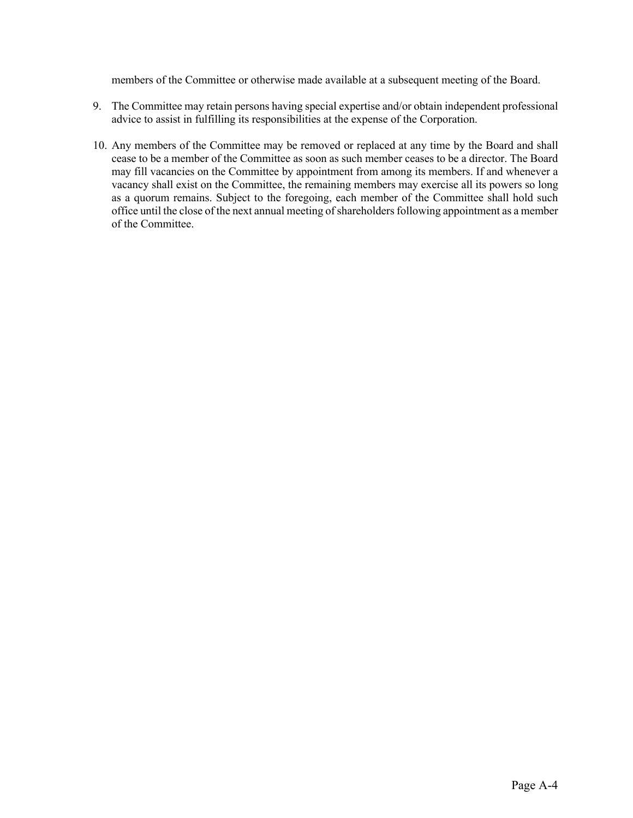members of the Committee or otherwise made available at a subsequent meeting of the Board.

- 9. The Committee may retain persons having special expertise and/or obtain independent professional advice to assist in fulfilling its responsibilities at the expense of the Corporation.
- 10. Any members of the Committee may be removed or replaced at any time by the Board and shall cease to be a member of the Committee as soon as such member ceases to be a director. The Board may fill vacancies on the Committee by appointment from among its members. If and whenever a vacancy shall exist on the Committee, the remaining members may exercise all its powers so long as a quorum remains. Subject to the foregoing, each member of the Committee shall hold such office until the close of the next annual meeting of shareholders following appointment as a member of the Committee.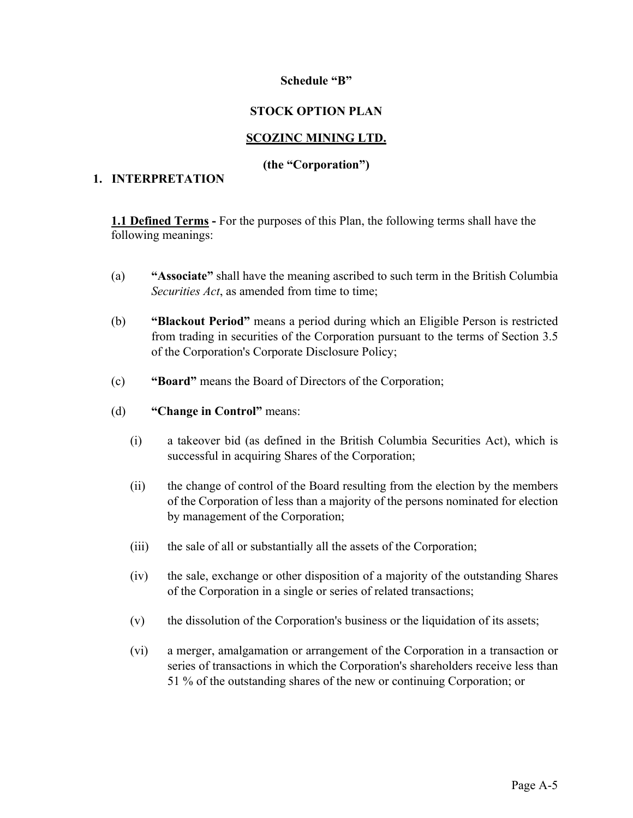# **Schedule "B"**

# **STOCK OPTION PLAN**

# **SCOZINC MINING LTD.**

# **(the "Corporation")**

# **1. INTERPRETATION**

**1.1 Defined Terms -** For the purposes of this Plan, the following terms shall have the following meanings:

- (a) **"Associate"** shall have the meaning ascribed to such term in the British Columbia *Securities Act*, as amended from time to time;
- (b) **"Blackout Period"** means a period during which an Eligible Person is restricted from trading in securities of the Corporation pursuant to the terms of Section 3.5 of the Corporation's Corporate Disclosure Policy;
- (c) **"Board"** means the Board of Directors of the Corporation;
- (d) **"Change in Control"** means:
	- (i) a takeover bid (as defined in the British Columbia Securities Act), which is successful in acquiring Shares of the Corporation;
	- (ii) the change of control of the Board resulting from the election by the members of the Corporation of less than a majority of the persons nominated for election by management of the Corporation;
	- (iii) the sale of all or substantially all the assets of the Corporation;
	- (iv) the sale, exchange or other disposition of a majority of the outstanding Shares of the Corporation in a single or series of related transactions;
	- (v) the dissolution of the Corporation's business or the liquidation of its assets;
	- (vi) a merger, amalgamation or arrangement of the Corporation in a transaction or series of transactions in which the Corporation's shareholders receive less than 51 % of the outstanding shares of the new or continuing Corporation; or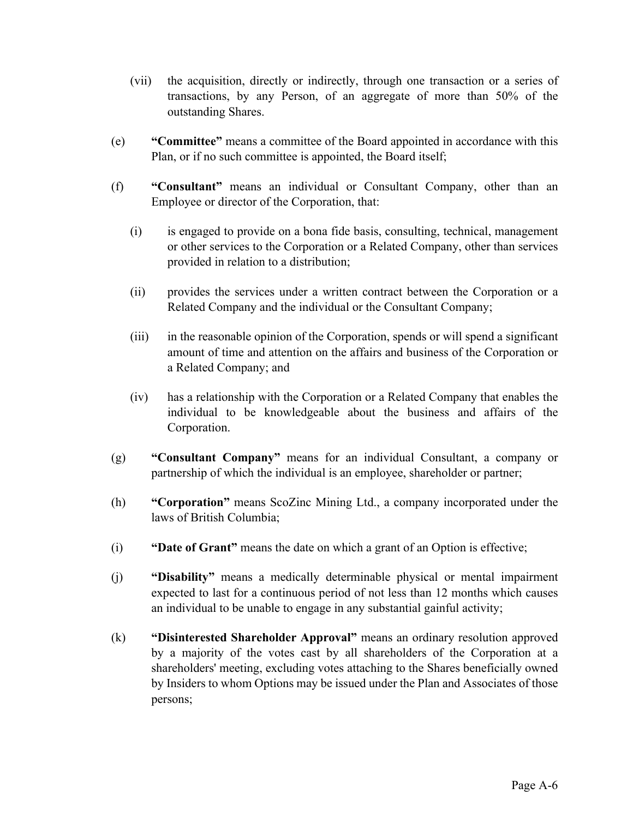- (vii) the acquisition, directly or indirectly, through one transaction or a series of transactions, by any Person, of an aggregate of more than 50% of the outstanding Shares.
- (e) **"Committee"** means a committee of the Board appointed in accordance with this Plan, or if no such committee is appointed, the Board itself;
- (f) **"Consultant"** means an individual or Consultant Company, other than an Employee or director of the Corporation, that:
	- (i) is engaged to provide on a bona fide basis, consulting, technical, management or other services to the Corporation or a Related Company, other than services provided in relation to a distribution;
	- (ii) provides the services under a written contract between the Corporation or a Related Company and the individual or the Consultant Company;
	- (iii) in the reasonable opinion of the Corporation, spends or will spend a significant amount of time and attention on the affairs and business of the Corporation or a Related Company; and
	- (iv) has a relationship with the Corporation or a Related Company that enables the individual to be knowledgeable about the business and affairs of the Corporation.
- (g) **"Consultant Company"** means for an individual Consultant, a company or partnership of which the individual is an employee, shareholder or partner;
- (h) **"Corporation"** means ScoZinc Mining Ltd., a company incorporated under the laws of British Columbia;
- (i) **"Date of Grant"** means the date on which a grant of an Option is effective;
- (j) **"Disability"** means a medically determinable physical or mental impairment expected to last for a continuous period of not less than 12 months which causes an individual to be unable to engage in any substantial gainful activity;
- (k) **"Disinterested Shareholder Approval"** means an ordinary resolution approved by a majority of the votes cast by all shareholders of the Corporation at a shareholders' meeting, excluding votes attaching to the Shares beneficially owned by Insiders to whom Options may be issued under the Plan and Associates of those persons;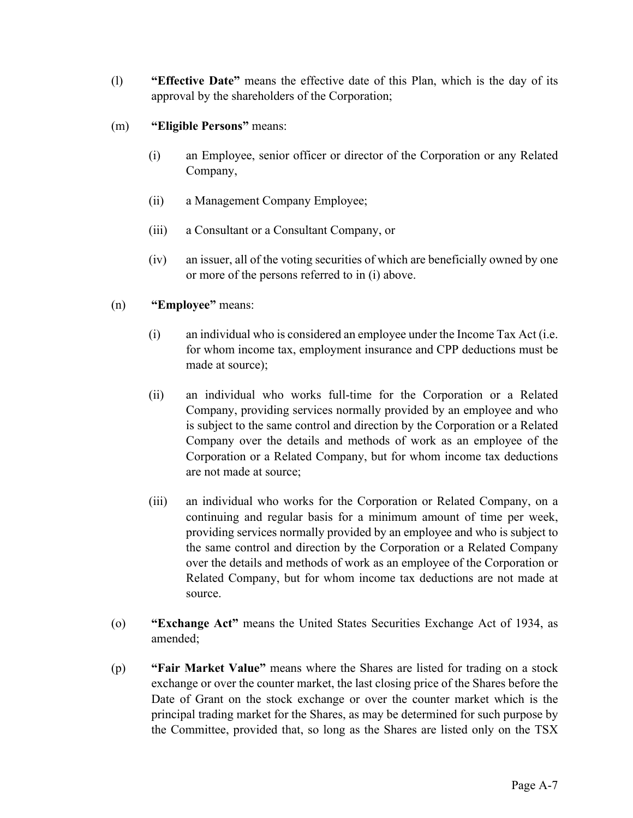- (l) **"Effective Date"** means the effective date of this Plan, which is the day of its approval by the shareholders of the Corporation;
- (m) **"Eligible Persons"** means:
	- (i) an Employee, senior officer or director of the Corporation or any Related Company,
	- (ii) a Management Company Employee;
	- (iii) a Consultant or a Consultant Company, or
	- (iv) an issuer, all of the voting securities of which are beneficially owned by one or more of the persons referred to in (i) above.

# (n) **"Employee"** means:

- (i) an individual who is considered an employee under the Income Tax Act (i.e. for whom income tax, employment insurance and CPP deductions must be made at source);
- (ii) an individual who works full-time for the Corporation or a Related Company, providing services normally provided by an employee and who is subject to the same control and direction by the Corporation or a Related Company over the details and methods of work as an employee of the Corporation or a Related Company, but for whom income tax deductions are not made at source;
- (iii) an individual who works for the Corporation or Related Company, on a continuing and regular basis for a minimum amount of time per week, providing services normally provided by an employee and who is subject to the same control and direction by the Corporation or a Related Company over the details and methods of work as an employee of the Corporation or Related Company, but for whom income tax deductions are not made at source.
- (o) **"Exchange Act"** means the United States Securities Exchange Act of 1934, as amended;
- (p) **"Fair Market Value"** means where the Shares are listed for trading on a stock exchange or over the counter market, the last closing price of the Shares before the Date of Grant on the stock exchange or over the counter market which is the principal trading market for the Shares, as may be determined for such purpose by the Committee, provided that, so long as the Shares are listed only on the TSX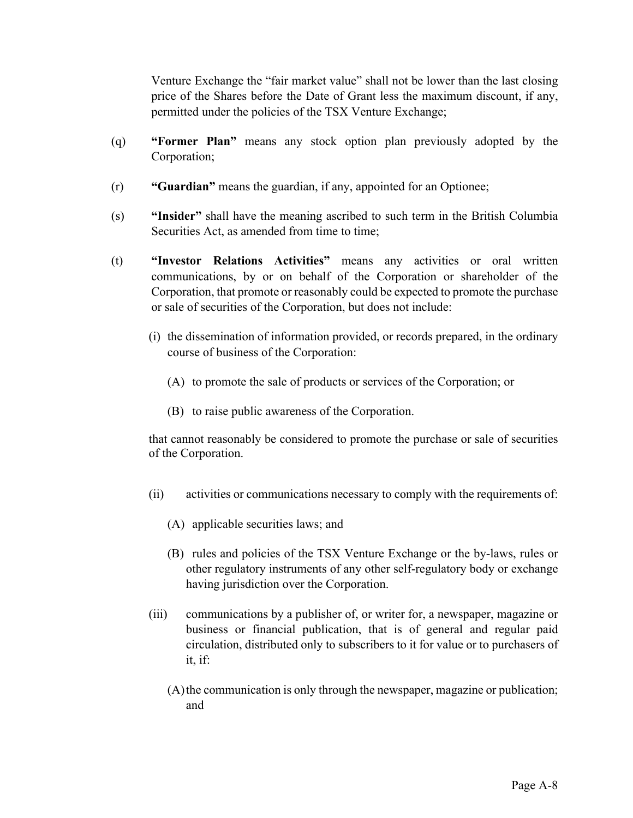Venture Exchange the "fair market value" shall not be lower than the last closing price of the Shares before the Date of Grant less the maximum discount, if any, permitted under the policies of the TSX Venture Exchange;

- (q) **"Former Plan"** means any stock option plan previously adopted by the Corporation;
- (r) **"Guardian"** means the guardian, if any, appointed for an Optionee;
- (s) **"Insider"** shall have the meaning ascribed to such term in the British Columbia Securities Act, as amended from time to time;
- (t) **"Investor Relations Activities"** means any activities or oral written communications, by or on behalf of the Corporation or shareholder of the Corporation, that promote or reasonably could be expected to promote the purchase or sale of securities of the Corporation, but does not include:
	- (i) the dissemination of information provided, or records prepared, in the ordinary course of business of the Corporation:
		- (A) to promote the sale of products or services of the Corporation; or
		- (B) to raise public awareness of the Corporation.

that cannot reasonably be considered to promote the purchase or sale of securities of the Corporation.

- (ii) activities or communications necessary to comply with the requirements of:
	- (A) applicable securities laws; and
	- (B) rules and policies of the TSX Venture Exchange or the by-laws, rules or other regulatory instruments of any other self-regulatory body or exchange having jurisdiction over the Corporation.
- (iii) communications by a publisher of, or writer for, a newspaper, magazine or business or financial publication, that is of general and regular paid circulation, distributed only to subscribers to it for value or to purchasers of it, if:
	- (A)the communication is only through the newspaper, magazine or publication; and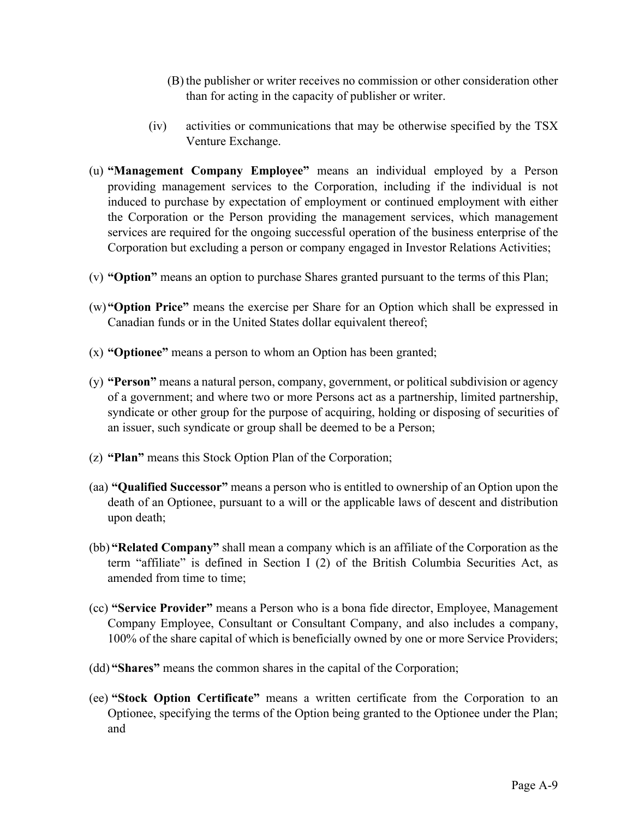- (B) the publisher or writer receives no commission or other consideration other than for acting in the capacity of publisher or writer.
- (iv) activities or communications that may be otherwise specified by the TSX Venture Exchange.
- (u) **"Management Company Employee"** means an individual employed by a Person providing management services to the Corporation, including if the individual is not induced to purchase by expectation of employment or continued employment with either the Corporation or the Person providing the management services, which management services are required for the ongoing successful operation of the business enterprise of the Corporation but excluding a person or company engaged in Investor Relations Activities;
- (v) **"Option"** means an option to purchase Shares granted pursuant to the terms of this Plan;
- (w)**"Option Price"** means the exercise per Share for an Option which shall be expressed in Canadian funds or in the United States dollar equivalent thereof;
- (x) **"Optionee"** means a person to whom an Option has been granted;
- (y) **"Person"** means a natural person, company, government, or political subdivision or agency of a government; and where two or more Persons act as a partnership, limited partnership, syndicate or other group for the purpose of acquiring, holding or disposing of securities of an issuer, such syndicate or group shall be deemed to be a Person;
- (z) **"Plan"** means this Stock Option Plan of the Corporation;
- (aa) **"Qualified Successor"** means a person who is entitled to ownership of an Option upon the death of an Optionee, pursuant to a will or the applicable laws of descent and distribution upon death;
- (bb) **"Related Company"** shall mean a company which is an affiliate of the Corporation as the term "affiliate" is defined in Section I (2) of the British Columbia Securities Act, as amended from time to time;
- (cc) **"Service Provider"** means a Person who is a bona fide director, Employee, Management Company Employee, Consultant or Consultant Company, and also includes a company, 100% of the share capital of which is beneficially owned by one or more Service Providers;
- (dd) **"Shares"** means the common shares in the capital of the Corporation;
- (ee) **"Stock Option Certificate"** means a written certificate from the Corporation to an Optionee, specifying the terms of the Option being granted to the Optionee under the Plan; and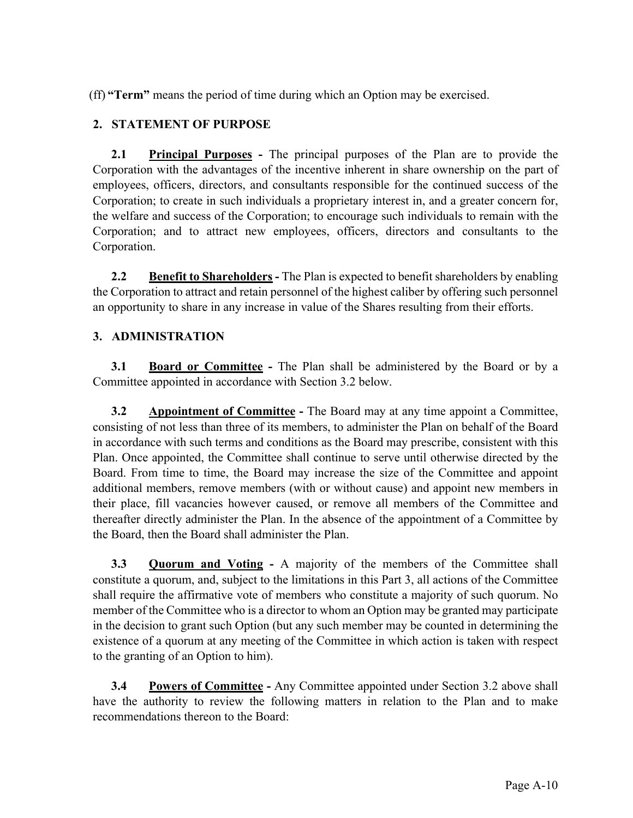(ff) **"Term"** means the period of time during which an Option may be exercised.

# **2. STATEMENT OF PURPOSE**

**2.1 Principal Purposes -** The principal purposes of the Plan are to provide the Corporation with the advantages of the incentive inherent in share ownership on the part of employees, officers, directors, and consultants responsible for the continued success of the Corporation; to create in such individuals a proprietary interest in, and a greater concern for, the welfare and success of the Corporation; to encourage such individuals to remain with the Corporation; and to attract new employees, officers, directors and consultants to the Corporation.

**2.2 Benefit to Shareholders -** The Plan is expected to benefit shareholders by enabling the Corporation to attract and retain personnel of the highest caliber by offering such personnel an opportunity to share in any increase in value of the Shares resulting from their efforts.

# **3. ADMINISTRATION**

**3.1 Board or Committee -** The Plan shall be administered by the Board or by a Committee appointed in accordance with Section 3.2 below.

**3.2 Appointment of Committee -** The Board may at any time appoint a Committee, consisting of not less than three of its members, to administer the Plan on behalf of the Board in accordance with such terms and conditions as the Board may prescribe, consistent with this Plan. Once appointed, the Committee shall continue to serve until otherwise directed by the Board. From time to time, the Board may increase the size of the Committee and appoint additional members, remove members (with or without cause) and appoint new members in their place, fill vacancies however caused, or remove all members of the Committee and thereafter directly administer the Plan. In the absence of the appointment of a Committee by the Board, then the Board shall administer the Plan.

**3.3 Quorum and Voting -** A majority of the members of the Committee shall constitute a quorum, and, subject to the limitations in this Part 3, all actions of the Committee shall require the affirmative vote of members who constitute a majority of such quorum. No member of the Committee who is a director to whom an Option may be granted may participate in the decision to grant such Option (but any such member may be counted in determining the existence of a quorum at any meeting of the Committee in which action is taken with respect to the granting of an Option to him).

**3.4 Powers of Committee -** Any Committee appointed under Section 3.2 above shall have the authority to review the following matters in relation to the Plan and to make recommendations thereon to the Board: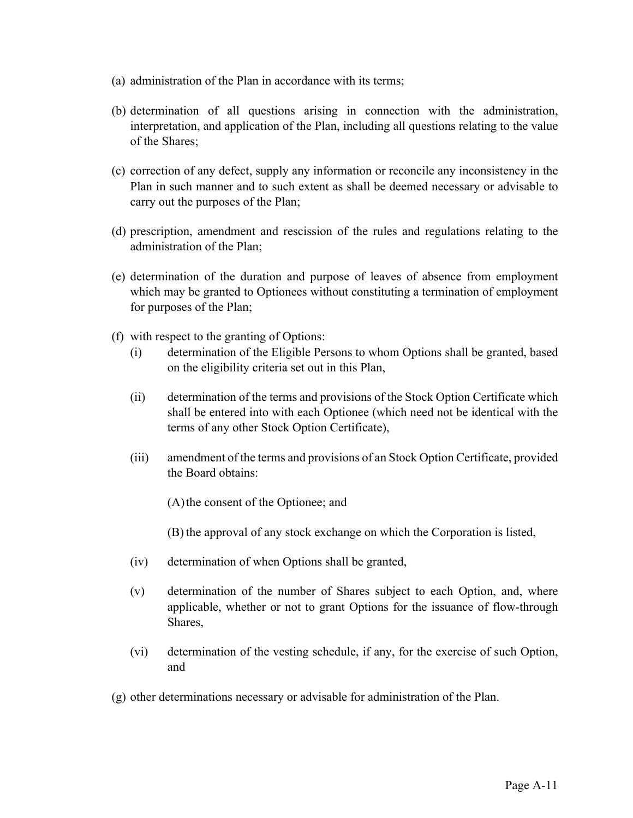- (a) administration of the Plan in accordance with its terms;
- (b) determination of all questions arising in connection with the administration, interpretation, and application of the Plan, including all questions relating to the value of the Shares;
- (c) correction of any defect, supply any information or reconcile any inconsistency in the Plan in such manner and to such extent as shall be deemed necessary or advisable to carry out the purposes of the Plan;
- (d) prescription, amendment and rescission of the rules and regulations relating to the administration of the Plan;
- (e) determination of the duration and purpose of leaves of absence from employment which may be granted to Optionees without constituting a termination of employment for purposes of the Plan;
- (f) with respect to the granting of Options:
	- (i) determination of the Eligible Persons to whom Options shall be granted, based on the eligibility criteria set out in this Plan,
	- (ii) determination of the terms and provisions of the Stock Option Certificate which shall be entered into with each Optionee (which need not be identical with the terms of any other Stock Option Certificate),
	- (iii) amendment of the terms and provisions of an Stock Option Certificate, provided the Board obtains:
		- (A)the consent of the Optionee; and
		- (B) the approval of any stock exchange on which the Corporation is listed,
	- (iv) determination of when Options shall be granted,
	- (v) determination of the number of Shares subject to each Option, and, where applicable, whether or not to grant Options for the issuance of flow-through Shares,
	- (vi) determination of the vesting schedule, if any, for the exercise of such Option, and
- (g) other determinations necessary or advisable for administration of the Plan.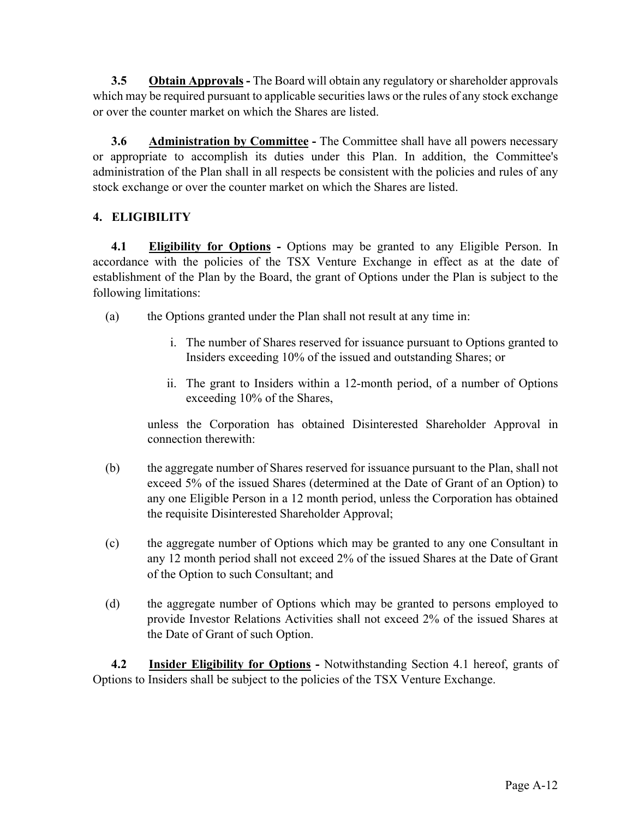**3.5 Obtain Approvals -** The Board will obtain any regulatory or shareholder approvals which may be required pursuant to applicable securities laws or the rules of any stock exchange or over the counter market on which the Shares are listed.

**3.6 Administration by Committee** - The Committee shall have all powers necessary or appropriate to accomplish its duties under this Plan. In addition, the Committee's administration of the Plan shall in all respects be consistent with the policies and rules of any stock exchange or over the counter market on which the Shares are listed.

# **4. ELIGIBILITY**

**4.1 Eligibility for Options -** Options may be granted to any Eligible Person. In accordance with the policies of the TSX Venture Exchange in effect as at the date of establishment of the Plan by the Board, the grant of Options under the Plan is subject to the following limitations:

- (a) the Options granted under the Plan shall not result at any time in:
	- i. The number of Shares reserved for issuance pursuant to Options granted to Insiders exceeding 10% of the issued and outstanding Shares; or
	- ii. The grant to Insiders within a 12-month period, of a number of Options exceeding 10% of the Shares,

unless the Corporation has obtained Disinterested Shareholder Approval in connection therewith:

- (b) the aggregate number of Shares reserved for issuance pursuant to the Plan, shall not exceed 5% of the issued Shares (determined at the Date of Grant of an Option) to any one Eligible Person in a 12 month period, unless the Corporation has obtained the requisite Disinterested Shareholder Approval;
- (c) the aggregate number of Options which may be granted to any one Consultant in any 12 month period shall not exceed 2% of the issued Shares at the Date of Grant of the Option to such Consultant; and
- (d) the aggregate number of Options which may be granted to persons employed to provide Investor Relations Activities shall not exceed 2% of the issued Shares at the Date of Grant of such Option.

**4.2 Insider Eligibility for Options -** Notwithstanding Section 4.1 hereof, grants of Options to Insiders shall be subject to the policies of the TSX Venture Exchange.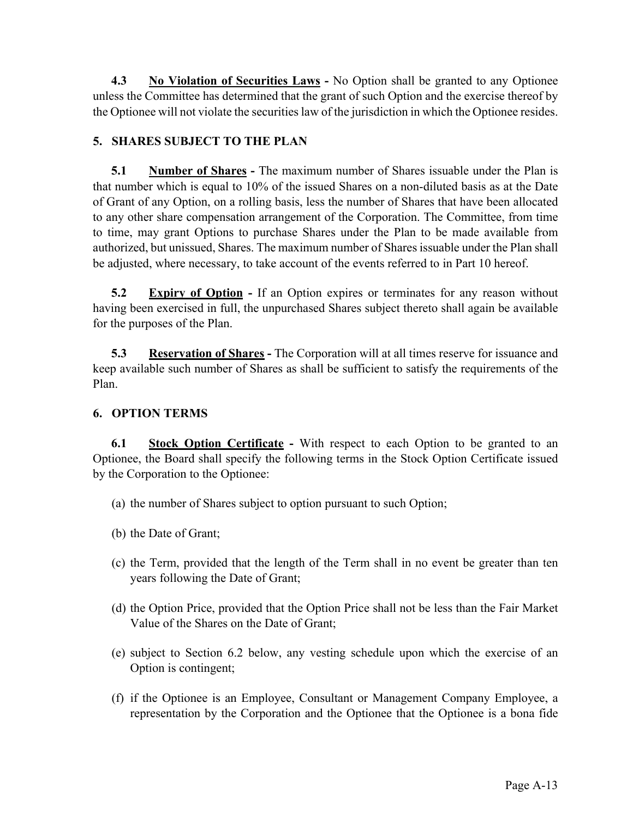**4.3 No Violation of Securities Laws -** No Option shall be granted to any Optionee unless the Committee has determined that the grant of such Option and the exercise thereof by the Optionee will not violate the securities law of the jurisdiction in which the Optionee resides.

# **5. SHARES SUBJECT TO THE PLAN**

**5.1 Number of Shares -** The maximum number of Shares issuable under the Plan is that number which is equal to 10% of the issued Shares on a non-diluted basis as at the Date of Grant of any Option, on a rolling basis, less the number of Shares that have been allocated to any other share compensation arrangement of the Corporation. The Committee, from time to time, may grant Options to purchase Shares under the Plan to be made available from authorized, but unissued, Shares. The maximum number of Shares issuable under the Plan shall be adjusted, where necessary, to take account of the events referred to in Part 10 hereof.

**5.2 Expiry of Option -** If an Option expires or terminates for any reason without having been exercised in full, the unpurchased Shares subject thereto shall again be available for the purposes of the Plan.

**5.3 Reservation of Shares -** The Corporation will at all times reserve for issuance and keep available such number of Shares as shall be sufficient to satisfy the requirements of the Plan.

# **6. OPTION TERMS**

**6.1 Stock Option Certificate -** With respect to each Option to be granted to an Optionee, the Board shall specify the following terms in the Stock Option Certificate issued by the Corporation to the Optionee:

- (a) the number of Shares subject to option pursuant to such Option;
- (b) the Date of Grant;
- (c) the Term, provided that the length of the Term shall in no event be greater than ten years following the Date of Grant;
- (d) the Option Price, provided that the Option Price shall not be less than the Fair Market Value of the Shares on the Date of Grant;
- (e) subject to Section 6.2 below, any vesting schedule upon which the exercise of an Option is contingent;
- (f) if the Optionee is an Employee, Consultant or Management Company Employee, a representation by the Corporation and the Optionee that the Optionee is a bona fide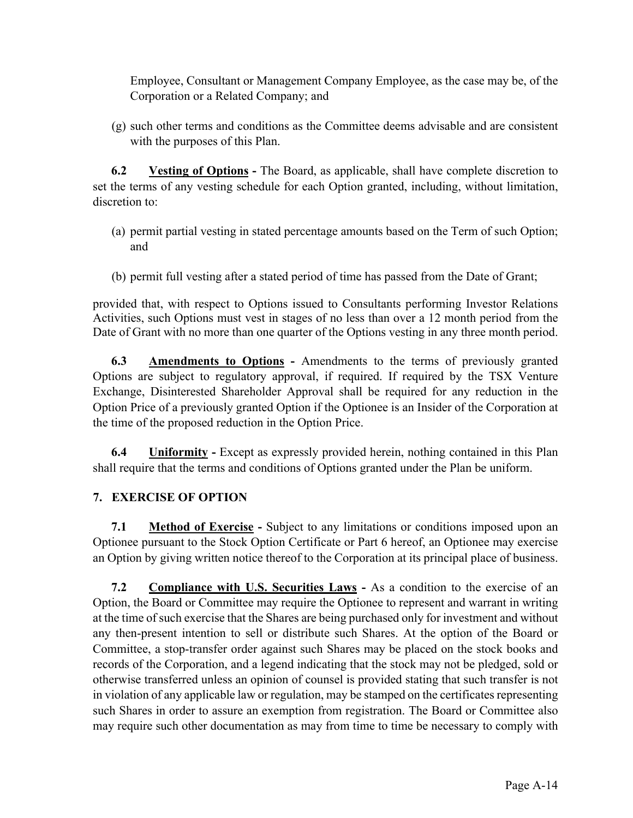Employee, Consultant or Management Company Employee, as the case may be, of the Corporation or a Related Company; and

(g) such other terms and conditions as the Committee deems advisable and are consistent with the purposes of this Plan.

**6.2 Vesting of Options -** The Board, as applicable, shall have complete discretion to set the terms of any vesting schedule for each Option granted, including, without limitation, discretion to:

- (a) permit partial vesting in stated percentage amounts based on the Term of such Option; and
- (b) permit full vesting after a stated period of time has passed from the Date of Grant;

provided that, with respect to Options issued to Consultants performing Investor Relations Activities, such Options must vest in stages of no less than over a 12 month period from the Date of Grant with no more than one quarter of the Options vesting in any three month period.

**6.3 Amendments to Options -** Amendments to the terms of previously granted Options are subject to regulatory approval, if required. If required by the TSX Venture Exchange, Disinterested Shareholder Approval shall be required for any reduction in the Option Price of a previously granted Option if the Optionee is an Insider of the Corporation at the time of the proposed reduction in the Option Price.

**6.4 Uniformity -** Except as expressly provided herein, nothing contained in this Plan shall require that the terms and conditions of Options granted under the Plan be uniform.

# **7. EXERCISE OF OPTION**

**7.1 Method of Exercise -** Subject to any limitations or conditions imposed upon an Optionee pursuant to the Stock Option Certificate or Part 6 hereof, an Optionee may exercise an Option by giving written notice thereof to the Corporation at its principal place of business.

**7.2 Compliance with U.S. Securities Laws -** As a condition to the exercise of an Option, the Board or Committee may require the Optionee to represent and warrant in writing at the time of such exercise that the Shares are being purchased only for investment and without any then-present intention to sell or distribute such Shares. At the option of the Board or Committee, a stop-transfer order against such Shares may be placed on the stock books and records of the Corporation, and a legend indicating that the stock may not be pledged, sold or otherwise transferred unless an opinion of counsel is provided stating that such transfer is not in violation of any applicable law or regulation, may be stamped on the certificates representing such Shares in order to assure an exemption from registration. The Board or Committee also may require such other documentation as may from time to time be necessary to comply with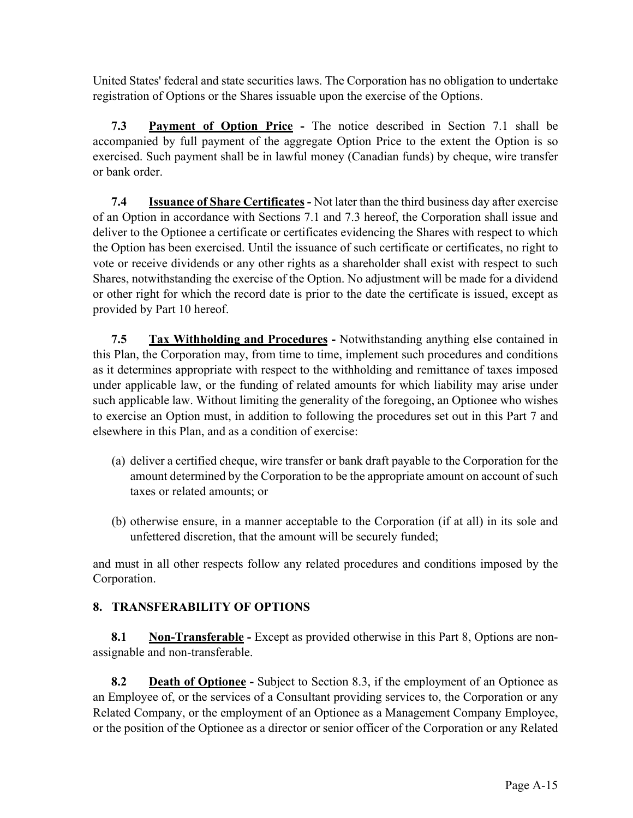United States' federal and state securities laws. The Corporation has no obligation to undertake registration of Options or the Shares issuable upon the exercise of the Options.

**7.3 Payment of Option Price -** The notice described in Section 7.1 shall be accompanied by full payment of the aggregate Option Price to the extent the Option is so exercised. Such payment shall be in lawful money (Canadian funds) by cheque, wire transfer or bank order.

**7.4 Issuance of Share Certificates -** Not later than the third business day after exercise of an Option in accordance with Sections 7.1 and 7.3 hereof, the Corporation shall issue and deliver to the Optionee a certificate or certificates evidencing the Shares with respect to which the Option has been exercised. Until the issuance of such certificate or certificates, no right to vote or receive dividends or any other rights as a shareholder shall exist with respect to such Shares, notwithstanding the exercise of the Option. No adjustment will be made for a dividend or other right for which the record date is prior to the date the certificate is issued, except as provided by Part 10 hereof.

**7.5 Tax Withholding and Procedures -** Notwithstanding anything else contained in this Plan, the Corporation may, from time to time, implement such procedures and conditions as it determines appropriate with respect to the withholding and remittance of taxes imposed under applicable law, or the funding of related amounts for which liability may arise under such applicable law. Without limiting the generality of the foregoing, an Optionee who wishes to exercise an Option must, in addition to following the procedures set out in this Part 7 and elsewhere in this Plan, and as a condition of exercise:

- (a) deliver a certified cheque, wire transfer or bank draft payable to the Corporation for the amount determined by the Corporation to be the appropriate amount on account of such taxes or related amounts; or
- (b) otherwise ensure, in a manner acceptable to the Corporation (if at all) in its sole and unfettered discretion, that the amount will be securely funded;

and must in all other respects follow any related procedures and conditions imposed by the Corporation.

# **8. TRANSFERABILITY OF OPTIONS**

**8.1 Non-Transferable -** Except as provided otherwise in this Part 8, Options are nonassignable and non-transferable.

**8.2 Death of Optionee -** Subject to Section 8.3, if the employment of an Optionee as an Employee of, or the services of a Consultant providing services to, the Corporation or any Related Company, or the employment of an Optionee as a Management Company Employee, or the position of the Optionee as a director or senior officer of the Corporation or any Related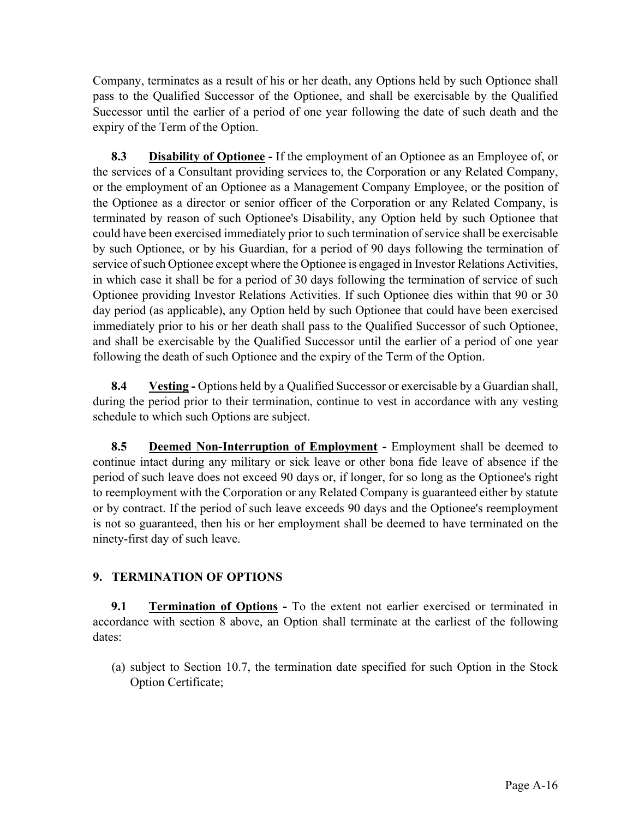Company, terminates as a result of his or her death, any Options held by such Optionee shall pass to the Qualified Successor of the Optionee, and shall be exercisable by the Qualified Successor until the earlier of a period of one year following the date of such death and the expiry of the Term of the Option.

**8.3 Disability of Optionee -** If the employment of an Optionee as an Employee of, or the services of a Consultant providing services to, the Corporation or any Related Company, or the employment of an Optionee as a Management Company Employee, or the position of the Optionee as a director or senior officer of the Corporation or any Related Company, is terminated by reason of such Optionee's Disability, any Option held by such Optionee that could have been exercised immediately prior to such termination of service shall be exercisable by such Optionee, or by his Guardian, for a period of 90 days following the termination of service of such Optionee except where the Optionee is engaged in Investor Relations Activities, in which case it shall be for a period of 30 days following the termination of service of such Optionee providing Investor Relations Activities. If such Optionee dies within that 90 or 30 day period (as applicable), any Option held by such Optionee that could have been exercised immediately prior to his or her death shall pass to the Qualified Successor of such Optionee, and shall be exercisable by the Qualified Successor until the earlier of a period of one year following the death of such Optionee and the expiry of the Term of the Option.

**8.4 Vesting -** Options held by a Qualified Successor or exercisable by a Guardian shall, during the period prior to their termination, continue to vest in accordance with any vesting schedule to which such Options are subject.

**8.5 Deemed Non-Interruption of Employment -** Employment shall be deemed to continue intact during any military or sick leave or other bona fide leave of absence if the period of such leave does not exceed 90 days or, if longer, for so long as the Optionee's right to reemployment with the Corporation or any Related Company is guaranteed either by statute or by contract. If the period of such leave exceeds 90 days and the Optionee's reemployment is not so guaranteed, then his or her employment shall be deemed to have terminated on the ninety-first day of such leave.

# **9. TERMINATION OF OPTIONS**

**9.1 Termination of Options -** To the extent not earlier exercised or terminated in accordance with section 8 above, an Option shall terminate at the earliest of the following dates:

(a) subject to Section 10.7, the termination date specified for such Option in the Stock Option Certificate;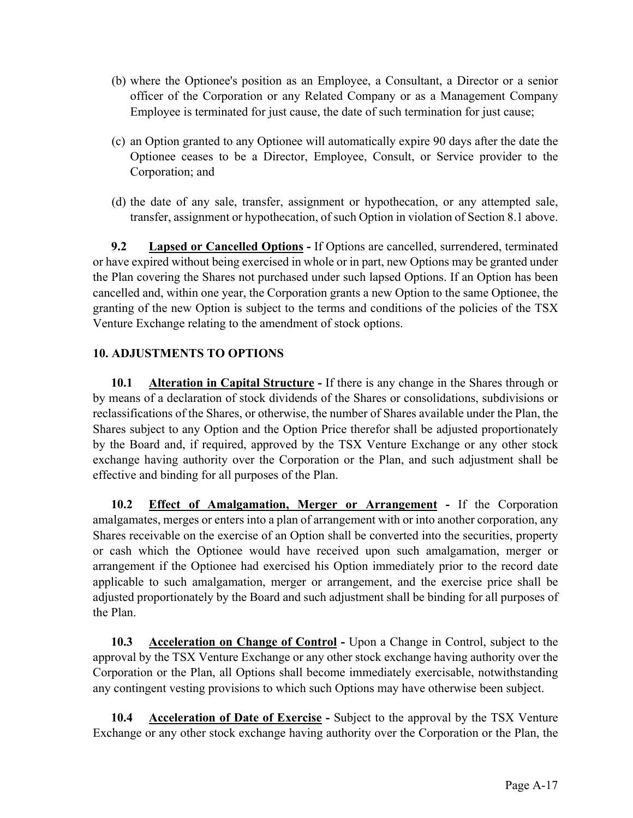- (b) where the Optionee's position as an Employee, a Consultant, a Director or a senior officer of the Corporation or any Related Company or as a Management Company Employee is terminated for just cause, the date of such termination for just cause;
- (c) an Option granted to any Optionee will automatically expire 90 days after the date the Optionee ceases to be a Director, Employee, Consult, or Service provider to the Corporation; and
- (d) the date of any sale, transfer, assignment or hypothecation, or any attempted sale, transfer, assignment or hypothecation, of such Option in violation of Section 8.1 above.

**9.2 Lapsed or Cancelled Options -** If Options are cancelled, surrendered, terminated or have expired without being exercised in whole or in part, new Options may be granted under the Plan covering the Shares not purchased under such lapsed Options. If an Option has been cancelled and, within one year, the Corporation grants a new Option to the same Optionee, the granting of the new Option is subject to the terms and conditions of the policies of the TSX Venture Exchange relating to the amendment of stock options.

# **10. ADJUSTMENTS TO OPTIONS**

**10.1 Alteration in Capital Structure -** If there is any change in the Shares through or by means of a declaration of stock dividends of the Shares or consolidations, subdivisions or reclassifications of the Shares, or otherwise, the number of Shares available under the Plan, the Shares subject to any Option and the Option Price therefor shall be adjusted proportionately by the Board and, if required, approved by the TSX Venture Exchange or any other stock exchange having authority over the Corporation or the Plan, and such adjustment shall be effective and binding for all purposes of the Plan.

**10.2 Effect of Amalgamation, Merger or Arrangement -** If the Corporation amalgamates, merges or enters into a plan of arrangement with or into another corporation, any Shares receivable on the exercise of an Option shall be converted into the securities, property or cash which the Optionee would have received upon such amalgamation, merger or arrangement if the Optionee had exercised his Option immediately prior to the record date applicable to such amalgamation, merger or arrangement, and the exercise price shall be adjusted proportionately by the Board and such adjustment shall be binding for all purposes of the Plan.

**10.3 Acceleration on Change of Control -** Upon a Change in Control, subject to the approval by the TSX Venture Exchange or any other stock exchange having authority over the Corporation or the Plan, all Options shall become immediately exercisable, notwithstanding any contingent vesting provisions to which such Options may have otherwise been subject.

**10.4 Acceleration of Date of Exercise -** Subject to the approval by the TSX Venture Exchange or any other stock exchange having authority over the Corporation or the Plan, the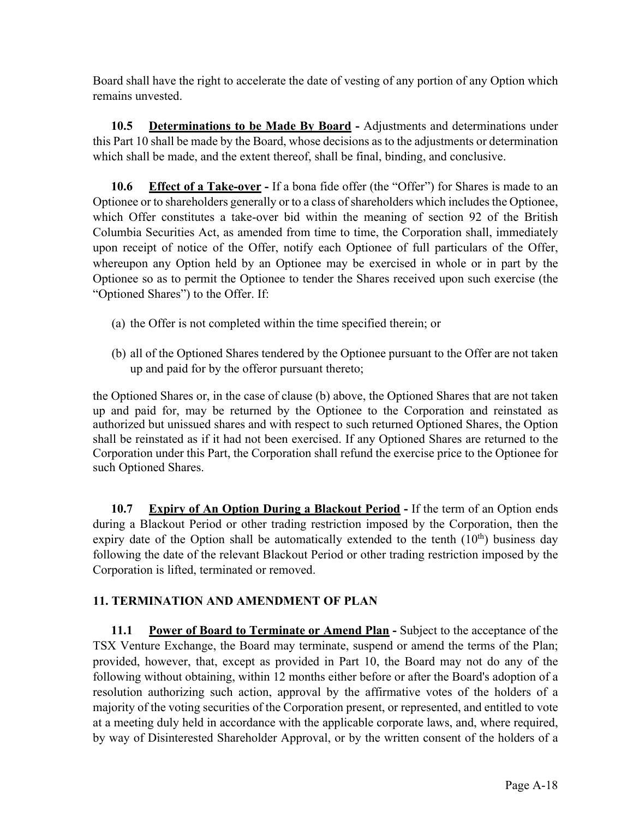Board shall have the right to accelerate the date of vesting of any portion of any Option which remains unvested.

**10.5 Determinations to be Made By Board -** Adjustments and determinations under this Part 10 shall be made by the Board, whose decisions as to the adjustments or determination which shall be made, and the extent thereof, shall be final, binding, and conclusive.

**10.6 Effect of a Take-over -** If a bona fide offer (the "Offer") for Shares is made to an Optionee or to shareholders generally or to a class of shareholders which includes the Optionee, which Offer constitutes a take-over bid within the meaning of section 92 of the British Columbia Securities Act, as amended from time to time, the Corporation shall, immediately upon receipt of notice of the Offer, notify each Optionee of full particulars of the Offer, whereupon any Option held by an Optionee may be exercised in whole or in part by the Optionee so as to permit the Optionee to tender the Shares received upon such exercise (the "Optioned Shares") to the Offer. If:

- (a) the Offer is not completed within the time specified therein; or
- (b) all of the Optioned Shares tendered by the Optionee pursuant to the Offer are not taken up and paid for by the offeror pursuant thereto;

the Optioned Shares or, in the case of clause (b) above, the Optioned Shares that are not taken up and paid for, may be returned by the Optionee to the Corporation and reinstated as authorized but unissued shares and with respect to such returned Optioned Shares, the Option shall be reinstated as if it had not been exercised. If any Optioned Shares are returned to the Corporation under this Part, the Corporation shall refund the exercise price to the Optionee for such Optioned Shares.

**10.7 Expiry of An Option During a Blackout Period -** If the term of an Option ends during a Blackout Period or other trading restriction imposed by the Corporation, then the expiry date of the Option shall be automatically extended to the tenth  $(10<sup>th</sup>)$  business day following the date of the relevant Blackout Period or other trading restriction imposed by the Corporation is lifted, terminated or removed.

# **11. TERMINATION AND AMENDMENT OF PLAN**

**11.1 Power of Board to Terminate or Amend Plan -** Subject to the acceptance of the TSX Venture Exchange, the Board may terminate, suspend or amend the terms of the Plan; provided, however, that, except as provided in Part 10, the Board may not do any of the following without obtaining, within 12 months either before or after the Board's adoption of a resolution authorizing such action, approval by the affirmative votes of the holders of a majority of the voting securities of the Corporation present, or represented, and entitled to vote at a meeting duly held in accordance with the applicable corporate laws, and, where required, by way of Disinterested Shareholder Approval, or by the written consent of the holders of a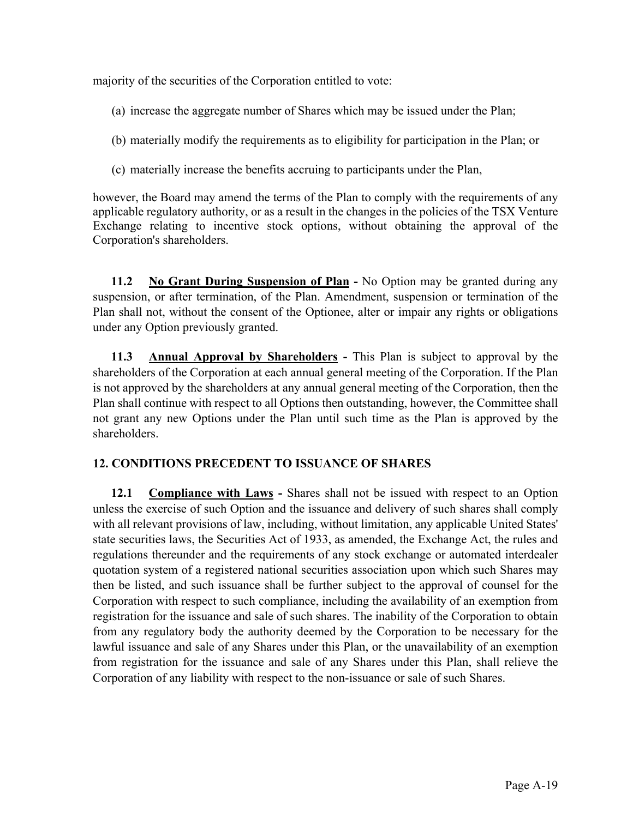majority of the securities of the Corporation entitled to vote:

- (a) increase the aggregate number of Shares which may be issued under the Plan;
- (b) materially modify the requirements as to eligibility for participation in the Plan; or
- (c) materially increase the benefits accruing to participants under the Plan,

however, the Board may amend the terms of the Plan to comply with the requirements of any applicable regulatory authority, or as a result in the changes in the policies of the TSX Venture Exchange relating to incentive stock options, without obtaining the approval of the Corporation's shareholders.

**11.2 No Grant During Suspension of Plan -** No Option may be granted during any suspension, or after termination, of the Plan. Amendment, suspension or termination of the Plan shall not, without the consent of the Optionee, alter or impair any rights or obligations under any Option previously granted.

**11.3 Annual Approval by Shareholders -** This Plan is subject to approval by the shareholders of the Corporation at each annual general meeting of the Corporation. If the Plan is not approved by the shareholders at any annual general meeting of the Corporation, then the Plan shall continue with respect to all Options then outstanding, however, the Committee shall not grant any new Options under the Plan until such time as the Plan is approved by the shareholders.

# **12. CONDITIONS PRECEDENT TO ISSUANCE OF SHARES**

**12.1 Compliance with Laws -** Shares shall not be issued with respect to an Option unless the exercise of such Option and the issuance and delivery of such shares shall comply with all relevant provisions of law, including, without limitation, any applicable United States' state securities laws, the Securities Act of 1933, as amended, the Exchange Act, the rules and regulations thereunder and the requirements of any stock exchange or automated interdealer quotation system of a registered national securities association upon which such Shares may then be listed, and such issuance shall be further subject to the approval of counsel for the Corporation with respect to such compliance, including the availability of an exemption from registration for the issuance and sale of such shares. The inability of the Corporation to obtain from any regulatory body the authority deemed by the Corporation to be necessary for the lawful issuance and sale of any Shares under this Plan, or the unavailability of an exemption from registration for the issuance and sale of any Shares under this Plan, shall relieve the Corporation of any liability with respect to the non-issuance or sale of such Shares.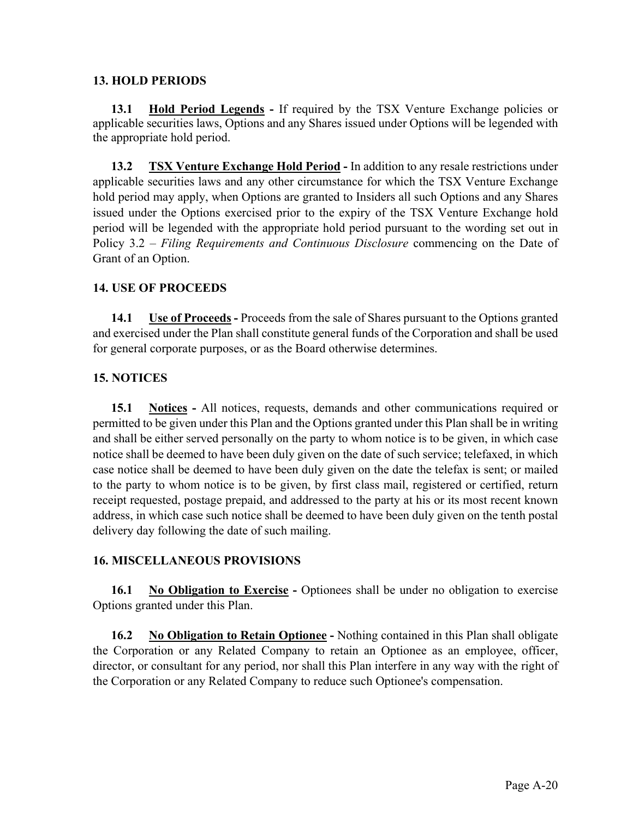# **13. HOLD PERIODS**

**13.1 Hold Period Legends -** If required by the TSX Venture Exchange policies or applicable securities laws, Options and any Shares issued under Options will be legended with the appropriate hold period.

**13.2 TSX Venture Exchange Hold Period -** In addition to any resale restrictions under applicable securities laws and any other circumstance for which the TSX Venture Exchange hold period may apply, when Options are granted to Insiders all such Options and any Shares issued under the Options exercised prior to the expiry of the TSX Venture Exchange hold period will be legended with the appropriate hold period pursuant to the wording set out in Policy 3.2 – *Filing Requirements and Continuous Disclosure* commencing on the Date of Grant of an Option.

# **14. USE OF PROCEEDS**

**14.1 Use of Proceeds -** Proceeds from the sale of Shares pursuant to the Options granted and exercised under the Plan shall constitute general funds of the Corporation and shall be used for general corporate purposes, or as the Board otherwise determines.

# **15. NOTICES**

**15.1 Notices -** All notices, requests, demands and other communications required or permitted to be given under this Plan and the Options granted under this Plan shall be in writing and shall be either served personally on the party to whom notice is to be given, in which case notice shall be deemed to have been duly given on the date of such service; telefaxed, in which case notice shall be deemed to have been duly given on the date the telefax is sent; or mailed to the party to whom notice is to be given, by first class mail, registered or certified, return receipt requested, postage prepaid, and addressed to the party at his or its most recent known address, in which case such notice shall be deemed to have been duly given on the tenth postal delivery day following the date of such mailing.

# **16. MISCELLANEOUS PROVISIONS**

**16.1 No Obligation to Exercise -** Optionees shall be under no obligation to exercise Options granted under this Plan.

**16.2 No Obligation to Retain Optionee** - Nothing contained in this Plan shall obligate the Corporation or any Related Company to retain an Optionee as an employee, officer, director, or consultant for any period, nor shall this Plan interfere in any way with the right of the Corporation or any Related Company to reduce such Optionee's compensation.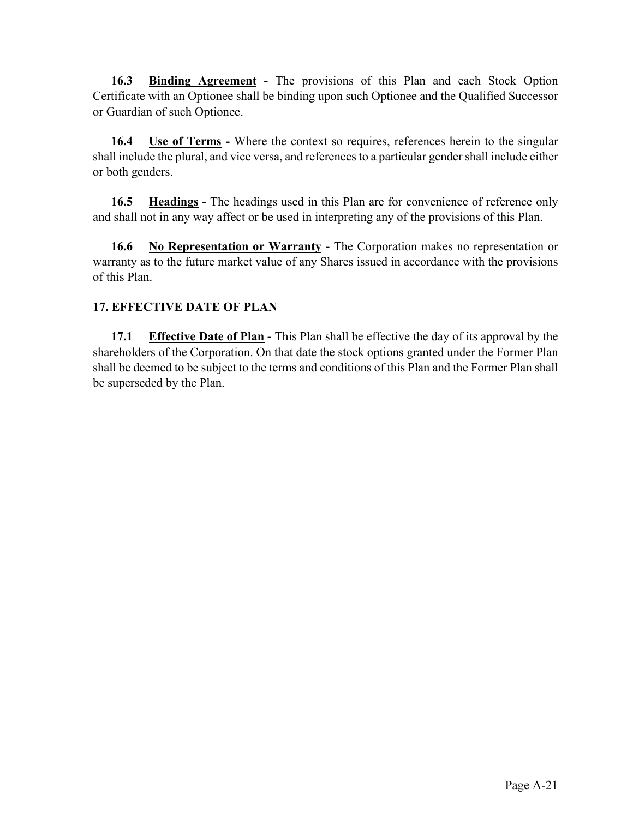**16.3 Binding Agreement -** The provisions of this Plan and each Stock Option Certificate with an Optionee shall be binding upon such Optionee and the Qualified Successor or Guardian of such Optionee.

**16.4 Use of Terms -** Where the context so requires, references herein to the singular shall include the plural, and vice versa, and references to a particular gender shall include either or both genders.

**16.5 Headings -** The headings used in this Plan are for convenience of reference only and shall not in any way affect or be used in interpreting any of the provisions of this Plan.

**16.6 No Representation or Warranty -** The Corporation makes no representation or warranty as to the future market value of any Shares issued in accordance with the provisions of this Plan.

# **17. EFFECTIVE DATE OF PLAN**

**17.1 Effective Date of Plan -** This Plan shall be effective the day of its approval by the shareholders of the Corporation. On that date the stock options granted under the Former Plan shall be deemed to be subject to the terms and conditions of this Plan and the Former Plan shall be superseded by the Plan.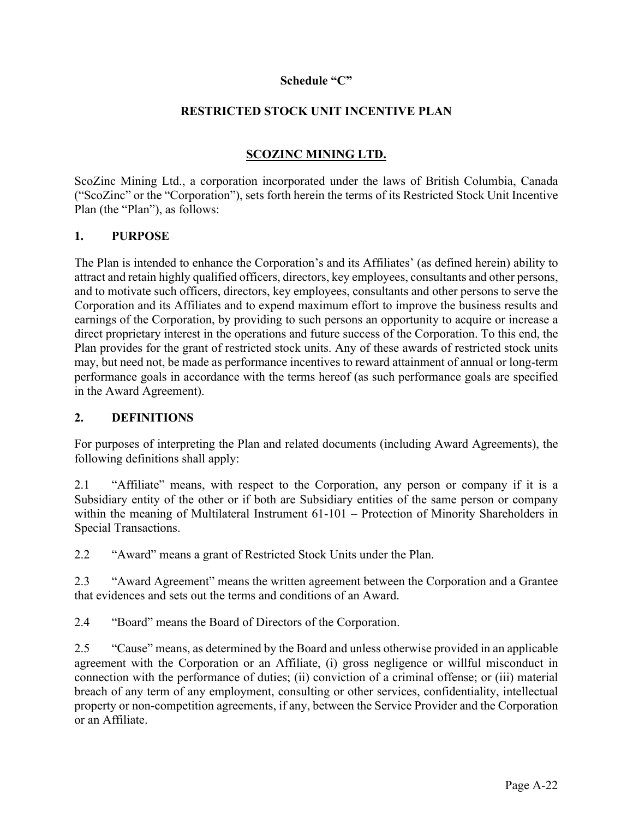# **Schedule "C"**

# **RESTRICTED STOCK UNIT INCENTIVE PLAN**

# **SCOZINC MINING LTD.**

ScoZinc Mining Ltd., a corporation incorporated under the laws of British Columbia, Canada ("ScoZinc" or the "Corporation"), sets forth herein the terms of its Restricted Stock Unit Incentive Plan (the "Plan"), as follows:

### **1. PURPOSE**

The Plan is intended to enhance the Corporation's and its Affiliates' (as defined herein) ability to attract and retain highly qualified officers, directors, key employees, consultants and other persons, and to motivate such officers, directors, key employees, consultants and other persons to serve the Corporation and its Affiliates and to expend maximum effort to improve the business results and earnings of the Corporation, by providing to such persons an opportunity to acquire or increase a direct proprietary interest in the operations and future success of the Corporation. To this end, the Plan provides for the grant of restricted stock units. Any of these awards of restricted stock units may, but need not, be made as performance incentives to reward attainment of annual or long-term performance goals in accordance with the terms hereof (as such performance goals are specified in the Award Agreement).

### **2. DEFINITIONS**

For purposes of interpreting the Plan and related documents (including Award Agreements), the following definitions shall apply:

2.1 "Affiliate" means, with respect to the Corporation, any person or company if it is a Subsidiary entity of the other or if both are Subsidiary entities of the same person or company within the meaning of Multilateral Instrument 61-101 – Protection of Minority Shareholders in Special Transactions.

2.2 "Award" means a grant of Restricted Stock Units under the Plan.

2.3 "Award Agreement" means the written agreement between the Corporation and a Grantee that evidences and sets out the terms and conditions of an Award.

2.4 "Board" means the Board of Directors of the Corporation.

2.5 "Cause" means, as determined by the Board and unless otherwise provided in an applicable agreement with the Corporation or an Affiliate, (i) gross negligence or willful misconduct in connection with the performance of duties; (ii) conviction of a criminal offense; or (iii) material breach of any term of any employment, consulting or other services, confidentiality, intellectual property or non-competition agreements, if any, between the Service Provider and the Corporation or an Affiliate.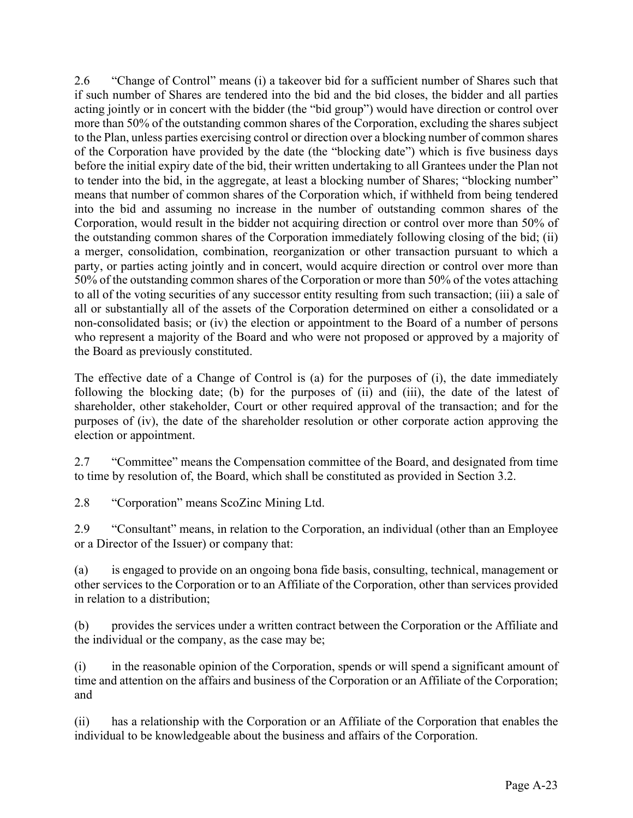2.6 "Change of Control" means (i) a takeover bid for a sufficient number of Shares such that if such number of Shares are tendered into the bid and the bid closes, the bidder and all parties acting jointly or in concert with the bidder (the "bid group") would have direction or control over more than 50% of the outstanding common shares of the Corporation, excluding the shares subject to the Plan, unless parties exercising control or direction over a blocking number of common shares of the Corporation have provided by the date (the "blocking date") which is five business days before the initial expiry date of the bid, their written undertaking to all Grantees under the Plan not to tender into the bid, in the aggregate, at least a blocking number of Shares; "blocking number" means that number of common shares of the Corporation which, if withheld from being tendered into the bid and assuming no increase in the number of outstanding common shares of the Corporation, would result in the bidder not acquiring direction or control over more than 50% of the outstanding common shares of the Corporation immediately following closing of the bid; (ii) a merger, consolidation, combination, reorganization or other transaction pursuant to which a party, or parties acting jointly and in concert, would acquire direction or control over more than 50% of the outstanding common shares of the Corporation or more than 50% of the votes attaching to all of the voting securities of any successor entity resulting from such transaction; (iii) a sale of all or substantially all of the assets of the Corporation determined on either a consolidated or a non-consolidated basis; or (iv) the election or appointment to the Board of a number of persons who represent a majority of the Board and who were not proposed or approved by a majority of the Board as previously constituted.

The effective date of a Change of Control is (a) for the purposes of (i), the date immediately following the blocking date; (b) for the purposes of (ii) and (iii), the date of the latest of shareholder, other stakeholder, Court or other required approval of the transaction; and for the purposes of (iv), the date of the shareholder resolution or other corporate action approving the election or appointment.

2.7 "Committee" means the Compensation committee of the Board, and designated from time to time by resolution of, the Board, which shall be constituted as provided in Section 3.2.

2.8 "Corporation" means ScoZinc Mining Ltd.

2.9 "Consultant" means, in relation to the Corporation, an individual (other than an Employee or a Director of the Issuer) or company that:

(a) is engaged to provide on an ongoing bona fide basis, consulting, technical, management or other services to the Corporation or to an Affiliate of the Corporation, other than services provided in relation to a distribution;

(b) provides the services under a written contract between the Corporation or the Affiliate and the individual or the company, as the case may be;

(i) in the reasonable opinion of the Corporation, spends or will spend a significant amount of time and attention on the affairs and business of the Corporation or an Affiliate of the Corporation; and

(ii) has a relationship with the Corporation or an Affiliate of the Corporation that enables the individual to be knowledgeable about the business and affairs of the Corporation.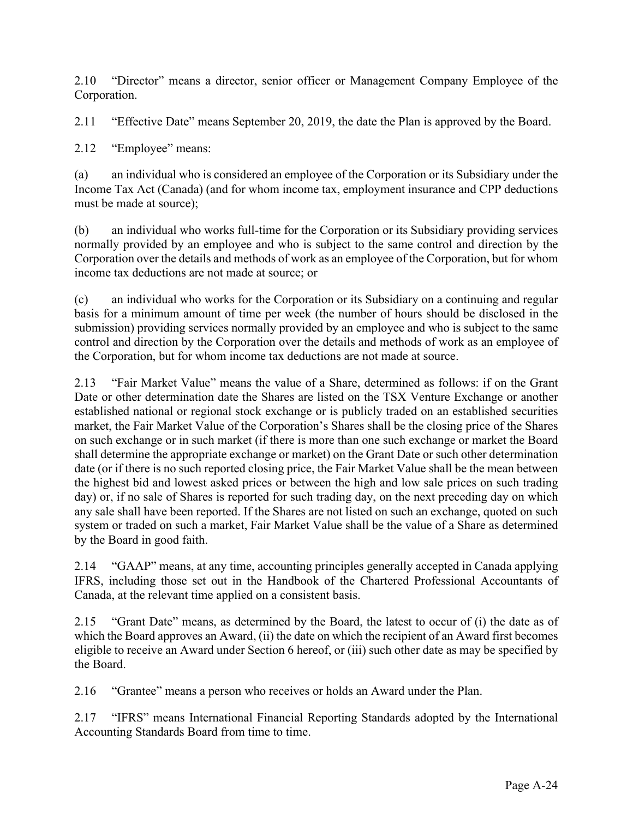2.10 "Director" means a director, senior officer or Management Company Employee of the Corporation.

2.11 "Effective Date" means September 20, 2019, the date the Plan is approved by the Board.

2.12 "Employee" means:

(a) an individual who is considered an employee of the Corporation or its Subsidiary under the Income Tax Act (Canada) (and for whom income tax, employment insurance and CPP deductions must be made at source);

(b) an individual who works full-time for the Corporation or its Subsidiary providing services normally provided by an employee and who is subject to the same control and direction by the Corporation over the details and methods of work as an employee of the Corporation, but for whom income tax deductions are not made at source; or

(c) an individual who works for the Corporation or its Subsidiary on a continuing and regular basis for a minimum amount of time per week (the number of hours should be disclosed in the submission) providing services normally provided by an employee and who is subject to the same control and direction by the Corporation over the details and methods of work as an employee of the Corporation, but for whom income tax deductions are not made at source.

2.13 "Fair Market Value" means the value of a Share, determined as follows: if on the Grant Date or other determination date the Shares are listed on the TSX Venture Exchange or another established national or regional stock exchange or is publicly traded on an established securities market, the Fair Market Value of the Corporation's Shares shall be the closing price of the Shares on such exchange or in such market (if there is more than one such exchange or market the Board shall determine the appropriate exchange or market) on the Grant Date or such other determination date (or if there is no such reported closing price, the Fair Market Value shall be the mean between the highest bid and lowest asked prices or between the high and low sale prices on such trading day) or, if no sale of Shares is reported for such trading day, on the next preceding day on which any sale shall have been reported. If the Shares are not listed on such an exchange, quoted on such system or traded on such a market, Fair Market Value shall be the value of a Share as determined by the Board in good faith.

2.14 "GAAP" means, at any time, accounting principles generally accepted in Canada applying IFRS, including those set out in the Handbook of the Chartered Professional Accountants of Canada, at the relevant time applied on a consistent basis.

2.15 "Grant Date" means, as determined by the Board, the latest to occur of (i) the date as of which the Board approves an Award, (ii) the date on which the recipient of an Award first becomes eligible to receive an Award under Section 6 hereof, or (iii) such other date as may be specified by the Board.

2.16 "Grantee" means a person who receives or holds an Award under the Plan.

2.17 "IFRS" means International Financial Reporting Standards adopted by the International Accounting Standards Board from time to time.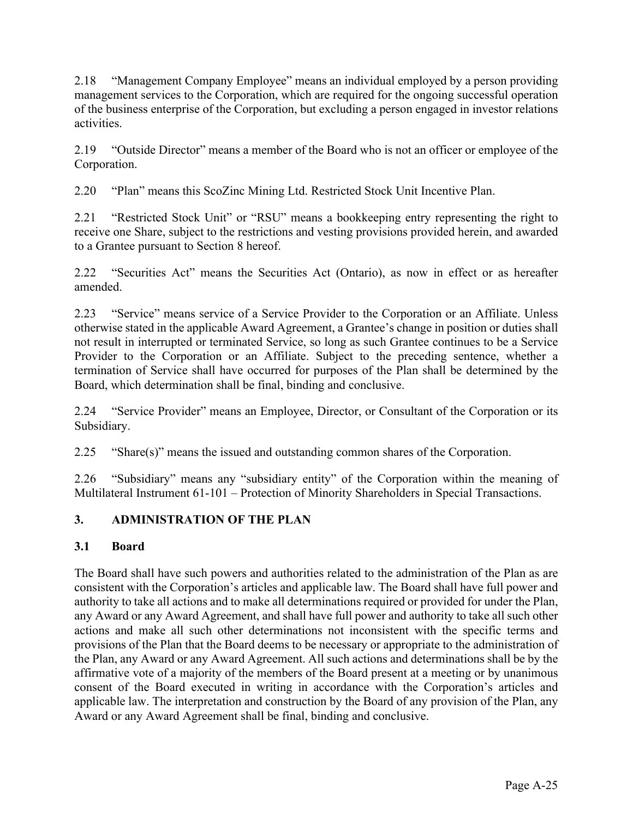2.18 "Management Company Employee" means an individual employed by a person providing management services to the Corporation, which are required for the ongoing successful operation of the business enterprise of the Corporation, but excluding a person engaged in investor relations activities.

2.19 "Outside Director" means a member of the Board who is not an officer or employee of the Corporation.

2.20 "Plan" means this ScoZinc Mining Ltd. Restricted Stock Unit Incentive Plan.

2.21 "Restricted Stock Unit" or "RSU" means a bookkeeping entry representing the right to receive one Share, subject to the restrictions and vesting provisions provided herein, and awarded to a Grantee pursuant to Section 8 hereof.

2.22 "Securities Act" means the Securities Act (Ontario), as now in effect or as hereafter amended.

2.23 "Service" means service of a Service Provider to the Corporation or an Affiliate. Unless otherwise stated in the applicable Award Agreement, a Grantee's change in position or duties shall not result in interrupted or terminated Service, so long as such Grantee continues to be a Service Provider to the Corporation or an Affiliate. Subject to the preceding sentence, whether a termination of Service shall have occurred for purposes of the Plan shall be determined by the Board, which determination shall be final, binding and conclusive.

2.24 "Service Provider" means an Employee, Director, or Consultant of the Corporation or its Subsidiary.

2.25 "Share(s)" means the issued and outstanding common shares of the Corporation.

2.26 "Subsidiary" means any "subsidiary entity" of the Corporation within the meaning of Multilateral Instrument 61-101 – Protection of Minority Shareholders in Special Transactions.

# **3. ADMINISTRATION OF THE PLAN**

# **3.1 Board**

The Board shall have such powers and authorities related to the administration of the Plan as are consistent with the Corporation's articles and applicable law. The Board shall have full power and authority to take all actions and to make all determinations required or provided for under the Plan, any Award or any Award Agreement, and shall have full power and authority to take all such other actions and make all such other determinations not inconsistent with the specific terms and provisions of the Plan that the Board deems to be necessary or appropriate to the administration of the Plan, any Award or any Award Agreement. All such actions and determinations shall be by the affirmative vote of a majority of the members of the Board present at a meeting or by unanimous consent of the Board executed in writing in accordance with the Corporation's articles and applicable law. The interpretation and construction by the Board of any provision of the Plan, any Award or any Award Agreement shall be final, binding and conclusive.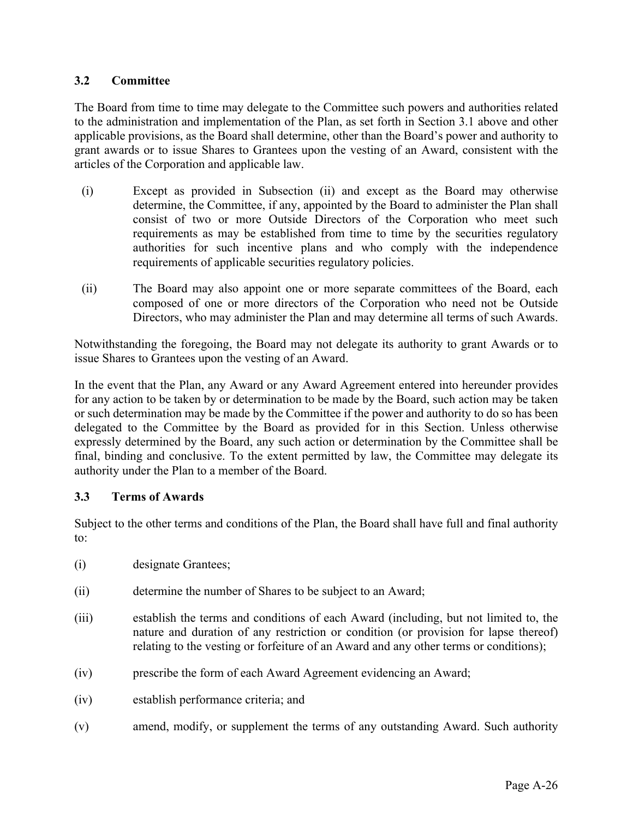# **3.2 Committee**

The Board from time to time may delegate to the Committee such powers and authorities related to the administration and implementation of the Plan, as set forth in Section 3.1 above and other applicable provisions, as the Board shall determine, other than the Board's power and authority to grant awards or to issue Shares to Grantees upon the vesting of an Award, consistent with the articles of the Corporation and applicable law.

- (i) Except as provided in Subsection (ii) and except as the Board may otherwise determine, the Committee, if any, appointed by the Board to administer the Plan shall consist of two or more Outside Directors of the Corporation who meet such requirements as may be established from time to time by the securities regulatory authorities for such incentive plans and who comply with the independence requirements of applicable securities regulatory policies.
- (ii) The Board may also appoint one or more separate committees of the Board, each composed of one or more directors of the Corporation who need not be Outside Directors, who may administer the Plan and may determine all terms of such Awards.

Notwithstanding the foregoing, the Board may not delegate its authority to grant Awards or to issue Shares to Grantees upon the vesting of an Award.

In the event that the Plan, any Award or any Award Agreement entered into hereunder provides for any action to be taken by or determination to be made by the Board, such action may be taken or such determination may be made by the Committee if the power and authority to do so has been delegated to the Committee by the Board as provided for in this Section. Unless otherwise expressly determined by the Board, any such action or determination by the Committee shall be final, binding and conclusive. To the extent permitted by law, the Committee may delegate its authority under the Plan to a member of the Board.

# **3.3 Terms of Awards**

Subject to the other terms and conditions of the Plan, the Board shall have full and final authority to:

- (i) designate Grantees;
- (ii) determine the number of Shares to be subject to an Award;
- (iii) establish the terms and conditions of each Award (including, but not limited to, the nature and duration of any restriction or condition (or provision for lapse thereof) relating to the vesting or forfeiture of an Award and any other terms or conditions);
- (iv) prescribe the form of each Award Agreement evidencing an Award;
- (iv) establish performance criteria; and
- (v) amend, modify, or supplement the terms of any outstanding Award. Such authority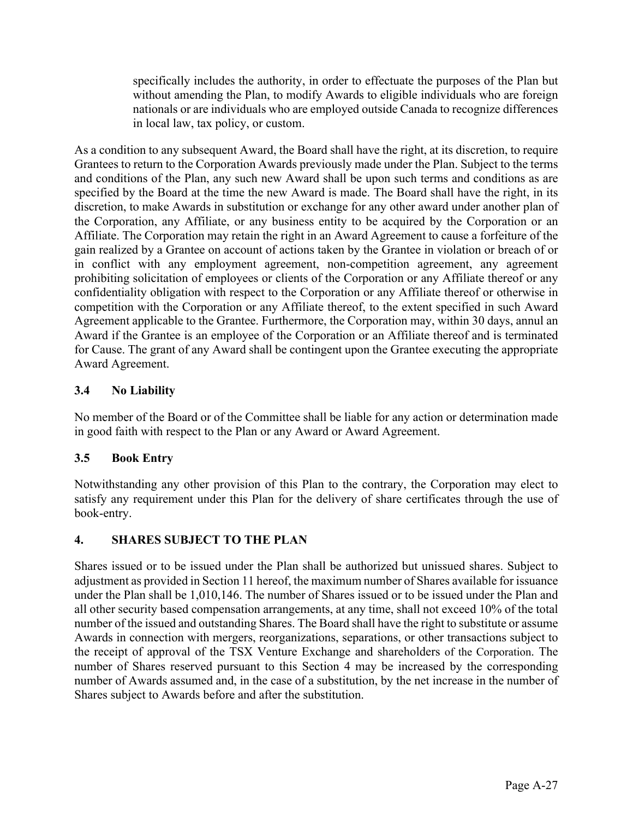specifically includes the authority, in order to effectuate the purposes of the Plan but without amending the Plan, to modify Awards to eligible individuals who are foreign nationals or are individuals who are employed outside Canada to recognize differences in local law, tax policy, or custom.

As a condition to any subsequent Award, the Board shall have the right, at its discretion, to require Grantees to return to the Corporation Awards previously made under the Plan. Subject to the terms and conditions of the Plan, any such new Award shall be upon such terms and conditions as are specified by the Board at the time the new Award is made. The Board shall have the right, in its discretion, to make Awards in substitution or exchange for any other award under another plan of the Corporation, any Affiliate, or any business entity to be acquired by the Corporation or an Affiliate. The Corporation may retain the right in an Award Agreement to cause a forfeiture of the gain realized by a Grantee on account of actions taken by the Grantee in violation or breach of or in conflict with any employment agreement, non-competition agreement, any agreement prohibiting solicitation of employees or clients of the Corporation or any Affiliate thereof or any confidentiality obligation with respect to the Corporation or any Affiliate thereof or otherwise in competition with the Corporation or any Affiliate thereof, to the extent specified in such Award Agreement applicable to the Grantee. Furthermore, the Corporation may, within 30 days, annul an Award if the Grantee is an employee of the Corporation or an Affiliate thereof and is terminated for Cause. The grant of any Award shall be contingent upon the Grantee executing the appropriate Award Agreement.

# **3.4 No Liability**

No member of the Board or of the Committee shall be liable for any action or determination made in good faith with respect to the Plan or any Award or Award Agreement.

# **3.5 Book Entry**

Notwithstanding any other provision of this Plan to the contrary, the Corporation may elect to satisfy any requirement under this Plan for the delivery of share certificates through the use of book-entry.

# **4. SHARES SUBJECT TO THE PLAN**

Shares issued or to be issued under the Plan shall be authorized but unissued shares. Subject to adjustment as provided in Section 11 hereof, the maximum number of Shares available for issuance under the Plan shall be 1,010,146. The number of Shares issued or to be issued under the Plan and all other security based compensation arrangements, at any time, shall not exceed 10% of the total number of the issued and outstanding Shares. The Board shall have the right to substitute or assume Awards in connection with mergers, reorganizations, separations, or other transactions subject to the receipt of approval of the TSX Venture Exchange and shareholders of the Corporation. The number of Shares reserved pursuant to this Section 4 may be increased by the corresponding number of Awards assumed and, in the case of a substitution, by the net increase in the number of Shares subject to Awards before and after the substitution.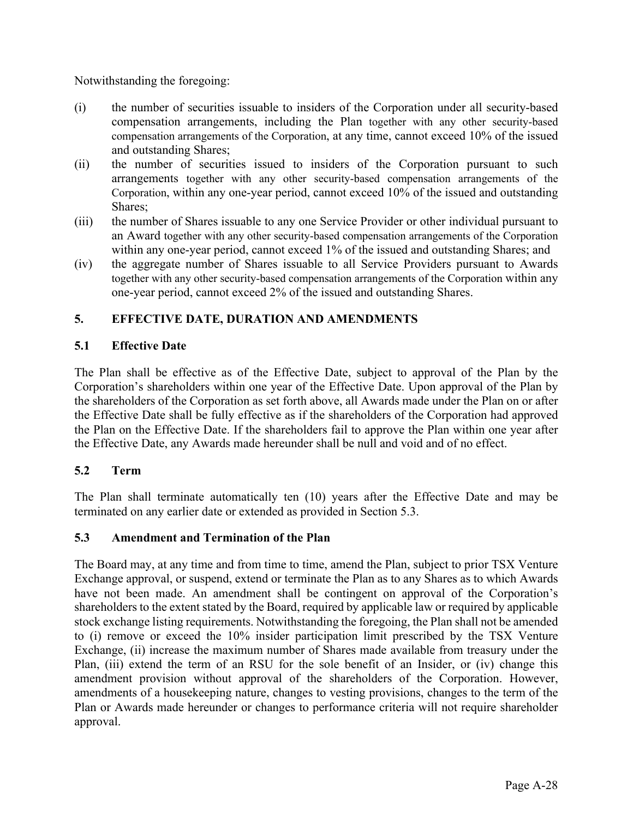Notwithstanding the foregoing:

- (i) the number of securities issuable to insiders of the Corporation under all security-based compensation arrangements, including the Plan together with any other security-based compensation arrangements of the Corporation, at any time, cannot exceed 10% of the issued and outstanding Shares;
- (ii) the number of securities issued to insiders of the Corporation pursuant to such arrangements together with any other security-based compensation arrangements of the Corporation, within any one-year period, cannot exceed 10% of the issued and outstanding Shares;
- (iii) the number of Shares issuable to any one Service Provider or other individual pursuant to an Award together with any other security-based compensation arrangements of the Corporation within any one-year period, cannot exceed 1% of the issued and outstanding Shares; and
- (iv) the aggregate number of Shares issuable to all Service Providers pursuant to Awards together with any other security-based compensation arrangements of the Corporation within any one-year period, cannot exceed 2% of the issued and outstanding Shares.

# **5. EFFECTIVE DATE, DURATION AND AMENDMENTS**

# **5.1 Effective Date**

The Plan shall be effective as of the Effective Date, subject to approval of the Plan by the Corporation's shareholders within one year of the Effective Date. Upon approval of the Plan by the shareholders of the Corporation as set forth above, all Awards made under the Plan on or after the Effective Date shall be fully effective as if the shareholders of the Corporation had approved the Plan on the Effective Date. If the shareholders fail to approve the Plan within one year after the Effective Date, any Awards made hereunder shall be null and void and of no effect.

# **5.2 Term**

The Plan shall terminate automatically ten (10) years after the Effective Date and may be terminated on any earlier date or extended as provided in Section 5.3.

# **5.3 Amendment and Termination of the Plan**

The Board may, at any time and from time to time, amend the Plan, subject to prior TSX Venture Exchange approval, or suspend, extend or terminate the Plan as to any Shares as to which Awards have not been made. An amendment shall be contingent on approval of the Corporation's shareholders to the extent stated by the Board, required by applicable law or required by applicable stock exchange listing requirements. Notwithstanding the foregoing, the Plan shall not be amended to (i) remove or exceed the 10% insider participation limit prescribed by the TSX Venture Exchange, (ii) increase the maximum number of Shares made available from treasury under the Plan, (iii) extend the term of an RSU for the sole benefit of an Insider, or (iv) change this amendment provision without approval of the shareholders of the Corporation. However, amendments of a housekeeping nature, changes to vesting provisions, changes to the term of the Plan or Awards made hereunder or changes to performance criteria will not require shareholder approval.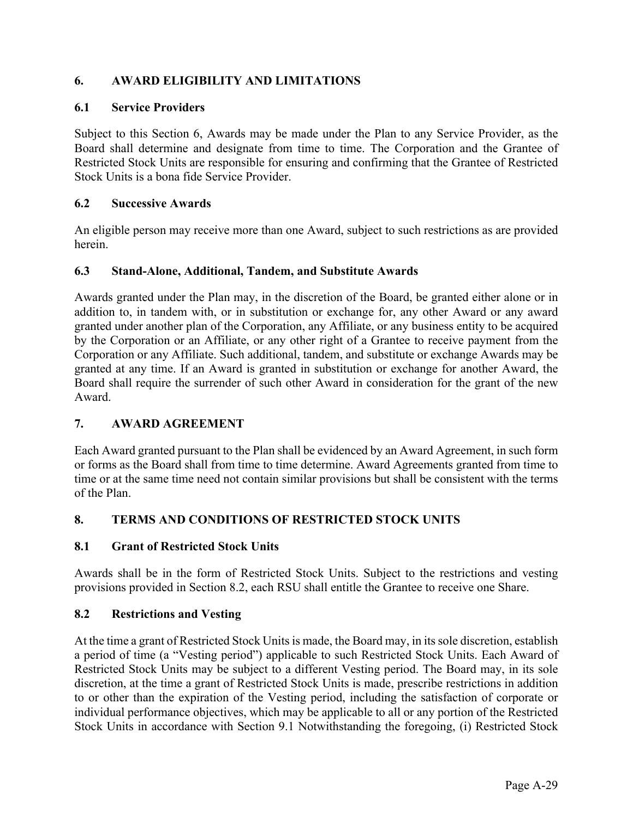# **6. AWARD ELIGIBILITY AND LIMITATIONS**

# **6.1 Service Providers**

Subject to this Section 6, Awards may be made under the Plan to any Service Provider, as the Board shall determine and designate from time to time. The Corporation and the Grantee of Restricted Stock Units are responsible for ensuring and confirming that the Grantee of Restricted Stock Units is a bona fide Service Provider.

# **6.2 Successive Awards**

An eligible person may receive more than one Award, subject to such restrictions as are provided herein.

### **6.3 Stand-Alone, Additional, Tandem, and Substitute Awards**

Awards granted under the Plan may, in the discretion of the Board, be granted either alone or in addition to, in tandem with, or in substitution or exchange for, any other Award or any award granted under another plan of the Corporation, any Affiliate, or any business entity to be acquired by the Corporation or an Affiliate, or any other right of a Grantee to receive payment from the Corporation or any Affiliate. Such additional, tandem, and substitute or exchange Awards may be granted at any time. If an Award is granted in substitution or exchange for another Award, the Board shall require the surrender of such other Award in consideration for the grant of the new Award.

# **7. AWARD AGREEMENT**

Each Award granted pursuant to the Plan shall be evidenced by an Award Agreement, in such form or forms as the Board shall from time to time determine. Award Agreements granted from time to time or at the same time need not contain similar provisions but shall be consistent with the terms of the Plan.

# **8. TERMS AND CONDITIONS OF RESTRICTED STOCK UNITS**

# **8.1 Grant of Restricted Stock Units**

Awards shall be in the form of Restricted Stock Units. Subject to the restrictions and vesting provisions provided in Section 8.2, each RSU shall entitle the Grantee to receive one Share.

### **8.2 Restrictions and Vesting**

At the time a grant of Restricted Stock Units is made, the Board may, in its sole discretion, establish a period of time (a "Vesting period") applicable to such Restricted Stock Units. Each Award of Restricted Stock Units may be subject to a different Vesting period. The Board may, in its sole discretion, at the time a grant of Restricted Stock Units is made, prescribe restrictions in addition to or other than the expiration of the Vesting period, including the satisfaction of corporate or individual performance objectives, which may be applicable to all or any portion of the Restricted Stock Units in accordance with Section 9.1 Notwithstanding the foregoing, (i) Restricted Stock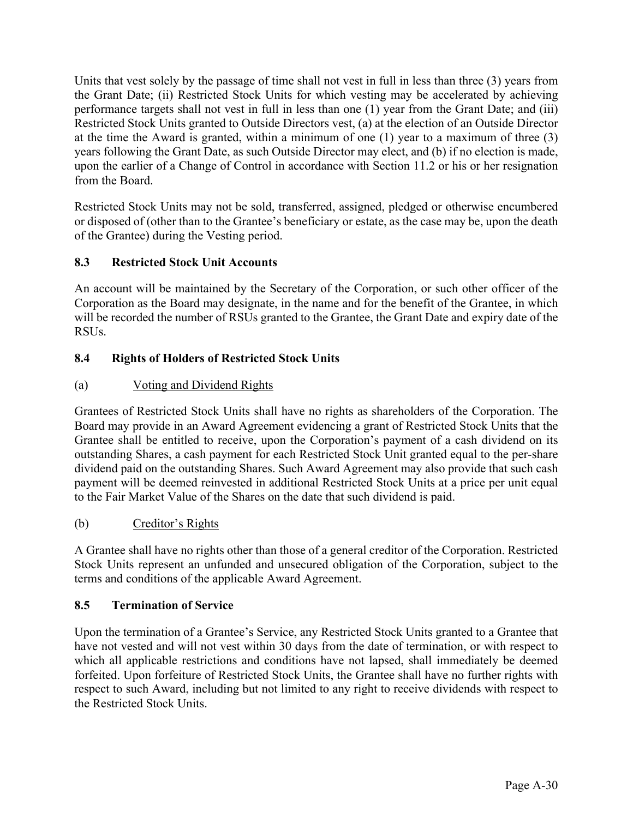Units that vest solely by the passage of time shall not vest in full in less than three (3) years from the Grant Date; (ii) Restricted Stock Units for which vesting may be accelerated by achieving performance targets shall not vest in full in less than one (1) year from the Grant Date; and (iii) Restricted Stock Units granted to Outside Directors vest, (a) at the election of an Outside Director at the time the Award is granted, within a minimum of one (1) year to a maximum of three (3) years following the Grant Date, as such Outside Director may elect, and (b) if no election is made, upon the earlier of a Change of Control in accordance with Section 11.2 or his or her resignation from the Board.

Restricted Stock Units may not be sold, transferred, assigned, pledged or otherwise encumbered or disposed of (other than to the Grantee's beneficiary or estate, as the case may be, upon the death of the Grantee) during the Vesting period.

# **8.3 Restricted Stock Unit Accounts**

An account will be maintained by the Secretary of the Corporation, or such other officer of the Corporation as the Board may designate, in the name and for the benefit of the Grantee, in which will be recorded the number of RSUs granted to the Grantee, the Grant Date and expiry date of the RSUs.

# **8.4 Rights of Holders of Restricted Stock Units**

# (a) Voting and Dividend Rights

Grantees of Restricted Stock Units shall have no rights as shareholders of the Corporation. The Board may provide in an Award Agreement evidencing a grant of Restricted Stock Units that the Grantee shall be entitled to receive, upon the Corporation's payment of a cash dividend on its outstanding Shares, a cash payment for each Restricted Stock Unit granted equal to the per-share dividend paid on the outstanding Shares. Such Award Agreement may also provide that such cash payment will be deemed reinvested in additional Restricted Stock Units at a price per unit equal to the Fair Market Value of the Shares on the date that such dividend is paid.

# (b) Creditor's Rights

A Grantee shall have no rights other than those of a general creditor of the Corporation. Restricted Stock Units represent an unfunded and unsecured obligation of the Corporation, subject to the terms and conditions of the applicable Award Agreement.

# **8.5 Termination of Service**

Upon the termination of a Grantee's Service, any Restricted Stock Units granted to a Grantee that have not vested and will not vest within 30 days from the date of termination, or with respect to which all applicable restrictions and conditions have not lapsed, shall immediately be deemed forfeited. Upon forfeiture of Restricted Stock Units, the Grantee shall have no further rights with respect to such Award, including but not limited to any right to receive dividends with respect to the Restricted Stock Units.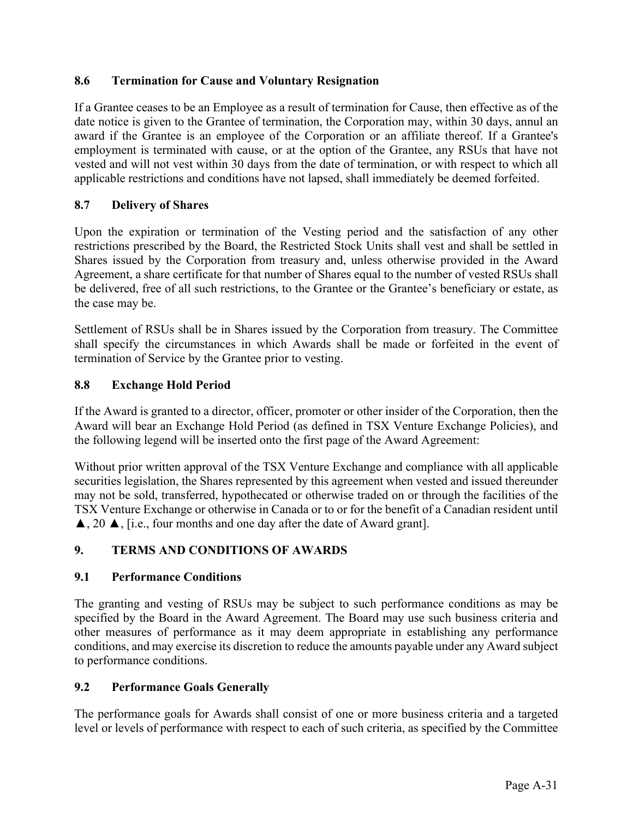# **8.6 Termination for Cause and Voluntary Resignation**

If a Grantee ceases to be an Employee as a result of termination for Cause, then effective as of the date notice is given to the Grantee of termination, the Corporation may, within 30 days, annul an award if the Grantee is an employee of the Corporation or an affiliate thereof. If a Grantee's employment is terminated with cause, or at the option of the Grantee, any RSUs that have not vested and will not vest within 30 days from the date of termination, or with respect to which all applicable restrictions and conditions have not lapsed, shall immediately be deemed forfeited.

# **8.7 Delivery of Shares**

Upon the expiration or termination of the Vesting period and the satisfaction of any other restrictions prescribed by the Board, the Restricted Stock Units shall vest and shall be settled in Shares issued by the Corporation from treasury and, unless otherwise provided in the Award Agreement, a share certificate for that number of Shares equal to the number of vested RSUs shall be delivered, free of all such restrictions, to the Grantee or the Grantee's beneficiary or estate, as the case may be.

Settlement of RSUs shall be in Shares issued by the Corporation from treasury. The Committee shall specify the circumstances in which Awards shall be made or forfeited in the event of termination of Service by the Grantee prior to vesting.

# **8.8 Exchange Hold Period**

If the Award is granted to a director, officer, promoter or other insider of the Corporation, then the Award will bear an Exchange Hold Period (as defined in TSX Venture Exchange Policies), and the following legend will be inserted onto the first page of the Award Agreement:

Without prior written approval of the TSX Venture Exchange and compliance with all applicable securities legislation, the Shares represented by this agreement when vested and issued thereunder may not be sold, transferred, hypothecated or otherwise traded on or through the facilities of the TSX Venture Exchange or otherwise in Canada or to or for the benefit of a Canadian resident until ▲, 20 ▲, [i.e., four months and one day after the date of Award grant].

# **9. TERMS AND CONDITIONS OF AWARDS**

### **9.1 Performance Conditions**

The granting and vesting of RSUs may be subject to such performance conditions as may be specified by the Board in the Award Agreement. The Board may use such business criteria and other measures of performance as it may deem appropriate in establishing any performance conditions, and may exercise its discretion to reduce the amounts payable under any Award subject to performance conditions.

### **9.2 Performance Goals Generally**

The performance goals for Awards shall consist of one or more business criteria and a targeted level or levels of performance with respect to each of such criteria, as specified by the Committee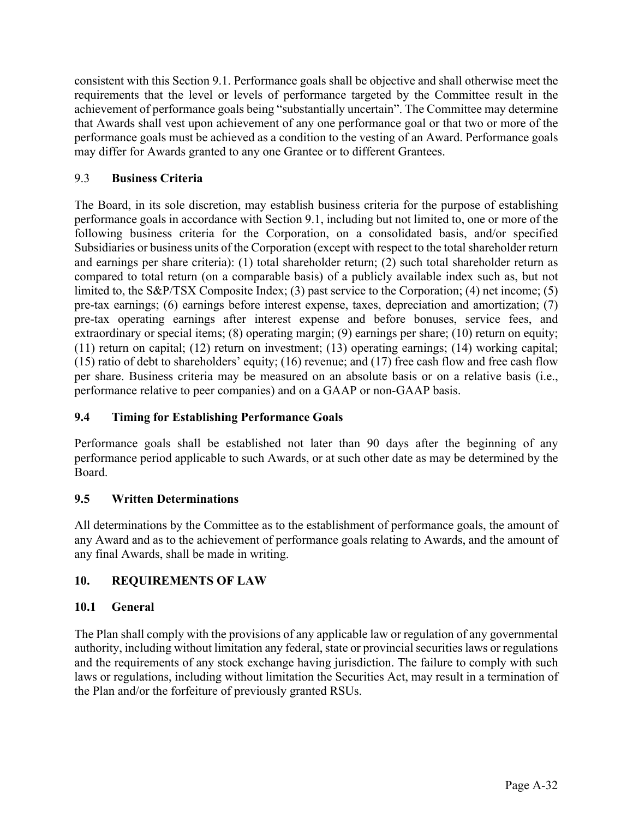consistent with this Section 9.1. Performance goals shall be objective and shall otherwise meet the requirements that the level or levels of performance targeted by the Committee result in the achievement of performance goals being "substantially uncertain". The Committee may determine that Awards shall vest upon achievement of any one performance goal or that two or more of the performance goals must be achieved as a condition to the vesting of an Award. Performance goals may differ for Awards granted to any one Grantee or to different Grantees.

# 9.3 **Business Criteria**

The Board, in its sole discretion, may establish business criteria for the purpose of establishing performance goals in accordance with Section 9.1, including but not limited to, one or more of the following business criteria for the Corporation, on a consolidated basis, and/or specified Subsidiaries or business units of the Corporation (except with respect to the total shareholder return and earnings per share criteria): (1) total shareholder return; (2) such total shareholder return as compared to total return (on a comparable basis) of a publicly available index such as, but not limited to, the S&P/TSX Composite Index; (3) past service to the Corporation; (4) net income; (5) pre-tax earnings; (6) earnings before interest expense, taxes, depreciation and amortization; (7) pre-tax operating earnings after interest expense and before bonuses, service fees, and extraordinary or special items; (8) operating margin; (9) earnings per share; (10) return on equity; (11) return on capital; (12) return on investment; (13) operating earnings; (14) working capital; (15) ratio of debt to shareholders' equity; (16) revenue; and (17) free cash flow and free cash flow per share. Business criteria may be measured on an absolute basis or on a relative basis (i.e., performance relative to peer companies) and on a GAAP or non-GAAP basis.

# **9.4 Timing for Establishing Performance Goals**

Performance goals shall be established not later than 90 days after the beginning of any performance period applicable to such Awards, or at such other date as may be determined by the Board.

# **9.5 Written Determinations**

All determinations by the Committee as to the establishment of performance goals, the amount of any Award and as to the achievement of performance goals relating to Awards, and the amount of any final Awards, shall be made in writing.

# **10. REQUIREMENTS OF LAW**

# **10.1 General**

The Plan shall comply with the provisions of any applicable law or regulation of any governmental authority, including without limitation any federal, state or provincial securities laws or regulations and the requirements of any stock exchange having jurisdiction. The failure to comply with such laws or regulations, including without limitation the Securities Act, may result in a termination of the Plan and/or the forfeiture of previously granted RSUs.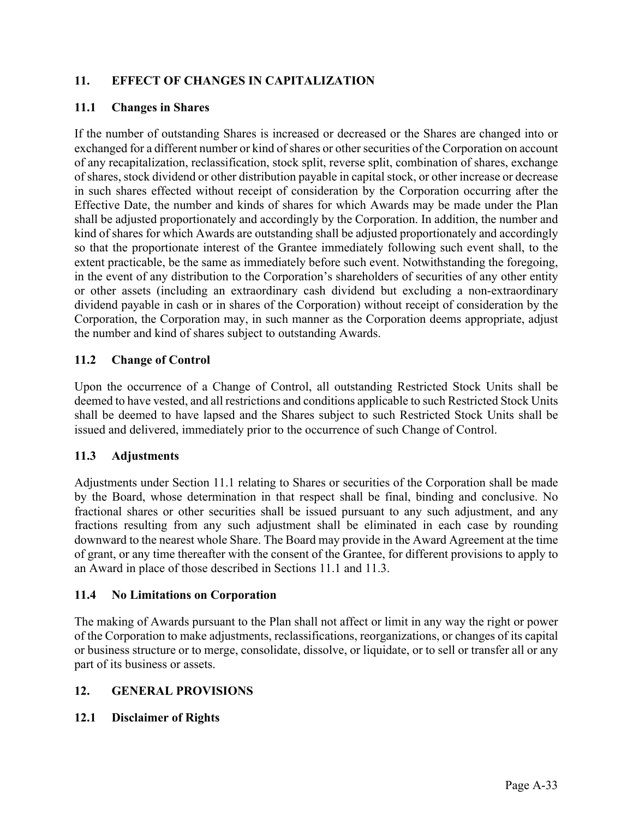# **11. EFFECT OF CHANGES IN CAPITALIZATION**

# **11.1 Changes in Shares**

If the number of outstanding Shares is increased or decreased or the Shares are changed into or exchanged for a different number or kind of shares or other securities of the Corporation on account of any recapitalization, reclassification, stock split, reverse split, combination of shares, exchange of shares, stock dividend or other distribution payable in capital stock, or other increase or decrease in such shares effected without receipt of consideration by the Corporation occurring after the Effective Date, the number and kinds of shares for which Awards may be made under the Plan shall be adjusted proportionately and accordingly by the Corporation. In addition, the number and kind of shares for which Awards are outstanding shall be adjusted proportionately and accordingly so that the proportionate interest of the Grantee immediately following such event shall, to the extent practicable, be the same as immediately before such event. Notwithstanding the foregoing, in the event of any distribution to the Corporation's shareholders of securities of any other entity or other assets (including an extraordinary cash dividend but excluding a non-extraordinary dividend payable in cash or in shares of the Corporation) without receipt of consideration by the Corporation, the Corporation may, in such manner as the Corporation deems appropriate, adjust the number and kind of shares subject to outstanding Awards.

# **11.2 Change of Control**

Upon the occurrence of a Change of Control, all outstanding Restricted Stock Units shall be deemed to have vested, and all restrictions and conditions applicable to such Restricted Stock Units shall be deemed to have lapsed and the Shares subject to such Restricted Stock Units shall be issued and delivered, immediately prior to the occurrence of such Change of Control.

### **11.3 Adjustments**

Adjustments under Section 11.1 relating to Shares or securities of the Corporation shall be made by the Board, whose determination in that respect shall be final, binding and conclusive. No fractional shares or other securities shall be issued pursuant to any such adjustment, and any fractions resulting from any such adjustment shall be eliminated in each case by rounding downward to the nearest whole Share. The Board may provide in the Award Agreement at the time of grant, or any time thereafter with the consent of the Grantee, for different provisions to apply to an Award in place of those described in Sections 11.1 and 11.3.

### **11.4 No Limitations on Corporation**

The making of Awards pursuant to the Plan shall not affect or limit in any way the right or power of the Corporation to make adjustments, reclassifications, reorganizations, or changes of its capital or business structure or to merge, consolidate, dissolve, or liquidate, or to sell or transfer all or any part of its business or assets.

# **12. GENERAL PROVISIONS**

### **12.1 Disclaimer of Rights**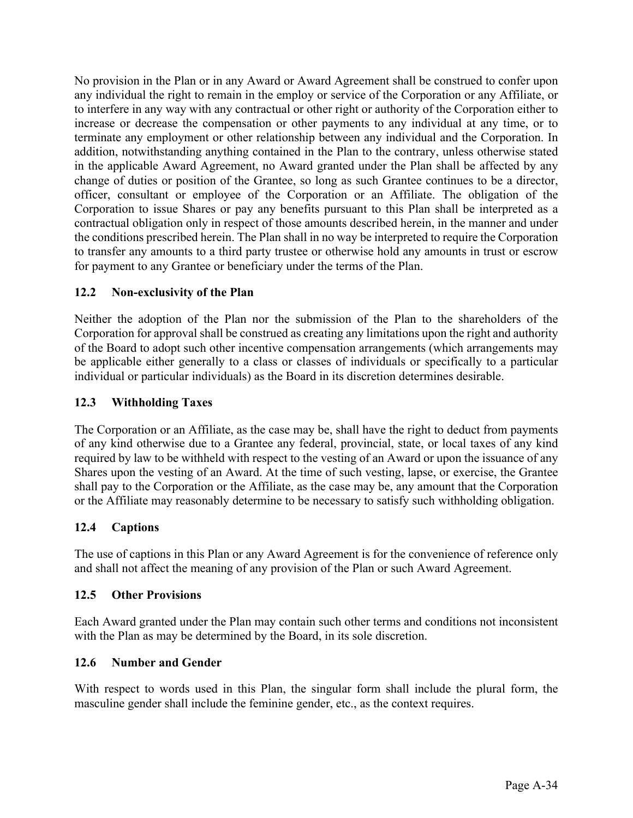No provision in the Plan or in any Award or Award Agreement shall be construed to confer upon any individual the right to remain in the employ or service of the Corporation or any Affiliate, or to interfere in any way with any contractual or other right or authority of the Corporation either to increase or decrease the compensation or other payments to any individual at any time, or to terminate any employment or other relationship between any individual and the Corporation. In addition, notwithstanding anything contained in the Plan to the contrary, unless otherwise stated in the applicable Award Agreement, no Award granted under the Plan shall be affected by any change of duties or position of the Grantee, so long as such Grantee continues to be a director, officer, consultant or employee of the Corporation or an Affiliate. The obligation of the Corporation to issue Shares or pay any benefits pursuant to this Plan shall be interpreted as a contractual obligation only in respect of those amounts described herein, in the manner and under the conditions prescribed herein. The Plan shall in no way be interpreted to require the Corporation to transfer any amounts to a third party trustee or otherwise hold any amounts in trust or escrow for payment to any Grantee or beneficiary under the terms of the Plan.

# **12.2 Non-exclusivity of the Plan**

Neither the adoption of the Plan nor the submission of the Plan to the shareholders of the Corporation for approval shall be construed as creating any limitations upon the right and authority of the Board to adopt such other incentive compensation arrangements (which arrangements may be applicable either generally to a class or classes of individuals or specifically to a particular individual or particular individuals) as the Board in its discretion determines desirable.

# **12.3 Withholding Taxes**

The Corporation or an Affiliate, as the case may be, shall have the right to deduct from payments of any kind otherwise due to a Grantee any federal, provincial, state, or local taxes of any kind required by law to be withheld with respect to the vesting of an Award or upon the issuance of any Shares upon the vesting of an Award. At the time of such vesting, lapse, or exercise, the Grantee shall pay to the Corporation or the Affiliate, as the case may be, any amount that the Corporation or the Affiliate may reasonably determine to be necessary to satisfy such withholding obligation.

# **12.4 Captions**

The use of captions in this Plan or any Award Agreement is for the convenience of reference only and shall not affect the meaning of any provision of the Plan or such Award Agreement.

# **12.5 Other Provisions**

Each Award granted under the Plan may contain such other terms and conditions not inconsistent with the Plan as may be determined by the Board, in its sole discretion.

# **12.6 Number and Gender**

With respect to words used in this Plan, the singular form shall include the plural form, the masculine gender shall include the feminine gender, etc., as the context requires.